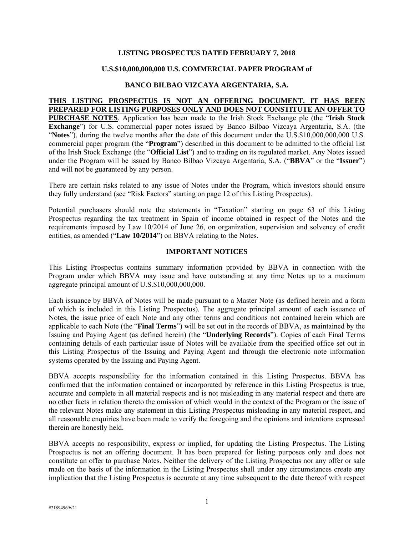## **LISTING PROSPECTUS DATED FEBRUARY 7, 2018**

#### **U.S.\$10,000,000,000 U.S. COMMERCIAL PAPER PROGRAM of**

# **BANCO BILBAO VIZCAYA ARGENTARIA, S.A.**

## **THIS LISTING PROSPECTUS IS NOT AN OFFERING DOCUMENT. IT HAS BEEN PREPARED FOR LISTING PURPOSES ONLY AND DOES NOT CONSTITUTE AN OFFER TO**

**PURCHASE NOTES**. Application has been made to the Irish Stock Exchange plc (the "**Irish Stock Exchange**") for U.S. commercial paper notes issued by Banco Bilbao Vizcaya Argentaria, S.A. (the "**Notes**"), during the twelve months after the date of this document under the U.S.\$10,000,000,000 U.S. commercial paper program (the "**Program**") described in this document to be admitted to the official list of the Irish Stock Exchange (the "**Official List**") and to trading on its regulated market. Any Notes issued under the Program will be issued by Banco Bilbao Vizcaya Argentaria, S.A. ("**BBVA**" or the "**Issuer**") and will not be guaranteed by any person.

There are certain risks related to any issue of Notes under the Program, which investors should ensure they fully understand (see "Risk Factors" starting on page 12 of this Listing Prospectus).

Potential purchasers should note the statements in "Taxation" starting on page 63 of this Listing Prospectus regarding the tax treatment in Spain of income obtained in respect of the Notes and the requirements imposed by Law 10/2014 of June 26, on organization, supervision and solvency of credit entities, as amended ("**Law 10/2014**") on BBVA relating to the Notes.

#### **IMPORTANT NOTICES**

This Listing Prospectus contains summary information provided by BBVA in connection with the Program under which BBVA may issue and have outstanding at any time Notes up to a maximum aggregate principal amount of U.S.\$10,000,000,000.

Each issuance by BBVA of Notes will be made pursuant to a Master Note (as defined herein and a form of which is included in this Listing Prospectus). The aggregate principal amount of each issuance of Notes, the issue price of each Note and any other terms and conditions not contained herein which are applicable to each Note (the "**Final Terms**") will be set out in the records of BBVA, as maintained by the Issuing and Paying Agent (as defined herein) (the "**Underlying Records**"). Copies of each Final Terms containing details of each particular issue of Notes will be available from the specified office set out in this Listing Prospectus of the Issuing and Paying Agent and through the electronic note information systems operated by the Issuing and Paying Agent.

BBVA accepts responsibility for the information contained in this Listing Prospectus. BBVA has confirmed that the information contained or incorporated by reference in this Listing Prospectus is true, accurate and complete in all material respects and is not misleading in any material respect and there are no other facts in relation thereto the omission of which would in the context of the Program or the issue of the relevant Notes make any statement in this Listing Prospectus misleading in any material respect, and all reasonable enquiries have been made to verify the foregoing and the opinions and intentions expressed therein are honestly held.

BBVA accepts no responsibility, express or implied, for updating the Listing Prospectus. The Listing Prospectus is not an offering document. It has been prepared for listing purposes only and does not constitute an offer to purchase Notes. Neither the delivery of the Listing Prospectus nor any offer or sale made on the basis of the information in the Listing Prospectus shall under any circumstances create any implication that the Listing Prospectus is accurate at any time subsequent to the date thereof with respect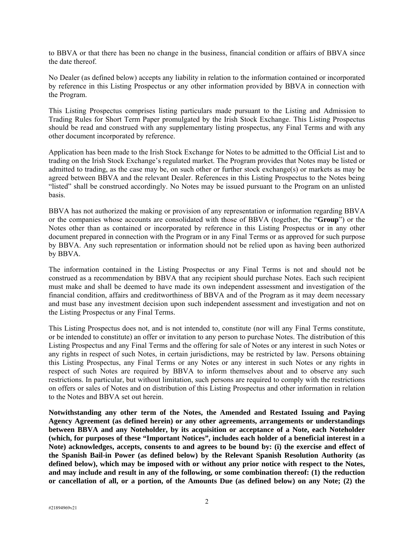to BBVA or that there has been no change in the business, financial condition or affairs of BBVA since the date thereof.

No Dealer (as defined below) accepts any liability in relation to the information contained or incorporated by reference in this Listing Prospectus or any other information provided by BBVA in connection with the Program.

This Listing Prospectus comprises listing particulars made pursuant to the Listing and Admission to Trading Rules for Short Term Paper promulgated by the Irish Stock Exchange. This Listing Prospectus should be read and construed with any supplementary listing prospectus, any Final Terms and with any other document incorporated by reference.

Application has been made to the Irish Stock Exchange for Notes to be admitted to the Official List and to trading on the Irish Stock Exchange's regulated market. The Program provides that Notes may be listed or admitted to trading, as the case may be, on such other or further stock exchange(s) or markets as may be agreed between BBVA and the relevant Dealer. References in this Listing Prospectus to the Notes being "listed" shall be construed accordingly. No Notes may be issued pursuant to the Program on an unlisted basis.

BBVA has not authorized the making or provision of any representation or information regarding BBVA or the companies whose accounts are consolidated with those of BBVA (together, the "**Group**") or the Notes other than as contained or incorporated by reference in this Listing Prospectus or in any other document prepared in connection with the Program or in any Final Terms or as approved for such purpose by BBVA. Any such representation or information should not be relied upon as having been authorized by BBVA.

The information contained in the Listing Prospectus or any Final Terms is not and should not be construed as a recommendation by BBVA that any recipient should purchase Notes. Each such recipient must make and shall be deemed to have made its own independent assessment and investigation of the financial condition, affairs and creditworthiness of BBVA and of the Program as it may deem necessary and must base any investment decision upon such independent assessment and investigation and not on the Listing Prospectus or any Final Terms.

This Listing Prospectus does not, and is not intended to, constitute (nor will any Final Terms constitute, or be intended to constitute) an offer or invitation to any person to purchase Notes. The distribution of this Listing Prospectus and any Final Terms and the offering for sale of Notes or any interest in such Notes or any rights in respect of such Notes, in certain jurisdictions, may be restricted by law. Persons obtaining this Listing Prospectus, any Final Terms or any Notes or any interest in such Notes or any rights in respect of such Notes are required by BBVA to inform themselves about and to observe any such restrictions. In particular, but without limitation, such persons are required to comply with the restrictions on offers or sales of Notes and on distribution of this Listing Prospectus and other information in relation to the Notes and BBVA set out herein.

**Notwithstanding any other term of the Notes, the Amended and Restated Issuing and Paying Agency Agreement (as defined herein) or any other agreements, arrangements or understandings between BBVA and any Noteholder, by its acquisition or acceptance of a Note, each Noteholder (which, for purposes of these "Important Notices", includes each holder of a beneficial interest in a Note) acknowledges, accepts, consents to and agrees to be bound by: (i) the exercise and effect of the Spanish Bail-in Power (as defined below) by the Relevant Spanish Resolution Authority (as defined below), which may be imposed with or without any prior notice with respect to the Notes, and may include and result in any of the following, or some combination thereof: (1) the reduction or cancellation of all, or a portion, of the Amounts Due (as defined below) on any Note; (2) the**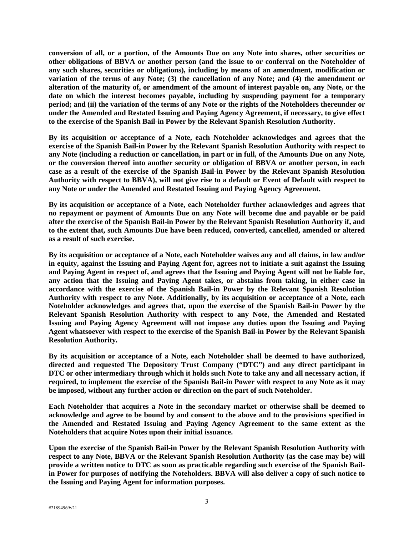**conversion of all, or a portion, of the Amounts Due on any Note into shares, other securities or other obligations of BBVA or another person (and the issue to or conferral on the Noteholder of any such shares, securities or obligations), including by means of an amendment, modification or variation of the terms of any Note; (3) the cancellation of any Note; and (4) the amendment or alteration of the maturity of, or amendment of the amount of interest payable on, any Note, or the date on which the interest becomes payable, including by suspending payment for a temporary period; and (ii) the variation of the terms of any Note or the rights of the Noteholders thereunder or under the Amended and Restated Issuing and Paying Agency Agreement, if necessary, to give effect to the exercise of the Spanish Bail-in Power by the Relevant Spanish Resolution Authority.** 

**By its acquisition or acceptance of a Note, each Noteholder acknowledges and agrees that the exercise of the Spanish Bail-in Power by the Relevant Spanish Resolution Authority with respect to any Note (including a reduction or cancellation, in part or in full, of the Amounts Due on any Note, or the conversion thereof into another security or obligation of BBVA or another person, in each case as a result of the exercise of the Spanish Bail-in Power by the Relevant Spanish Resolution Authority with respect to BBVA), will not give rise to a default or Event of Default with respect to any Note or under the Amended and Restated Issuing and Paying Agency Agreement.** 

**By its acquisition or acceptance of a Note, each Noteholder further acknowledges and agrees that no repayment or payment of Amounts Due on any Note will become due and payable or be paid after the exercise of the Spanish Bail-in Power by the Relevant Spanish Resolution Authority if, and to the extent that, such Amounts Due have been reduced, converted, cancelled, amended or altered as a result of such exercise.** 

**By its acquisition or acceptance of a Note, each Noteholder waives any and all claims, in law and/or in equity, against the Issuing and Paying Agent for, agrees not to initiate a suit against the Issuing and Paying Agent in respect of, and agrees that the Issuing and Paying Agent will not be liable for, any action that the Issuing and Paying Agent takes, or abstains from taking, in either case in accordance with the exercise of the Spanish Bail-in Power by the Relevant Spanish Resolution Authority with respect to any Note. Additionally, by its acquisition or acceptance of a Note, each Noteholder acknowledges and agrees that, upon the exercise of the Spanish Bail-in Power by the Relevant Spanish Resolution Authority with respect to any Note, the Amended and Restated Issuing and Paying Agency Agreement will not impose any duties upon the Issuing and Paying Agent whatsoever with respect to the exercise of the Spanish Bail-in Power by the Relevant Spanish Resolution Authority.** 

**By its acquisition or acceptance of a Note, each Noteholder shall be deemed to have authorized, directed and requested The Depository Trust Company ("DTC") and any direct participant in DTC or other intermediary through which it holds such Note to take any and all necessary action, if required, to implement the exercise of the Spanish Bail-in Power with respect to any Note as it may be imposed, without any further action or direction on the part of such Noteholder.** 

**Each Noteholder that acquires a Note in the secondary market or otherwise shall be deemed to acknowledge and agree to be bound by and consent to the above and to the provisions specified in the Amended and Restated Issuing and Paying Agency Agreement to the same extent as the Noteholders that acquire Notes upon their initial issuance.** 

**Upon the exercise of the Spanish Bail-in Power by the Relevant Spanish Resolution Authority with respect to any Note, BBVA or the Relevant Spanish Resolution Authority (as the case may be) will provide a written notice to DTC as soon as practicable regarding such exercise of the Spanish Bailin Power for purposes of notifying the Noteholders. BBVA will also deliver a copy of such notice to the Issuing and Paying Agent for information purposes.**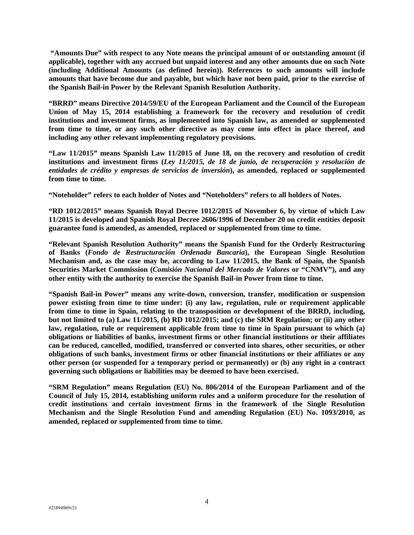**"Amounts Due" with respect to any Note means the principal amount of or outstanding amount (if applicable), together with any accrued but unpaid interest and any other amounts due on such Note (including Additional Amounts (as defined herein)). References to such amounts will include amounts that have become due and payable, but which have not been paid, prior to the exercise of the Spanish Bail-in Power by the Relevant Spanish Resolution Authority.** 

**"BRRD" means Directive 2014/59/EU of the European Parliament and the Council of the European Union of May 15, 2014 establishing a framework for the recovery and resolution of credit institutions and investment firms, as implemented into Spanish law, as amended or supplemented from time to time, or any such other directive as may come into effect in place thereof, and including any other relevant implementing regulatory provisions.** 

**"Law 11/2015" means Spanish Law 11/2015 of June 18, on the recovery and resolution of credit institutions and investment firms (***Ley 11/2015, de 18 de junio, de recuperación y resolución de entidades de crédito y empresas de servicios de inversión***), as amended, replaced or supplemented from time to time.** 

**"Noteholder" refers to each holder of Notes and "Noteholders" refers to all holders of Notes.** 

**"RD 1012/2015" means Spanish Royal Decree 1012/2015 of November 6, by virtue of which Law 11/2015 is developed and Spanish Royal Decree 2606/1996 of December 20 on credit entities deposit guarantee fund is amended, as amended, replaced or supplemented from time to time.** 

**"Relevant Spanish Resolution Authority" means the Spanish Fund for the Orderly Restructuring of Banks (***Fondo de Restructuración Ordenada Bancaria***), the European Single Resolution Mechanism and, as the case may be, according to Law 11/2015, the Bank of Spain, the Spanish Securities Market Commission (***Comisión Nacional del Mercado de Valores* **or "CNMV"), and any other entity with the authority to exercise the Spanish Bail-in Power from time to time.** 

**"Spanish Bail-in Power" means any write-down, conversion, transfer, modification or suspension power existing from time to time under: (i) any law, regulation, rule or requirement applicable from time to time in Spain, relating to the transposition or development of the BRRD, including, but not limited to (a) Law 11/2015, (b) RD 1012/2015; and (c) the SRM Regulation; or (ii) any other law, regulation, rule or requirement applicable from time to time in Spain pursuant to which (a) obligations or liabilities of banks, investment firms or other financial institutions or their affiliates can be reduced, cancelled, modified, transferred or converted into shares, other securities, or other obligations of such banks, investment firms or other financial institutions or their affiliates or any other person (or suspended for a temporary period or permanently) or (b) any right in a contract governing such obligations or liabilities may be deemed to have been exercised.** 

**"SRM Regulation" means Regulation (EU) No. 806/2014 of the European Parliament and of the Council of July 15, 2014, establishing uniform rules and a uniform procedure for the resolution of credit institutions and certain investment firms in the framework of the Single Resolution Mechanism and the Single Resolution Fund and amending Regulation (EU) No. 1093/2010, as amended, replaced or supplemented from time to time.**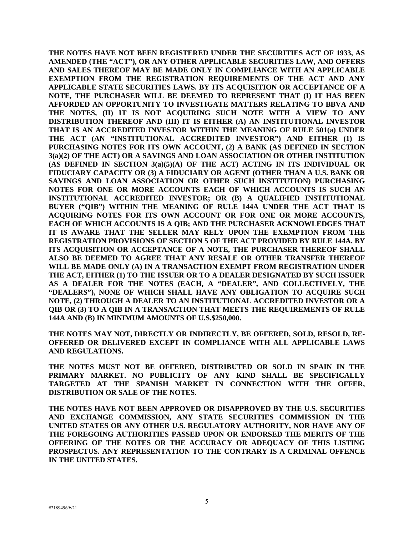**THE NOTES HAVE NOT BEEN REGISTERED UNDER THE SECURITIES ACT OF 1933, AS AMENDED (THE "ACT"), OR ANY OTHER APPLICABLE SECURITIES LAW, AND OFFERS AND SALES THEREOF MAY BE MADE ONLY IN COMPLIANCE WITH AN APPLICABLE EXEMPTION FROM THE REGISTRATION REQUIREMENTS OF THE ACT AND ANY APPLICABLE STATE SECURITIES LAWS. BY ITS ACQUISITION OR ACCEPTANCE OF A NOTE, THE PURCHASER WILL BE DEEMED TO REPRESENT THAT (I) IT HAS BEEN AFFORDED AN OPPORTUNITY TO INVESTIGATE MATTERS RELATING TO BBVA AND THE NOTES, (II) IT IS NOT ACQUIRING SUCH NOTE WITH A VIEW TO ANY DISTRIBUTION THEREOF AND (III) IT IS EITHER (A) AN INSTITUTIONAL INVESTOR THAT IS AN ACCREDITED INVESTOR WITHIN THE MEANING OF RULE 501(a) UNDER THE ACT (AN "INSTITUTIONAL ACCREDITED INVESTOR") AND EITHER (1) IS PURCHASING NOTES FOR ITS OWN ACCOUNT, (2) A BANK (AS DEFINED IN SECTION 3(a)(2) OF THE ACT) OR A SAVINGS AND LOAN ASSOCIATION OR OTHER INSTITUTION (AS DEFINED IN SECTION 3(a)(5)(A) OF THE ACT) ACTING IN ITS INDIVIDUAL OR FIDUCIARY CAPACITY OR (3) A FIDUCIARY OR AGENT (OTHER THAN A U.S. BANK OR SAVINGS AND LOAN ASSOCIATION OR OTHER SUCH INSTITUTION) PURCHASING NOTES FOR ONE OR MORE ACCOUNTS EACH OF WHICH ACCOUNTS IS SUCH AN INSTITUTIONAL ACCREDITED INVESTOR; OR (B) A QUALIFIED INSTITUTIONAL BUYER ("QIB") WITHIN THE MEANING OF RULE 144A UNDER THE ACT THAT IS ACQUIRING NOTES FOR ITS OWN ACCOUNT OR FOR ONE OR MORE ACCOUNTS, EACH OF WHICH ACCOUNTS IS A QIB; AND THE PURCHASER ACKNOWLEDGES THAT IT IS AWARE THAT THE SELLER MAY RELY UPON THE EXEMPTION FROM THE REGISTRATION PROVISIONS OF SECTION 5 OF THE ACT PROVIDED BY RULE 144A. BY ITS ACQUISITION OR ACCEPTANCE OF A NOTE, THE PURCHASER THEREOF SHALL ALSO BE DEEMED TO AGREE THAT ANY RESALE OR OTHER TRANSFER THEREOF WILL BE MADE ONLY (A) IN A TRANSACTION EXEMPT FROM REGISTRATION UNDER THE ACT, EITHER (1) TO THE ISSUER OR TO A DEALER DESIGNATED BY SUCH ISSUER AS A DEALER FOR THE NOTES (EACH, A "DEALER", AND COLLECTIVELY, THE "DEALERS"), NONE OF WHICH SHALL HAVE ANY OBLIGATION TO ACQUIRE SUCH NOTE, (2) THROUGH A DEALER TO AN INSTITUTIONAL ACCREDITED INVESTOR OR A QIB OR (3) TO A QIB IN A TRANSACTION THAT MEETS THE REQUIREMENTS OF RULE 144A AND (B) IN MINIMUM AMOUNTS OF U.S.\$250,000.** 

**THE NOTES MAY NOT, DIRECTLY OR INDIRECTLY, BE OFFERED, SOLD, RESOLD, RE-OFFERED OR DELIVERED EXCEPT IN COMPLIANCE WITH ALL APPLICABLE LAWS AND REGULATIONS.** 

**THE NOTES MUST NOT BE OFFERED, DISTRIBUTED OR SOLD IN SPAIN IN THE PRIMARY MARKET. NO PUBLICITY OF ANY KIND SHALL BE SPECIFICALLY TARGETED AT THE SPANISH MARKET IN CONNECTION WITH THE OFFER, DISTRIBUTION OR SALE OF THE NOTES.** 

**THE NOTES HAVE NOT BEEN APPROVED OR DISAPPROVED BY THE U.S. SECURITIES AND EXCHANGE COMMISSION, ANY STATE SECURITIES COMMISSION IN THE UNITED STATES OR ANY OTHER U.S. REGULATORY AUTHORITY, NOR HAVE ANY OF THE FOREGOING AUTHORITIES PASSED UPON OR ENDORSED THE MERITS OF THE OFFERING OF THE NOTES OR THE ACCURACY OR ADEQUACY OF THIS LISTING PROSPECTUS. ANY REPRESENTATION TO THE CONTRARY IS A CRIMINAL OFFENCE IN THE UNITED STATES.**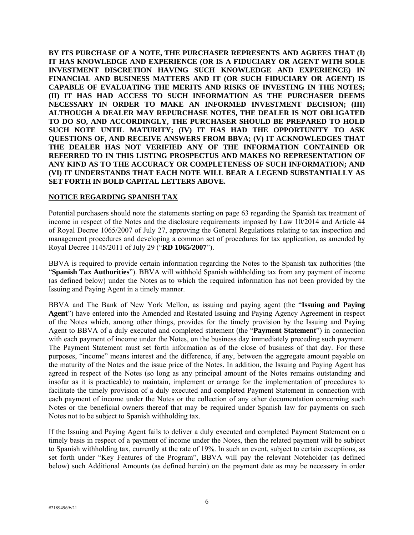**BY ITS PURCHASE OF A NOTE, THE PURCHASER REPRESENTS AND AGREES THAT (I) IT HAS KNOWLEDGE AND EXPERIENCE (OR IS A FIDUCIARY OR AGENT WITH SOLE INVESTMENT DISCRETION HAVING SUCH KNOWLEDGE AND EXPERIENCE) IN FINANCIAL AND BUSINESS MATTERS AND IT (OR SUCH FIDUCIARY OR AGENT) IS CAPABLE OF EVALUATING THE MERITS AND RISKS OF INVESTING IN THE NOTES; (II) IT HAS HAD ACCESS TO SUCH INFORMATION AS THE PURCHASER DEEMS NECESSARY IN ORDER TO MAKE AN INFORMED INVESTMENT DECISION; (III) ALTHOUGH A DEALER MAY REPURCHASE NOTES, THE DEALER IS NOT OBLIGATED TO DO SO, AND ACCORDINGLY, THE PURCHASER SHOULD BE PREPARED TO HOLD SUCH NOTE UNTIL MATURITY; (IV) IT HAS HAD THE OPPORTUNITY TO ASK QUESTIONS OF, AND RECEIVE ANSWERS FROM BBVA; (V) IT ACKNOWLEDGES THAT THE DEALER HAS NOT VERIFIED ANY OF THE INFORMATION CONTAINED OR REFERRED TO IN THIS LISTING PROSPECTUS AND MAKES NO REPRESENTATION OF ANY KIND AS TO THE ACCURACY OR COMPLETENESS OF SUCH INFORMATION; AND (VI) IT UNDERSTANDS THAT EACH NOTE WILL BEAR A LEGEND SUBSTANTIALLY AS SET FORTH IN BOLD CAPITAL LETTERS ABOVE.** 

# **NOTICE REGARDING SPANISH TAX**

Potential purchasers should note the statements starting on page 63 regarding the Spanish tax treatment of income in respect of the Notes and the disclosure requirements imposed by Law 10/2014 and Article 44 of Royal Decree 1065/2007 of July 27, approving the General Regulations relating to tax inspection and management procedures and developing a common set of procedures for tax application, as amended by Royal Decree 1145/2011 of July 29 ("**RD 1065/2007**").

BBVA is required to provide certain information regarding the Notes to the Spanish tax authorities (the "**Spanish Tax Authorities**"). BBVA will withhold Spanish withholding tax from any payment of income (as defined below) under the Notes as to which the required information has not been provided by the Issuing and Paying Agent in a timely manner.

BBVA and The Bank of New York Mellon, as issuing and paying agent (the "**Issuing and Paying Agent**") have entered into the Amended and Restated Issuing and Paying Agency Agreement in respect of the Notes which, among other things, provides for the timely provision by the Issuing and Paying Agent to BBVA of a duly executed and completed statement (the "**Payment Statement**") in connection with each payment of income under the Notes, on the business day immediately preceding such payment. The Payment Statement must set forth information as of the close of business of that day. For these purposes, "income" means interest and the difference, if any, between the aggregate amount payable on the maturity of the Notes and the issue price of the Notes. In addition, the Issuing and Paying Agent has agreed in respect of the Notes (so long as any principal amount of the Notes remains outstanding and insofar as it is practicable) to maintain, implement or arrange for the implementation of procedures to facilitate the timely provision of a duly executed and completed Payment Statement in connection with each payment of income under the Notes or the collection of any other documentation concerning such Notes or the beneficial owners thereof that may be required under Spanish law for payments on such Notes not to be subject to Spanish withholding tax.

If the Issuing and Paying Agent fails to deliver a duly executed and completed Payment Statement on a timely basis in respect of a payment of income under the Notes, then the related payment will be subject to Spanish withholding tax, currently at the rate of 19%. In such an event, subject to certain exceptions, as set forth under "Key Features of the Program", BBVA will pay the relevant Noteholder (as defined below) such Additional Amounts (as defined herein) on the payment date as may be necessary in order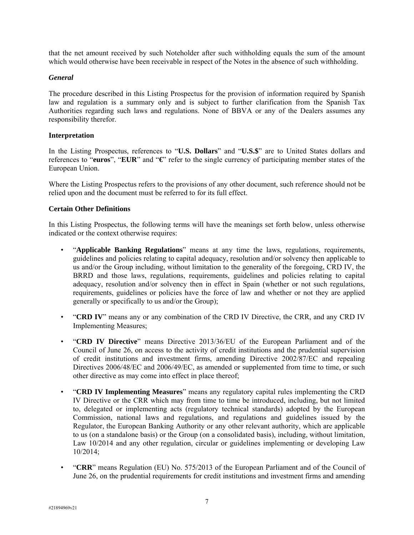that the net amount received by such Noteholder after such withholding equals the sum of the amount which would otherwise have been receivable in respect of the Notes in the absence of such withholding.

#### *General*

The procedure described in this Listing Prospectus for the provision of information required by Spanish law and regulation is a summary only and is subject to further clarification from the Spanish Tax Authorities regarding such laws and regulations. None of BBVA or any of the Dealers assumes any responsibility therefor.

#### **Interpretation**

In the Listing Prospectus, references to "**U.S. Dollars**" and "**U.S.\$**" are to United States dollars and references to "**euros**", "**EUR**" and "**€**" refer to the single currency of participating member states of the European Union.

Where the Listing Prospectus refers to the provisions of any other document, such reference should not be relied upon and the document must be referred to for its full effect.

#### **Certain Other Definitions**

In this Listing Prospectus, the following terms will have the meanings set forth below, unless otherwise indicated or the context otherwise requires:

- "**Applicable Banking Regulations**" means at any time the laws, regulations, requirements, guidelines and policies relating to capital adequacy, resolution and/or solvency then applicable to us and/or the Group including, without limitation to the generality of the foregoing, CRD IV, the BRRD and those laws, regulations, requirements, guidelines and policies relating to capital adequacy, resolution and/or solvency then in effect in Spain (whether or not such regulations, requirements, guidelines or policies have the force of law and whether or not they are applied generally or specifically to us and/or the Group);
- "**CRD IV**" means any or any combination of the CRD IV Directive, the CRR, and any CRD IV Implementing Measures;
- "**CRD IV Directive**" means Directive 2013/36/EU of the European Parliament and of the Council of June 26, on access to the activity of credit institutions and the prudential supervision of credit institutions and investment firms, amending Directive 2002/87/EC and repealing Directives 2006/48/EC and 2006/49/EC, as amended or supplemented from time to time, or such other directive as may come into effect in place thereof;
- "**CRD IV Implementing Measures**" means any regulatory capital rules implementing the CRD IV Directive or the CRR which may from time to time be introduced, including, but not limited to, delegated or implementing acts (regulatory technical standards) adopted by the European Commission, national laws and regulations, and regulations and guidelines issued by the Regulator, the European Banking Authority or any other relevant authority, which are applicable to us (on a standalone basis) or the Group (on a consolidated basis), including, without limitation, Law 10/2014 and any other regulation, circular or guidelines implementing or developing Law 10/2014;
- "**CRR**" means Regulation (EU) No. 575/2013 of the European Parliament and of the Council of June 26, on the prudential requirements for credit institutions and investment firms and amending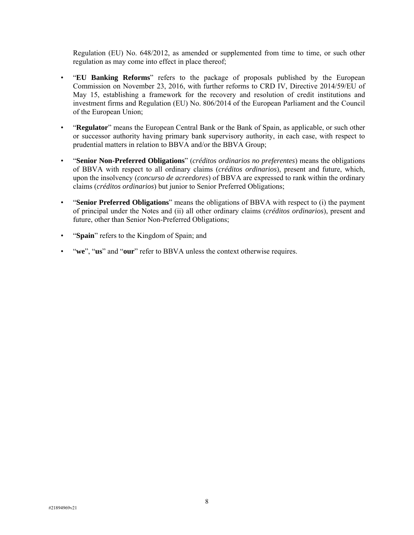Regulation (EU) No. 648/2012, as amended or supplemented from time to time, or such other regulation as may come into effect in place thereof;

- "**EU Banking Reforms**" refers to the package of proposals published by the European Commission on November 23, 2016, with further reforms to CRD IV, Directive 2014/59/EU of May 15, establishing a framework for the recovery and resolution of credit institutions and investment firms and Regulation (EU) No. 806/2014 of the European Parliament and the Council of the European Union;
- "**Regulator**" means the European Central Bank or the Bank of Spain, as applicable, or such other or successor authority having primary bank supervisory authority, in each case, with respect to prudential matters in relation to BBVA and/or the BBVA Group;
- "**Senior Non-Preferred Obligations**" (*créditos ordinarios no preferentes*) means the obligations of BBVA with respect to all ordinary claims (*créditos ordinarios*), present and future, which, upon the insolvency (*concurso de acreedores*) of BBVA are expressed to rank within the ordinary claims (*créditos ordinarios*) but junior to Senior Preferred Obligations;
- "**Senior Preferred Obligations**" means the obligations of BBVA with respect to (i) the payment of principal under the Notes and (ii) all other ordinary claims (*créditos ordinarios*), present and future, other than Senior Non-Preferred Obligations;
- "**Spain**" refers to the Kingdom of Spain; and
- "**we**", "**us**" and "**our**" refer to BBVA unless the context otherwise requires.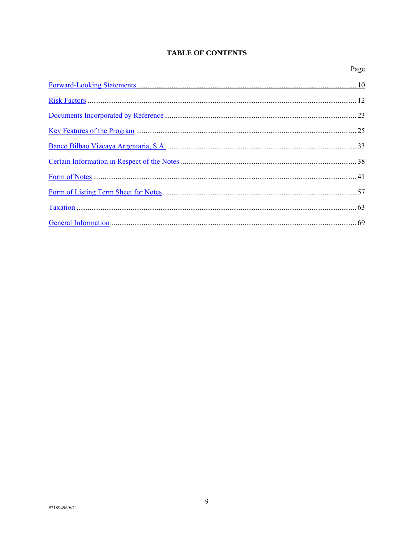# **TABLE OF CONTENTS**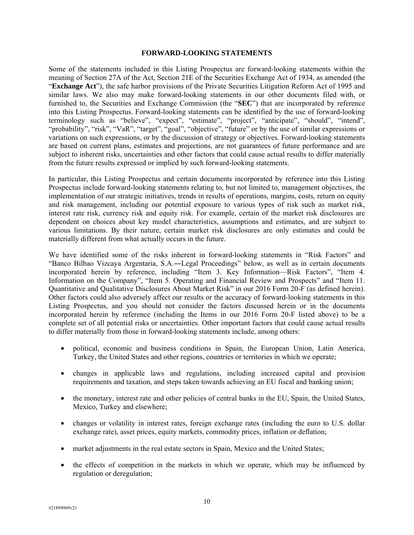#### **FORWARD-LOOKING STATEMENTS**

Some of the statements included in this Listing Prospectus are forward-looking statements within the meaning of Section 27A of the Act, Section 21E of the Securities Exchange Act of 1934, as amended (the "**Exchange Act**"), the safe harbor provisions of the Private Securities Litigation Reform Act of 1995 and similar laws. We also may make forward-looking statements in our other documents filed with, or furnished to, the Securities and Exchange Commission (the "**SEC**") that are incorporated by reference into this Listing Prospectus. Forward-looking statements can be identified by the use of forward-looking terminology such as "believe", "expect", "estimate", "project", "anticipate", "should", "intend", "probability", "risk", "VaR", "target", "goal", "objective", "future" or by the use of similar expressions or variations on such expressions, or by the discussion of strategy or objectives. Forward-looking statements are based on current plans, estimates and projections, are not guarantees of future performance and are subject to inherent risks, uncertainties and other factors that could cause actual results to differ materially from the future results expressed or implied by such forward-looking statements.

In particular, this Listing Prospectus and certain documents incorporated by reference into this Listing Prospectus include forward-looking statements relating to, but not limited to, management objectives, the implementation of our strategic initiatives, trends in results of operations, margins, costs, return on equity and risk management, including our potential exposure to various types of risk such as market risk, interest rate risk, currency risk and equity risk. For example, certain of the market risk disclosures are dependent on choices about key model characteristics, assumptions and estimates, and are subject to various limitations. By their nature, certain market risk disclosures are only estimates and could be materially different from what actually occurs in the future.

We have identified some of the risks inherent in forward-looking statements in "Risk Factors" and "Banco Bilbao Vizcaya Argentaria, S.A.―Legal Proceedings" below, as well as in certain documents incorporated herein by reference, including "Item 3. Key Information—Risk Factors", "Item 4. Information on the Company", "Item 5. Operating and Financial Review and Prospects" and "Item 11. Quantitative and Qualitative Disclosures About Market Risk" in our 2016 Form 20-F (as defined herein). Other factors could also adversely affect our results or the accuracy of forward-looking statements in this Listing Prospectus, and you should not consider the factors discussed herein or in the documents incorporated herein by reference (including the Items in our 2016 Form 20-F listed above) to be a complete set of all potential risks or uncertainties. Other important factors that could cause actual results to differ materially from those in forward-looking statements include, among others:

- political, economic and business conditions in Spain, the European Union, Latin America, Turkey, the United States and other regions, countries or territories in which we operate;
- changes in applicable laws and regulations, including increased capital and provision requirements and taxation, and steps taken towards achieving an EU fiscal and banking union;
- the monetary, interest rate and other policies of central banks in the EU, Spain, the United States, Mexico, Turkey and elsewhere;
- changes or volatility in interest rates, foreign exchange rates (including the euro to U.S. dollar exchange rate), asset prices, equity markets, commodity prices, inflation or deflation;
- market adjustments in the real estate sectors in Spain, Mexico and the United States;
- the effects of competition in the markets in which we operate, which may be influenced by regulation or deregulation;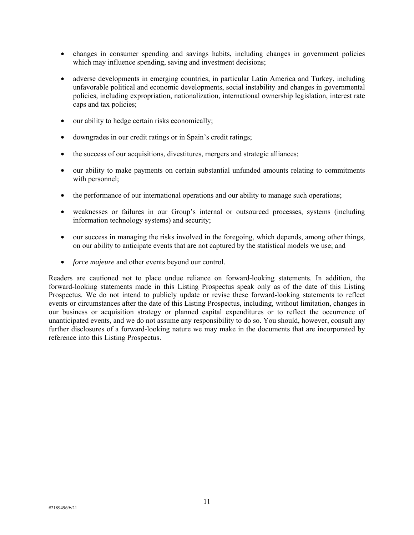- changes in consumer spending and savings habits, including changes in government policies which may influence spending, saving and investment decisions;
- adverse developments in emerging countries, in particular Latin America and Turkey, including unfavorable political and economic developments, social instability and changes in governmental policies, including expropriation, nationalization, international ownership legislation, interest rate caps and tax policies;
- our ability to hedge certain risks economically;
- downgrades in our credit ratings or in Spain's credit ratings;
- the success of our acquisitions, divestitures, mergers and strategic alliances;
- our ability to make payments on certain substantial unfunded amounts relating to commitments with personnel;
- the performance of our international operations and our ability to manage such operations;
- weaknesses or failures in our Group's internal or outsourced processes, systems (including information technology systems) and security;
- our success in managing the risks involved in the foregoing, which depends, among other things, on our ability to anticipate events that are not captured by the statistical models we use; and
- *force majeure* and other events beyond our control.

Readers are cautioned not to place undue reliance on forward-looking statements. In addition, the forward-looking statements made in this Listing Prospectus speak only as of the date of this Listing Prospectus. We do not intend to publicly update or revise these forward-looking statements to reflect events or circumstances after the date of this Listing Prospectus, including, without limitation, changes in our business or acquisition strategy or planned capital expenditures or to reflect the occurrence of unanticipated events, and we do not assume any responsibility to do so. You should, however, consult any further disclosures of a forward-looking nature we may make in the documents that are incorporated by reference into this Listing Prospectus.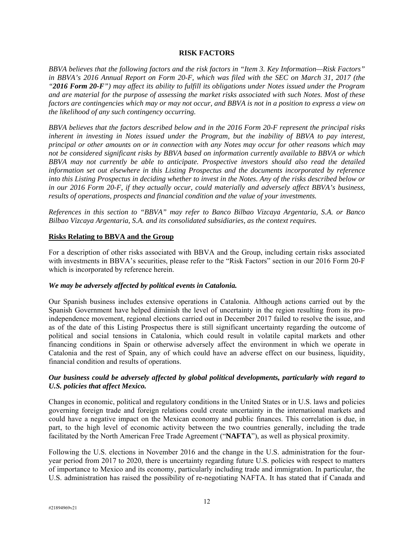#### **RISK FACTORS**

*BBVA believes that the following factors and the risk factors in "Item 3. Key Information—Risk Factors" in BBVA's 2016 Annual Report on Form 20-F, which was filed with the SEC on March 31, 2017 (the "2016 Form 20-F") may affect its ability to fulfill its obligations under Notes issued under the Program and are material for the purpose of assessing the market risks associated with such Notes. Most of these factors are contingencies which may or may not occur, and BBVA is not in a position to express a view on the likelihood of any such contingency occurring.* 

*BBVA believes that the factors described below and in the 2016 Form 20-F represent the principal risks inherent in investing in Notes issued under the Program, but the inability of BBVA to pay interest, principal or other amounts on or in connection with any Notes may occur for other reasons which may not be considered significant risks by BBVA based on information currently available to BBVA or which BBVA may not currently be able to anticipate. Prospective investors should also read the detailed information set out elsewhere in this Listing Prospectus and the documents incorporated by reference into this Listing Prospectus in deciding whether to invest in the Notes. Any of the risks described below or in our 2016 Form 20-F, if they actually occur, could materially and adversely affect BBVA's business, results of operations, prospects and financial condition and the value of your investments.* 

*References in this section to "BBVA" may refer to Banco Bilbao Vizcaya Argentaria, S.A. or Banco Bilbao Vizcaya Argentaria, S.A. and its consolidated subsidiaries, as the context requires.* 

#### **Risks Relating to BBVA and the Group**

For a description of other risks associated with BBVA and the Group, including certain risks associated with investments in BBVA's securities, please refer to the "Risk Factors" section in our 2016 Form 20-F which is incorporated by reference herein.

## *We may be adversely affected by political events in Catalonia.*

Our Spanish business includes extensive operations in Catalonia. Although actions carried out by the Spanish Government have helped diminish the level of uncertainty in the region resulting from its proindependence movement, regional elections carried out in December 2017 failed to resolve the issue, and as of the date of this Listing Prospectus there is still significant uncertainty regarding the outcome of political and social tensions in Catalonia, which could result in volatile capital markets and other financing conditions in Spain or otherwise adversely affect the environment in which we operate in Catalonia and the rest of Spain, any of which could have an adverse effect on our business, liquidity, financial condition and results of operations.

## *Our business could be adversely affected by global political developments, particularly with regard to U.S. policies that affect Mexico.*

Changes in economic, political and regulatory conditions in the United States or in U.S. laws and policies governing foreign trade and foreign relations could create uncertainty in the international markets and could have a negative impact on the Mexican economy and public finances. This correlation is due, in part, to the high level of economic activity between the two countries generally, including the trade facilitated by the North American Free Trade Agreement ("**NAFTA**"), as well as physical proximity.

Following the U.S. elections in November 2016 and the change in the U.S. administration for the fouryear period from 2017 to 2020, there is uncertainty regarding future U.S. policies with respect to matters of importance to Mexico and its economy, particularly including trade and immigration. In particular, the U.S. administration has raised the possibility of re-negotiating NAFTA. It has stated that if Canada and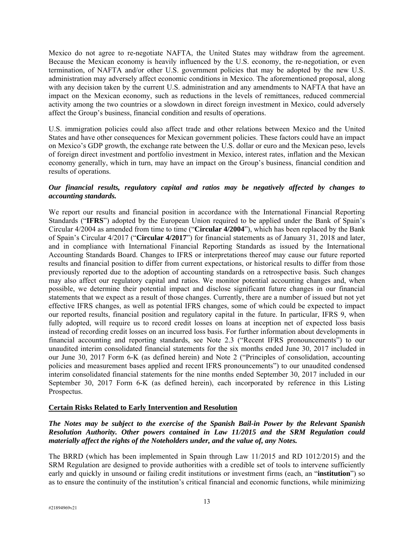Mexico do not agree to re-negotiate NAFTA, the United States may withdraw from the agreement. Because the Mexican economy is heavily influenced by the U.S. economy, the re-negotiation, or even termination, of NAFTA and/or other U.S. government policies that may be adopted by the new U.S. administration may adversely affect economic conditions in Mexico. The aforementioned proposal, along with any decision taken by the current U.S. administration and any amendments to NAFTA that have an impact on the Mexican economy, such as reductions in the levels of remittances, reduced commercial activity among the two countries or a slowdown in direct foreign investment in Mexico, could adversely affect the Group's business, financial condition and results of operations.

U.S. immigration policies could also affect trade and other relations between Mexico and the United States and have other consequences for Mexican government policies. These factors could have an impact on Mexico's GDP growth, the exchange rate between the U.S. dollar or euro and the Mexican peso, levels of foreign direct investment and portfolio investment in Mexico, interest rates, inflation and the Mexican economy generally, which in turn, may have an impact on the Group's business, financial condition and results of operations.

## *Our financial results, regulatory capital and ratios may be negatively affected by changes to accounting standards.*

We report our results and financial position in accordance with the International Financial Reporting Standards ("**IFRS**") adopted by the European Union required to be applied under the Bank of Spain's Circular 4/2004 as amended from time to time ("**Circular 4/2004**"), which has been replaced by the Bank of Spain's Circular 4/2017 ("**Circular 4/2017**") for financial statements as of January 31, 2018 and later, and in compliance with International Financial Reporting Standards as issued by the International Accounting Standards Board. Changes to IFRS or interpretations thereof may cause our future reported results and financial position to differ from current expectations, or historical results to differ from those previously reported due to the adoption of accounting standards on a retrospective basis. Such changes may also affect our regulatory capital and ratios. We monitor potential accounting changes and, when possible, we determine their potential impact and disclose significant future changes in our financial statements that we expect as a result of those changes. Currently, there are a number of issued but not yet effective IFRS changes, as well as potential IFRS changes, some of which could be expected to impact our reported results, financial position and regulatory capital in the future. In particular, IFRS 9, when fully adopted, will require us to record credit losses on loans at inception net of expected loss basis instead of recording credit losses on an incurred loss basis. For further information about developments in financial accounting and reporting standards, see Note 2.3 ("Recent IFRS pronouncements") to our unaudited interim consolidated financial statements for the six months ended June 30, 2017 included in our June 30, 2017 Form 6-K (as defined herein) and Note 2 ("Principles of consolidation, accounting policies and measurement bases applied and recent IFRS pronouncements") to our unaudited condensed interim consolidated financial statements for the nine months ended September 30, 2017 included in our September 30, 2017 Form 6-K (as defined herein), each incorporated by reference in this Listing Prospectus.

## **Certain Risks Related to Early Intervention and Resolution**

## *The Notes may be subject to the exercise of the Spanish Bail-in Power by the Relevant Spanish Resolution Authority. Other powers contained in Law 11/2015 and the SRM Regulation could materially affect the rights of the Noteholders under, and the value of, any Notes.*

The BRRD (which has been implemented in Spain through Law 11/2015 and RD 1012/2015) and the SRM Regulation are designed to provide authorities with a credible set of tools to intervene sufficiently early and quickly in unsound or failing credit institutions or investment firms (each, an "**institution**") so as to ensure the continuity of the institution's critical financial and economic functions, while minimizing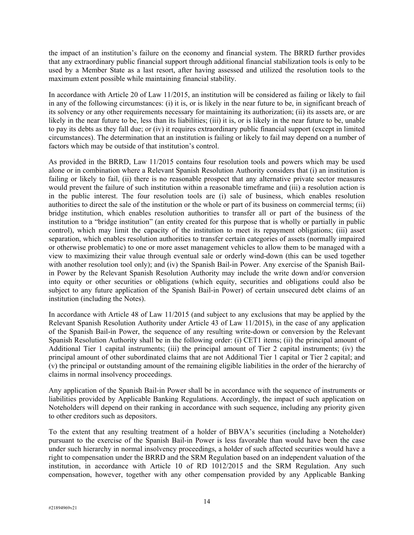the impact of an institution's failure on the economy and financial system. The BRRD further provides that any extraordinary public financial support through additional financial stabilization tools is only to be used by a Member State as a last resort, after having assessed and utilized the resolution tools to the maximum extent possible while maintaining financial stability.

In accordance with Article 20 of Law 11/2015, an institution will be considered as failing or likely to fail in any of the following circumstances: (i) it is, or is likely in the near future to be, in significant breach of its solvency or any other requirements necessary for maintaining its authorization; (ii) its assets are, or are likely in the near future to be, less than its liabilities; (iii) it is, or is likely in the near future to be, unable to pay its debts as they fall due; or (iv) it requires extraordinary public financial support (except in limited circumstances). The determination that an institution is failing or likely to fail may depend on a number of factors which may be outside of that institution's control.

As provided in the BRRD, Law 11/2015 contains four resolution tools and powers which may be used alone or in combination where a Relevant Spanish Resolution Authority considers that (i) an institution is failing or likely to fail, (ii) there is no reasonable prospect that any alternative private sector measures would prevent the failure of such institution within a reasonable timeframe and (iii) a resolution action is in the public interest. The four resolution tools are (i) sale of business, which enables resolution authorities to direct the sale of the institution or the whole or part of its business on commercial terms; (ii) bridge institution, which enables resolution authorities to transfer all or part of the business of the institution to a "bridge institution" (an entity created for this purpose that is wholly or partially in public control), which may limit the capacity of the institution to meet its repayment obligations; (iii) asset separation, which enables resolution authorities to transfer certain categories of assets (normally impaired or otherwise problematic) to one or more asset management vehicles to allow them to be managed with a view to maximizing their value through eventual sale or orderly wind-down (this can be used together with another resolution tool only); and (iv) the Spanish Bail-in Power. Any exercise of the Spanish Bailin Power by the Relevant Spanish Resolution Authority may include the write down and/or conversion into equity or other securities or obligations (which equity, securities and obligations could also be subject to any future application of the Spanish Bail-in Power) of certain unsecured debt claims of an institution (including the Notes).

In accordance with Article 48 of Law 11/2015 (and subject to any exclusions that may be applied by the Relevant Spanish Resolution Authority under Article 43 of Law 11/2015), in the case of any application of the Spanish Bail-in Power, the sequence of any resulting write-down or conversion by the Relevant Spanish Resolution Authority shall be in the following order: (i) CET1 items; (ii) the principal amount of Additional Tier 1 capital instruments; (iii) the principal amount of Tier 2 capital instruments; (iv) the principal amount of other subordinated claims that are not Additional Tier 1 capital or Tier 2 capital; and (v) the principal or outstanding amount of the remaining eligible liabilities in the order of the hierarchy of claims in normal insolvency proceedings.

Any application of the Spanish Bail-in Power shall be in accordance with the sequence of instruments or liabilities provided by Applicable Banking Regulations. Accordingly, the impact of such application on Noteholders will depend on their ranking in accordance with such sequence, including any priority given to other creditors such as depositors.

To the extent that any resulting treatment of a holder of BBVA's securities (including a Noteholder) pursuant to the exercise of the Spanish Bail-in Power is less favorable than would have been the case under such hierarchy in normal insolvency proceedings, a holder of such affected securities would have a right to compensation under the BRRD and the SRM Regulation based on an independent valuation of the institution, in accordance with Article 10 of RD 1012/2015 and the SRM Regulation. Any such compensation, however, together with any other compensation provided by any Applicable Banking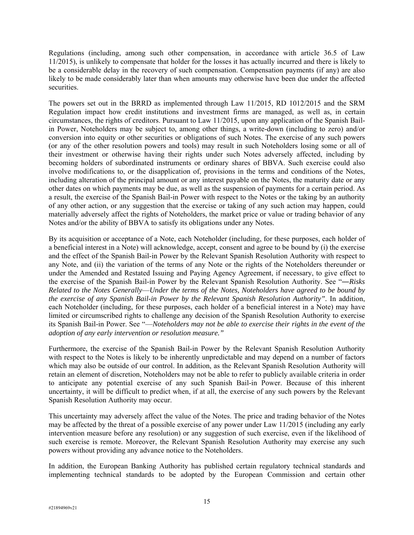Regulations (including, among such other compensation, in accordance with article 36.5 of Law 11/2015), is unlikely to compensate that holder for the losses it has actually incurred and there is likely to be a considerable delay in the recovery of such compensation. Compensation payments (if any) are also likely to be made considerably later than when amounts may otherwise have been due under the affected securities.

The powers set out in the BRRD as implemented through Law 11/2015, RD 1012/2015 and the SRM Regulation impact how credit institutions and investment firms are managed, as well as, in certain circumstances, the rights of creditors. Pursuant to Law 11/2015, upon any application of the Spanish Bailin Power, Noteholders may be subject to, among other things, a write-down (including to zero) and/or conversion into equity or other securities or obligations of such Notes. The exercise of any such powers (or any of the other resolution powers and tools) may result in such Noteholders losing some or all of their investment or otherwise having their rights under such Notes adversely affected, including by becoming holders of subordinated instruments or ordinary shares of BBVA. Such exercise could also involve modifications to, or the disapplication of, provisions in the terms and conditions of the Notes, including alteration of the principal amount or any interest payable on the Notes, the maturity date or any other dates on which payments may be due, as well as the suspension of payments for a certain period. As a result, the exercise of the Spanish Bail-in Power with respect to the Notes or the taking by an authority of any other action, or any suggestion that the exercise or taking of any such action may happen, could materially adversely affect the rights of Noteholders, the market price or value or trading behavior of any Notes and/or the ability of BBVA to satisfy its obligations under any Notes.

By its acquisition or acceptance of a Note, each Noteholder (including, for these purposes, each holder of a beneficial interest in a Note) will acknowledge, accept, consent and agree to be bound by (i) the exercise and the effect of the Spanish Bail-in Power by the Relevant Spanish Resolution Authority with respect to any Note, and (ii) the variation of the terms of any Note or the rights of the Noteholders thereunder or under the Amended and Restated Issuing and Paying Agency Agreement, if necessary, to give effect to the exercise of the Spanish Bail-in Power by the Relevant Spanish Resolution Authority. See "―*Risks Related to the Notes Generally*—*Under the terms of the Notes, Noteholders have agreed to be bound by the exercise of any Spanish Bail-in Power by the Relevant Spanish Resolution Authority".* In addition, each Noteholder (including, for these purposes, each holder of a beneficial interest in a Note) may have limited or circumscribed rights to challenge any decision of the Spanish Resolution Authority to exercise its Spanish Bail-in Power. See "—*Noteholders may not be able to exercise their rights in the event of the adoption of any early intervention or resolution measure."*

Furthermore, the exercise of the Spanish Bail-in Power by the Relevant Spanish Resolution Authority with respect to the Notes is likely to be inherently unpredictable and may depend on a number of factors which may also be outside of our control. In addition, as the Relevant Spanish Resolution Authority will retain an element of discretion, Noteholders may not be able to refer to publicly available criteria in order to anticipate any potential exercise of any such Spanish Bail-in Power. Because of this inherent uncertainty, it will be difficult to predict when, if at all, the exercise of any such powers by the Relevant Spanish Resolution Authority may occur.

This uncertainty may adversely affect the value of the Notes. The price and trading behavior of the Notes may be affected by the threat of a possible exercise of any power under Law 11/2015 (including any early intervention measure before any resolution) or any suggestion of such exercise, even if the likelihood of such exercise is remote. Moreover, the Relevant Spanish Resolution Authority may exercise any such powers without providing any advance notice to the Noteholders.

In addition, the European Banking Authority has published certain regulatory technical standards and implementing technical standards to be adopted by the European Commission and certain other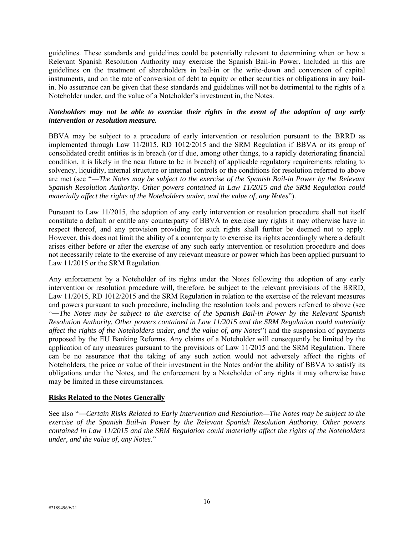guidelines. These standards and guidelines could be potentially relevant to determining when or how a Relevant Spanish Resolution Authority may exercise the Spanish Bail-in Power. Included in this are guidelines on the treatment of shareholders in bail-in or the write-down and conversion of capital instruments, and on the rate of conversion of debt to equity or other securities or obligations in any bailin. No assurance can be given that these standards and guidelines will not be detrimental to the rights of a Noteholder under, and the value of a Noteholder's investment in, the Notes.

# *Noteholders may not be able to exercise their rights in the event of the adoption of any early intervention or resolution measure.*

BBVA may be subject to a procedure of early intervention or resolution pursuant to the BRRD as implemented through Law 11/2015, RD 1012/2015 and the SRM Regulation if BBVA or its group of consolidated credit entities is in breach (or if due, among other things, to a rapidly deteriorating financial condition, it is likely in the near future to be in breach) of applicable regulatory requirements relating to solvency, liquidity, internal structure or internal controls or the conditions for resolution referred to above are met (see "―*The Notes may be subject to the exercise of the Spanish Bail-in Power by the Relevant Spanish Resolution Authority. Other powers contained in Law 11/2015 and the SRM Regulation could materially affect the rights of the Noteholders under, and the value of, any Notes*").

Pursuant to Law 11/2015, the adoption of any early intervention or resolution procedure shall not itself constitute a default or entitle any counterparty of BBVA to exercise any rights it may otherwise have in respect thereof, and any provision providing for such rights shall further be deemed not to apply. However, this does not limit the ability of a counterparty to exercise its rights accordingly where a default arises either before or after the exercise of any such early intervention or resolution procedure and does not necessarily relate to the exercise of any relevant measure or power which has been applied pursuant to Law 11/2015 or the SRM Regulation.

Any enforcement by a Noteholder of its rights under the Notes following the adoption of any early intervention or resolution procedure will, therefore, be subject to the relevant provisions of the BRRD, Law 11/2015, RD 1012/2015 and the SRM Regulation in relation to the exercise of the relevant measures and powers pursuant to such procedure, including the resolution tools and powers referred to above (see "―*The Notes may be subject to the exercise of the Spanish Bail-in Power by the Relevant Spanish Resolution Authority. Other powers contained in Law 11/2015 and the SRM Regulation could materially affect the rights of the Noteholders under, and the value of, any Notes*") and the suspension of payments proposed by the EU Banking Reforms. Any claims of a Noteholder will consequently be limited by the application of any measures pursuant to the provisions of Law 11/2015 and the SRM Regulation. There can be no assurance that the taking of any such action would not adversely affect the rights of Noteholders, the price or value of their investment in the Notes and/or the ability of BBVA to satisfy its obligations under the Notes, and the enforcement by a Noteholder of any rights it may otherwise have may be limited in these circumstances.

## **Risks Related to the Notes Generally**

See also "―*Certain Risks Related to Early Intervention and Resolution—The Notes may be subject to the exercise of the Spanish Bail-in Power by the Relevant Spanish Resolution Authority. Other powers contained in Law 11/2015 and the SRM Regulation could materially affect the rights of the Noteholders under, and the value of, any Notes*."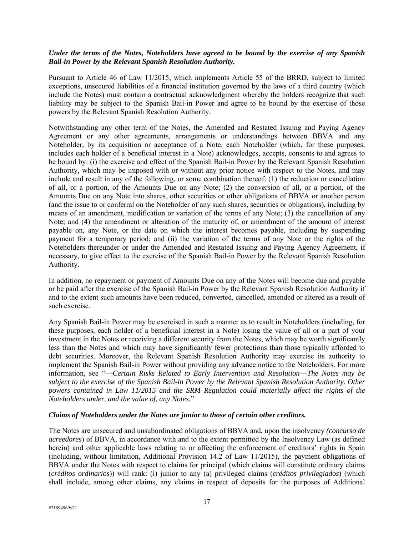## *Under the terms of the Notes, Noteholders have agreed to be bound by the exercise of any Spanish Bail-in Power by the Relevant Spanish Resolution Authority.*

Pursuant to Article 46 of Law 11/2015, which implements Article 55 of the BRRD, subject to limited exceptions, unsecured liabilities of a financial institution governed by the laws of a third country (which include the Notes) must contain a contractual acknowledgment whereby the holders recognize that such liability may be subject to the Spanish Bail-in Power and agree to be bound by the exercise of those powers by the Relevant Spanish Resolution Authority.

Notwithstanding any other term of the Notes, the Amended and Restated Issuing and Paying Agency Agreement or any other agreements, arrangements or understandings between BBVA and any Noteholder, by its acquisition or acceptance of a Note, each Noteholder (which, for these purposes, includes each holder of a beneficial interest in a Note) acknowledges, accepts, consents to and agrees to be bound by: (i) the exercise and effect of the Spanish Bail-in Power by the Relevant Spanish Resolution Authority, which may be imposed with or without any prior notice with respect to the Notes, and may include and result in any of the following, or some combination thereof: (1) the reduction or cancellation of all, or a portion, of the Amounts Due on any Note; (2) the conversion of all, or a portion, of the Amounts Due on any Note into shares, other securities or other obligations of BBVA or another person (and the issue to or conferral on the Noteholder of any such shares, securities or obligations), including by means of an amendment, modification or variation of the terms of any Note; (3) the cancellation of any Note; and (4) the amendment or alteration of the maturity of, or amendment of the amount of interest payable on, any Note, or the date on which the interest becomes payable, including by suspending payment for a temporary period; and (ii) the variation of the terms of any Note or the rights of the Noteholders thereunder or under the Amended and Restated Issuing and Paying Agency Agreement, if necessary, to give effect to the exercise of the Spanish Bail-in Power by the Relevant Spanish Resolution Authority.

In addition, no repayment or payment of Amounts Due on any of the Notes will become due and payable or be paid after the exercise of the Spanish Bail-in Power by the Relevant Spanish Resolution Authority if and to the extent such amounts have been reduced, converted, cancelled, amended or altered as a result of such exercise.

Any Spanish Bail-in Power may be exercised in such a manner as to result in Noteholders (including, for these purposes, each holder of a beneficial interest in a Note) losing the value of all or a part of your investment in the Notes or receiving a different security from the Notes, which may be worth significantly less than the Notes and which may have significantly fewer protections than those typically afforded to debt securities. Moreover, the Relevant Spanish Resolution Authority may exercise its authority to implement the Spanish Bail-in Power without providing any advance notice to the Noteholders. For more information, see "—*Certain Risks Related to Early Intervention and Resolution*—*The Notes may be subject to the exercise of the Spanish Bail-in Power by the Relevant Spanish Resolution Authority. Other powers contained in Law 11/2015 and the SRM Regulation could materially affect the rights of the Noteholders under, and the value of, any Notes.*"

#### *Claims of Noteholders under the Notes are junior to those of certain other creditors.*

The Notes are unsecured and unsubordinated obligations of BBVA and, upon the insolvency *(concurso de acreedores*) of BBVA, in accordance with and to the extent permitted by the Insolvency Law (as defined herein) and other applicable laws relating to or affecting the enforcement of creditors' rights in Spain (including, without limitation, Additional Provision 14.2 of Law 11/2015), the payment obligations of BBVA under the Notes with respect to claims for principal (which claims will constitute ordinary claims (*créditos ordinarios*)) will rank: (i) junior to any (a) privileged claims (*créditos privilegiados*) (which shall include, among other claims, any claims in respect of deposits for the purposes of Additional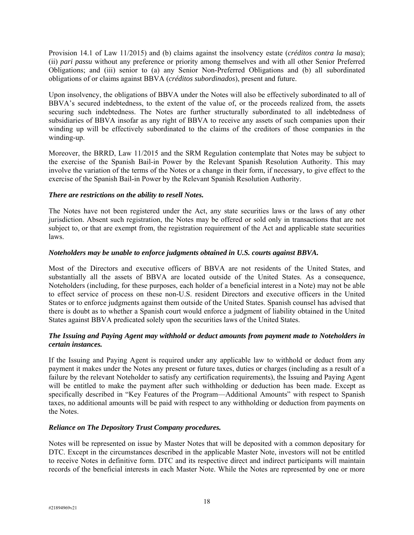Provision 14.1 of Law 11/2015) and (b) claims against the insolvency estate (*créditos contra la masa*); (ii) *pari passu* without any preference or priority among themselves and with all other Senior Preferred Obligations; and (iii) senior to (a) any Senior Non-Preferred Obligations and (b) all subordinated obligations of or claims against BBVA (*créditos subordinados*), present and future.

Upon insolvency, the obligations of BBVA under the Notes will also be effectively subordinated to all of BBVA's secured indebtedness, to the extent of the value of, or the proceeds realized from, the assets securing such indebtedness. The Notes are further structurally subordinated to all indebtedness of subsidiaries of BBVA insofar as any right of BBVA to receive any assets of such companies upon their winding up will be effectively subordinated to the claims of the creditors of those companies in the winding-up.

Moreover, the BRRD, Law 11/2015 and the SRM Regulation contemplate that Notes may be subject to the exercise of the Spanish Bail-in Power by the Relevant Spanish Resolution Authority. This may involve the variation of the terms of the Notes or a change in their form, if necessary, to give effect to the exercise of the Spanish Bail-in Power by the Relevant Spanish Resolution Authority.

## *There are restrictions on the ability to resell Notes.*

The Notes have not been registered under the Act, any state securities laws or the laws of any other jurisdiction. Absent such registration, the Notes may be offered or sold only in transactions that are not subject to, or that are exempt from, the registration requirement of the Act and applicable state securities laws.

# *Noteholders may be unable to enforce judgments obtained in U.S. courts against BBVA.*

Most of the Directors and executive officers of BBVA are not residents of the United States, and substantially all the assets of BBVA are located outside of the United States. As a consequence, Noteholders (including, for these purposes, each holder of a beneficial interest in a Note) may not be able to effect service of process on these non-U.S. resident Directors and executive officers in the United States or to enforce judgments against them outside of the United States. Spanish counsel has advised that there is doubt as to whether a Spanish court would enforce a judgment of liability obtained in the United States against BBVA predicated solely upon the securities laws of the United States.

# *The Issuing and Paying Agent may withhold or deduct amounts from payment made to Noteholders in certain instances.*

If the Issuing and Paying Agent is required under any applicable law to withhold or deduct from any payment it makes under the Notes any present or future taxes, duties or charges (including as a result of a failure by the relevant Noteholder to satisfy any certification requirements), the Issuing and Paying Agent will be entitled to make the payment after such withholding or deduction has been made. Except as specifically described in "Key Features of the Program—Additional Amounts" with respect to Spanish taxes, no additional amounts will be paid with respect to any withholding or deduction from payments on the Notes.

## *Reliance on The Depository Trust Company procedures.*

Notes will be represented on issue by Master Notes that will be deposited with a common depositary for DTC. Except in the circumstances described in the applicable Master Note, investors will not be entitled to receive Notes in definitive form. DTC and its respective direct and indirect participants will maintain records of the beneficial interests in each Master Note. While the Notes are represented by one or more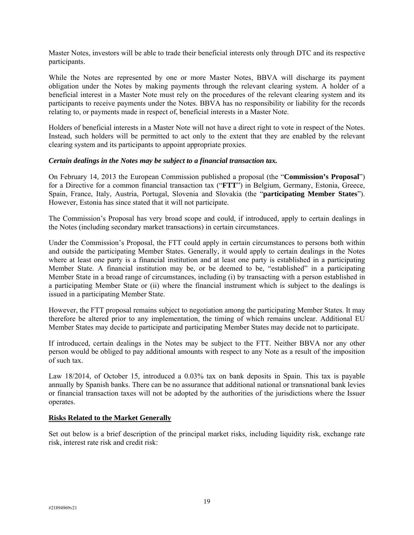Master Notes, investors will be able to trade their beneficial interests only through DTC and its respective participants.

While the Notes are represented by one or more Master Notes, BBVA will discharge its payment obligation under the Notes by making payments through the relevant clearing system. A holder of a beneficial interest in a Master Note must rely on the procedures of the relevant clearing system and its participants to receive payments under the Notes. BBVA has no responsibility or liability for the records relating to, or payments made in respect of, beneficial interests in a Master Note.

Holders of beneficial interests in a Master Note will not have a direct right to vote in respect of the Notes. Instead, such holders will be permitted to act only to the extent that they are enabled by the relevant clearing system and its participants to appoint appropriate proxies.

#### *Certain dealings in the Notes may be subject to a financial transaction tax.*

On February 14, 2013 the European Commission published a proposal (the "**Commission's Proposal**") for a Directive for a common financial transaction tax ("**FTT**") in Belgium, Germany, Estonia, Greece, Spain, France, Italy, Austria, Portugal, Slovenia and Slovakia (the "**participating Member States**"). However, Estonia has since stated that it will not participate.

The Commission's Proposal has very broad scope and could, if introduced, apply to certain dealings in the Notes (including secondary market transactions) in certain circumstances.

Under the Commission's Proposal, the FTT could apply in certain circumstances to persons both within and outside the participating Member States. Generally, it would apply to certain dealings in the Notes where at least one party is a financial institution and at least one party is established in a participating Member State. A financial institution may be, or be deemed to be, "established" in a participating Member State in a broad range of circumstances, including (i) by transacting with a person established in a participating Member State or (ii) where the financial instrument which is subject to the dealings is issued in a participating Member State.

However, the FTT proposal remains subject to negotiation among the participating Member States. It may therefore be altered prior to any implementation, the timing of which remains unclear. Additional EU Member States may decide to participate and participating Member States may decide not to participate.

If introduced, certain dealings in the Notes may be subject to the FTT. Neither BBVA nor any other person would be obliged to pay additional amounts with respect to any Note as a result of the imposition of such tax.

Law 18/2014, of October 15, introduced a 0.03% tax on bank deposits in Spain. This tax is payable annually by Spanish banks. There can be no assurance that additional national or transnational bank levies or financial transaction taxes will not be adopted by the authorities of the jurisdictions where the Issuer operates.

## **Risks Related to the Market Generally**

Set out below is a brief description of the principal market risks, including liquidity risk, exchange rate risk, interest rate risk and credit risk: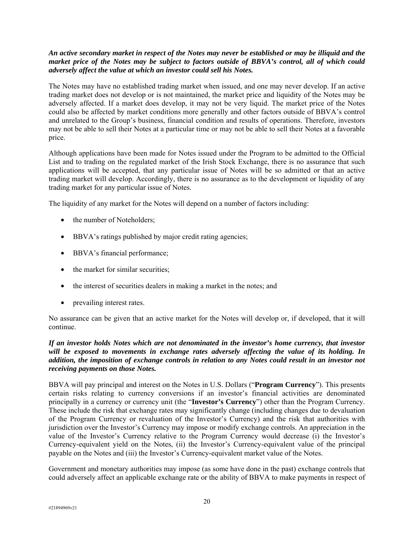## *An active secondary market in respect of the Notes may never be established or may be illiquid and the market price of the Notes may be subject to factors outside of BBVA's control, all of which could adversely affect the value at which an investor could sell his Notes.*

The Notes may have no established trading market when issued, and one may never develop. If an active trading market does not develop or is not maintained, the market price and liquidity of the Notes may be adversely affected. If a market does develop, it may not be very liquid. The market price of the Notes could also be affected by market conditions more generally and other factors outside of BBVA's control and unrelated to the Group's business, financial condition and results of operations. Therefore, investors may not be able to sell their Notes at a particular time or may not be able to sell their Notes at a favorable price.

Although applications have been made for Notes issued under the Program to be admitted to the Official List and to trading on the regulated market of the Irish Stock Exchange, there is no assurance that such applications will be accepted, that any particular issue of Notes will be so admitted or that an active trading market will develop. Accordingly, there is no assurance as to the development or liquidity of any trading market for any particular issue of Notes.

The liquidity of any market for the Notes will depend on a number of factors including:

- the number of Noteholders;
- BBVA's ratings published by major credit rating agencies;
- BBVA's financial performance;
- the market for similar securities:
- the interest of securities dealers in making a market in the notes; and
- prevailing interest rates.

No assurance can be given that an active market for the Notes will develop or, if developed, that it will continue.

## *If an investor holds Notes which are not denominated in the investor's home currency, that investor will be exposed to movements in exchange rates adversely affecting the value of its holding. In addition, the imposition of exchange controls in relation to any Notes could result in an investor not receiving payments on those Notes.*

BBVA will pay principal and interest on the Notes in U.S. Dollars ("**Program Currency**"). This presents certain risks relating to currency conversions if an investor's financial activities are denominated principally in a currency or currency unit (the "**Investor's Currency**") other than the Program Currency. These include the risk that exchange rates may significantly change (including changes due to devaluation of the Program Currency or revaluation of the Investor's Currency) and the risk that authorities with jurisdiction over the Investor's Currency may impose or modify exchange controls. An appreciation in the value of the Investor's Currency relative to the Program Currency would decrease (i) the Investor's Currency-equivalent yield on the Notes, (ii) the Investor's Currency-equivalent value of the principal payable on the Notes and (iii) the Investor's Currency-equivalent market value of the Notes.

Government and monetary authorities may impose (as some have done in the past) exchange controls that could adversely affect an applicable exchange rate or the ability of BBVA to make payments in respect of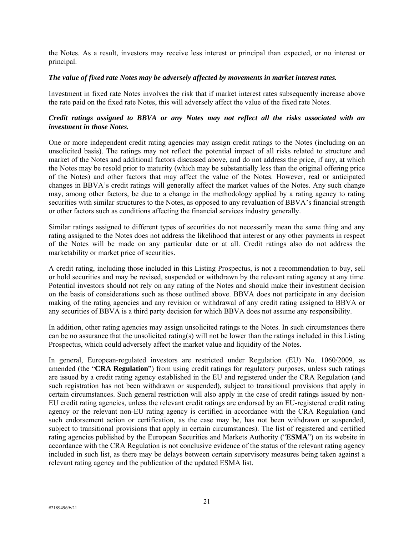the Notes. As a result, investors may receive less interest or principal than expected, or no interest or principal.

#### *The value of fixed rate Notes may be adversely affected by movements in market interest rates.*

Investment in fixed rate Notes involves the risk that if market interest rates subsequently increase above the rate paid on the fixed rate Notes, this will adversely affect the value of the fixed rate Notes.

## *Credit ratings assigned to BBVA or any Notes may not reflect all the risks associated with an investment in those Notes.*

One or more independent credit rating agencies may assign credit ratings to the Notes (including on an unsolicited basis). The ratings may not reflect the potential impact of all risks related to structure and market of the Notes and additional factors discussed above, and do not address the price, if any, at which the Notes may be resold prior to maturity (which may be substantially less than the original offering price of the Notes) and other factors that may affect the value of the Notes. However, real or anticipated changes in BBVA's credit ratings will generally affect the market values of the Notes. Any such change may, among other factors, be due to a change in the methodology applied by a rating agency to rating securities with similar structures to the Notes, as opposed to any revaluation of BBVA's financial strength or other factors such as conditions affecting the financial services industry generally.

Similar ratings assigned to different types of securities do not necessarily mean the same thing and any rating assigned to the Notes does not address the likelihood that interest or any other payments in respect of the Notes will be made on any particular date or at all. Credit ratings also do not address the marketability or market price of securities.

A credit rating, including those included in this Listing Prospectus, is not a recommendation to buy, sell or hold securities and may be revised, suspended or withdrawn by the relevant rating agency at any time. Potential investors should not rely on any rating of the Notes and should make their investment decision on the basis of considerations such as those outlined above. BBVA does not participate in any decision making of the rating agencies and any revision or withdrawal of any credit rating assigned to BBVA or any securities of BBVA is a third party decision for which BBVA does not assume any responsibility.

In addition, other rating agencies may assign unsolicited ratings to the Notes. In such circumstances there can be no assurance that the unsolicited rating(s) will not be lower than the ratings included in this Listing Prospectus, which could adversely affect the market value and liquidity of the Notes.

In general, European-regulated investors are restricted under Regulation (EU) No. 1060/2009, as amended (the "**CRA Regulation**") from using credit ratings for regulatory purposes, unless such ratings are issued by a credit rating agency established in the EU and registered under the CRA Regulation (and such registration has not been withdrawn or suspended), subject to transitional provisions that apply in certain circumstances. Such general restriction will also apply in the case of credit ratings issued by non-EU credit rating agencies, unless the relevant credit ratings are endorsed by an EU-registered credit rating agency or the relevant non-EU rating agency is certified in accordance with the CRA Regulation (and such endorsement action or certification, as the case may be, has not been withdrawn or suspended, subject to transitional provisions that apply in certain circumstances). The list of registered and certified rating agencies published by the European Securities and Markets Authority ("**ESMA**") on its website in accordance with the CRA Regulation is not conclusive evidence of the status of the relevant rating agency included in such list, as there may be delays between certain supervisory measures being taken against a relevant rating agency and the publication of the updated ESMA list.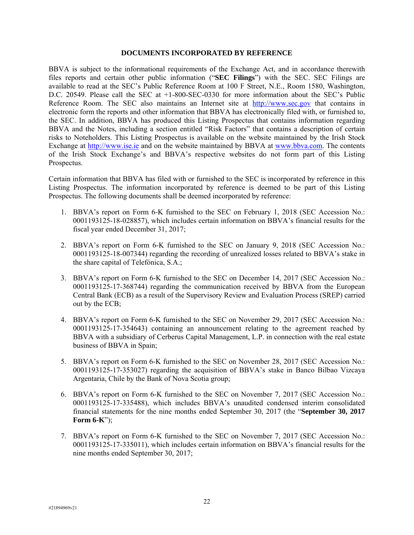#### **DOCUMENTS INCORPORATED BY REFERENCE**

BBVA is subject to the informational requirements of the Exchange Act, and in accordance therewith files reports and certain other public information ("**SEC Filings**") with the SEC. SEC Filings are available to read at the SEC's Public Reference Room at 100 F Street, N.E., Room 1580, Washington, D.C. 20549. Please call the SEC at +1-800-SEC-0330 for more information about the SEC's Public Reference Room. The SEC also maintains an Internet site at http://www.sec.gov that contains in electronic form the reports and other information that BBVA has electronically filed with, or furnished to, the SEC. In addition, BBVA has produced this Listing Prospectus that contains information regarding BBVA and the Notes, including a section entitled "Risk Factors" that contains a description of certain risks to Noteholders. This Listing Prospectus is available on the website maintained by the Irish Stock Exchange at http://www.ise.ie and on the website maintained by BBVA at www.bbva.com. The contents of the Irish Stock Exchange's and BBVA's respective websites do not form part of this Listing Prospectus.

Certain information that BBVA has filed with or furnished to the SEC is incorporated by reference in this Listing Prospectus. The information incorporated by reference is deemed to be part of this Listing Prospectus. The following documents shall be deemed incorporated by reference:

- 1. BBVA's report on Form 6-K furnished to the SEC on February 1, 2018 (SEC Accession No.: 0001193125-18-028857), which includes certain information on BBVA's financial results for the fiscal year ended December 31, 2017;
- 2. BBVA's report on Form 6-K furnished to the SEC on January 9, 2018 (SEC Accession No.: 0001193125-18-007344) regarding the recording of unrealized losses related to BBVA's stake in the share capital of Telefónica, S.A.;
- 3. BBVA's report on Form 6-K furnished to the SEC on December 14, 2017 (SEC Accession No.: 0001193125-17-368744) regarding the communication received by BBVA from the European Central Bank (ECB) as a result of the Supervisory Review and Evaluation Process (SREP) carried out by the ECB;
- 4. BBVA's report on Form 6-K furnished to the SEC on November 29, 2017 (SEC Accession No.: 0001193125-17-354643) containing an announcement relating to the agreement reached by BBVA with a subsidiary of Cerberus Capital Management, L.P. in connection with the real estate business of BBVA in Spain;
- 5. BBVA's report on Form 6-K furnished to the SEC on November 28, 2017 (SEC Accession No.: 0001193125-17-353027) regarding the acquisition of BBVA's stake in Banco Bilbao Vizcaya Argentaria, Chile by the Bank of Nova Scotia group;
- 6. BBVA's report on Form 6-K furnished to the SEC on November 7, 2017 (SEC Accession No.: 0001193125-17-335488), which includes BBVA's unaudited condensed interim consolidated financial statements for the nine months ended September 30, 2017 (the "**September 30, 2017 Form 6-K**");
- 7. BBVA's report on Form 6-K furnished to the SEC on November 7, 2017 (SEC Accession No.: 0001193125-17-335011), which includes certain information on BBVA's financial results for the nine months ended September 30, 2017;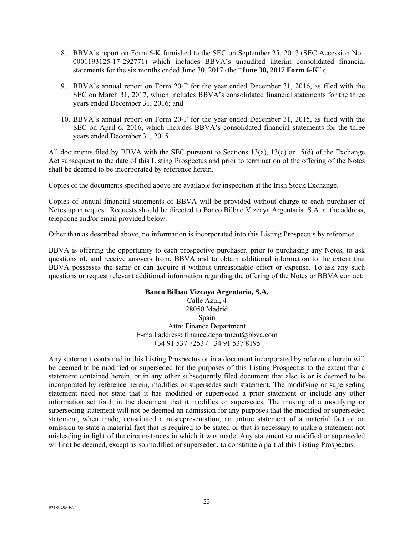- 8. BBVA's report on Form 6-K furnished to the SEC on September 25, 2017 (SEC Accession No.: 0001193125-17-292771) which includes BBVA's unaudited interim consolidated financial statements for the six months ended June 30, 2017 (the "**June 30, 2017 Form 6-K**");
- 9. BBVA's annual report on Form 20-F for the year ended December 31, 2016, as filed with the SEC on March 31, 2017, which includes BBVA's consolidated financial statements for the three years ended December 31, 2016; and
- 10. BBVA's annual report on Form 20-F for the year ended December 31, 2015, as filed with the SEC on April 6, 2016, which includes BBVA's consolidated financial statements for the three years ended December 31, 2015.

All documents filed by BBVA with the SEC pursuant to Sections 13(a), 13(c) or 15(d) of the Exchange Act subsequent to the date of this Listing Prospectus and prior to termination of the offering of the Notes shall be deemed to be incorporated by reference herein.

Copies of the documents specified above are available for inspection at the Irish Stock Exchange.

Copies of annual financial statements of BBVA will be provided without charge to each purchaser of Notes upon request. Requests should be directed to Banco Bilbao Vizcaya Argentaria, S.A. at the address, telephone and/or email provided below.

Other than as described above, no information is incorporated into this Listing Prospectus by reference.

BBVA is offering the opportunity to each prospective purchaser, prior to purchasing any Notes, to ask questions of, and receive answers from, BBVA and to obtain additional information to the extent that BBVA possesses the same or can acquire it without unreasonable effort or expense. To ask any such questions or request relevant additional information regarding the offering of the Notes or BBVA contact:

#### **Banco Bilbao Vizcaya Argentaria, S.A.**

Calle Azul, 4 28050 Madrid Spain Attn: Finance Department E-mail address: finance.department@bbva.com +34 91 537 7253 / +34 91 537 8195

Any statement contained in this Listing Prospectus or in a document incorporated by reference herein will be deemed to be modified or superseded for the purposes of this Listing Prospectus to the extent that a statement contained herein, or in any other subsequently filed document that also is or is deemed to be incorporated by reference herein, modifies or supersedes such statement. The modifying or superseding statement need not state that it has modified or superseded a prior statement or include any other information set forth in the document that it modifies or supersedes. The making of a modifying or superseding statement will not be deemed an admission for any purposes that the modified or superseded statement, when made, constituted a misrepresentation, an untrue statement of a material fact or an omission to state a material fact that is required to be stated or that is necessary to make a statement not misleading in light of the circumstances in which it was made. Any statement so modified or superseded will not be deemed, except as so modified or superseded, to constitute a part of this Listing Prospectus.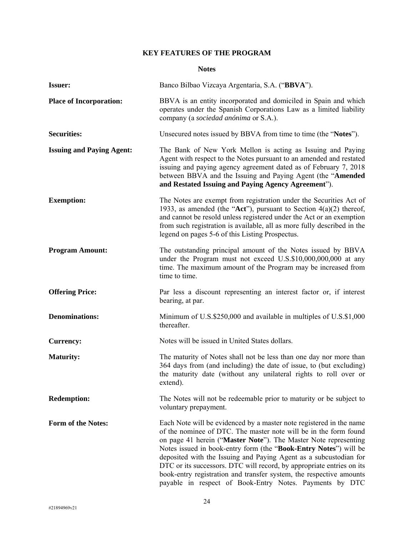# **KEY FEATURES OF THE PROGRAM**

## **Notes**

| <b>Issuer:</b>                   | Banco Bilbao Vizcaya Argentaria, S.A. ("BBVA").                                                                                                                                                                                                                                                                                                                                                                                                                                                                                                                |
|----------------------------------|----------------------------------------------------------------------------------------------------------------------------------------------------------------------------------------------------------------------------------------------------------------------------------------------------------------------------------------------------------------------------------------------------------------------------------------------------------------------------------------------------------------------------------------------------------------|
| <b>Place of Incorporation:</b>   | BBVA is an entity incorporated and domiciled in Spain and which<br>operates under the Spanish Corporations Law as a limited liability<br>company (a sociedad anónima or S.A.).                                                                                                                                                                                                                                                                                                                                                                                 |
| <b>Securities:</b>               | Unsecured notes issued by BBVA from time to time (the "Notes").                                                                                                                                                                                                                                                                                                                                                                                                                                                                                                |
| <b>Issuing and Paying Agent:</b> | The Bank of New York Mellon is acting as Issuing and Paying<br>Agent with respect to the Notes pursuant to an amended and restated<br>issuing and paying agency agreement dated as of February 7, 2018<br>between BBVA and the Issuing and Paying Agent (the "Amended<br>and Restated Issuing and Paying Agency Agreement").                                                                                                                                                                                                                                   |
| <b>Exemption:</b>                | The Notes are exempt from registration under the Securities Act of<br>1933, as amended (the "Act"), pursuant to Section $4(a)(2)$ thereof,<br>and cannot be resold unless registered under the Act or an exemption<br>from such registration is available, all as more fully described in the<br>legend on pages 5-6 of this Listing Prospectus.                                                                                                                                                                                                               |
| <b>Program Amount:</b>           | The outstanding principal amount of the Notes issued by BBVA<br>under the Program must not exceed U.S.\$10,000,000,000 at any<br>time. The maximum amount of the Program may be increased from<br>time to time.                                                                                                                                                                                                                                                                                                                                                |
| <b>Offering Price:</b>           | Par less a discount representing an interest factor or, if interest<br>bearing, at par.                                                                                                                                                                                                                                                                                                                                                                                                                                                                        |
| <b>Denominations:</b>            | Minimum of U.S.\$250,000 and available in multiples of U.S.\$1,000<br>thereafter.                                                                                                                                                                                                                                                                                                                                                                                                                                                                              |
| <b>Currency:</b>                 | Notes will be issued in United States dollars.                                                                                                                                                                                                                                                                                                                                                                                                                                                                                                                 |
| <b>Maturity:</b>                 | The maturity of Notes shall not be less than one day nor more than<br>364 days from (and including) the date of issue, to (but excluding)<br>the maturity date (without any unilateral rights to roll over or<br>extend).                                                                                                                                                                                                                                                                                                                                      |
| <b>Redemption:</b>               | The Notes will not be redeemable prior to maturity or be subject to<br>voluntary prepayment.                                                                                                                                                                                                                                                                                                                                                                                                                                                                   |
| Form of the Notes:               | Each Note will be evidenced by a master note registered in the name<br>of the nominee of DTC. The master note will be in the form found<br>on page 41 herein ("Master Note"). The Master Note representing<br>Notes issued in book-entry form (the "Book-Entry Notes") will be<br>deposited with the Issuing and Paying Agent as a subcustodian for<br>DTC or its successors. DTC will record, by appropriate entries on its<br>book-entry registration and transfer system, the respective amounts<br>payable in respect of Book-Entry Notes. Payments by DTC |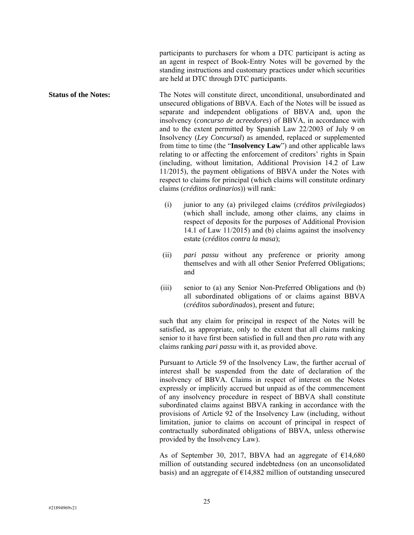participants to purchasers for whom a DTC participant is acting as an agent in respect of Book-Entry Notes will be governed by the standing instructions and customary practices under which securities are held at DTC through DTC participants.

**Status of the Notes:** The Notes will constitute direct, unconditional, unsubordinated and unsecured obligations of BBVA. Each of the Notes will be issued as separate and independent obligations of BBVA and, upon the insolvency (*concurso de acreedores*) of BBVA, in accordance with and to the extent permitted by Spanish Law 22/2003 of July 9 on Insolvency (*Ley Concursal*) as amended, replaced or supplemented from time to time (the "**Insolvency Law**") and other applicable laws relating to or affecting the enforcement of creditors' rights in Spain (including, without limitation, Additional Provision 14.2 of Law 11/2015), the payment obligations of BBVA under the Notes with respect to claims for principal (which claims will constitute ordinary claims (*créditos ordinarios*)) will rank:

- (i) junior to any (a) privileged claims (*créditos privilegiados*) (which shall include, among other claims, any claims in respect of deposits for the purposes of Additional Provision 14.1 of Law 11/2015) and (b) claims against the insolvency estate (*créditos contra la masa*);
- (ii) *pari passu* without any preference or priority among themselves and with all other Senior Preferred Obligations; and
- (iii) senior to (a) any Senior Non-Preferred Obligations and (b) all subordinated obligations of or claims against BBVA (*créditos subordinados*), present and future;

such that any claim for principal in respect of the Notes will be satisfied, as appropriate, only to the extent that all claims ranking senior to it have first been satisfied in full and then *pro rata* with any claims ranking *pari passu* with it, as provided above.

Pursuant to Article 59 of the Insolvency Law, the further accrual of interest shall be suspended from the date of declaration of the insolvency of BBVA. Claims in respect of interest on the Notes expressly or implicitly accrued but unpaid as of the commencement of any insolvency procedure in respect of BBVA shall constitute subordinated claims against BBVA ranking in accordance with the provisions of Article 92 of the Insolvency Law (including, without limitation, junior to claims on account of principal in respect of contractually subordinated obligations of BBVA, unless otherwise provided by the Insolvency Law).

As of September 30, 2017, BBVA had an aggregate of  $\epsilon$ 14,680 million of outstanding secured indebtedness (on an unconsolidated basis) and an aggregate of  $E14,882$  million of outstanding unsecured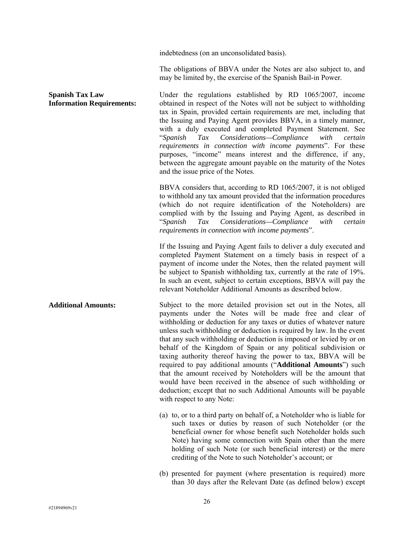indebtedness (on an unconsolidated basis).

The obligations of BBVA under the Notes are also subject to, and may be limited by, the exercise of the Spanish Bail-in Power.

**Spanish Tax Law Information Requirements:**  Under the regulations established by RD 1065/2007, income obtained in respect of the Notes will not be subject to withholding tax in Spain, provided certain requirements are met, including that the Issuing and Paying Agent provides BBVA, in a timely manner, with a duly executed and completed Payment Statement. See "*Spanish Tax Considerations—Compliance with certain requirements in connection with income payments*". For these purposes, "income" means interest and the difference, if any, between the aggregate amount payable on the maturity of the Notes and the issue price of the Notes. BBVA considers that, according to RD 1065/2007, it is not obliged to withhold any tax amount provided that the information procedures (which do not require identification of the Noteholders) are complied with by the Issuing and Paying Agent, as described in "*Spanish Tax Considerations—Compliance with certain requirements in connection with income payments*". If the Issuing and Paying Agent fails to deliver a duly executed and completed Payment Statement on a timely basis in respect of a payment of income under the Notes, then the related payment will be subject to Spanish withholding tax, currently at the rate of 19%. In such an event, subject to certain exceptions, BBVA will pay the relevant Noteholder Additional Amounts as described below. **Additional Amounts:** Subject to the more detailed provision set out in the Notes, all payments under the Notes will be made free and clear of withholding or deduction for any taxes or duties of whatever nature unless such withholding or deduction is required by law. In the event that any such withholding or deduction is imposed or levied by or on behalf of the Kingdom of Spain or any political subdivision or taxing authority thereof having the power to tax, BBVA will be required to pay additional amounts ("**Additional Amounts**") such that the amount received by Noteholders will be the amount that would have been received in the absence of such withholding or deduction; except that no such Additional Amounts will be payable with respect to any Note: (a) to, or to a third party on behalf of, a Noteholder who is liable for such taxes or duties by reason of such Noteholder (or the beneficial owner for whose benefit such Noteholder holds such Note) having some connection with Spain other than the mere holding of such Note (or such beneficial interest) or the mere crediting of the Note to such Noteholder's account; or

> (b) presented for payment (where presentation is required) more than 30 days after the Relevant Date (as defined below) except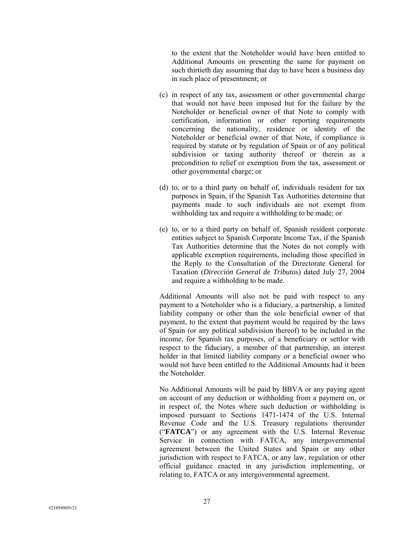to the extent that the Noteholder would have been entitled to Additional Amounts on presenting the same for payment on such thirtieth day assuming that day to have been a business day in such place of presentment; or

- (c) in respect of any tax, assessment or other governmental charge that would not have been imposed but for the failure by the Noteholder or beneficial owner of that Note to comply with certification, information or other reporting requirements concerning the nationality, residence or identity of the Noteholder or beneficial owner of that Note, if compliance is required by statute or by regulation of Spain or of any political subdivision or taxing authority thereof or therein as a precondition to relief or exemption from the tax, assessment or other governmental charge; or
- (d) to, or to a third party on behalf of, individuals resident for tax purposes in Spain, if the Spanish Tax Authorities determine that payments made to such individuals are not exempt from withholding tax and require a withholding to be made; or
- (e) to, or to a third party on behalf of, Spanish resident corporate entities subject to Spanish Corporate Income Tax, if the Spanish Tax Authorities determine that the Notes do not comply with applicable exemption requirements, including those specified in the Reply to the Consultation of the Directorate General for Taxation (*Dirección General de Tributos*) dated July 27, 2004 and require a withholding to be made.

Additional Amounts will also not be paid with respect to any payment to a Noteholder who is a fiduciary, a partnership, a limited liability company or other than the sole beneficial owner of that payment, to the extent that payment would be required by the laws of Spain (or any political subdivision thereof) to be included in the income, for Spanish tax purposes, of a beneficiary or settlor with respect to the fiduciary, a member of that partnership, an interest holder in that limited liability company or a beneficial owner who would not have been entitled to the Additional Amounts had it been the Noteholder.

No Additional Amounts will be paid by BBVA or any paying agent on account of any deduction or withholding from a payment on, or in respect of, the Notes where such deduction or withholding is imposed pursuant to Sections 1471-1474 of the U.S. Internal Revenue Code and the U.S. Treasury regulations thereunder ("**FATCA**") or any agreement with the U.S. Internal Revenue Service in connection with FATCA, any intergovernmental agreement between the United States and Spain or any other jurisdiction with respect to FATCA, or any law, regulation or other official guidance enacted in any jurisdiction implementing, or relating to, FATCA or any intergovernmental agreement.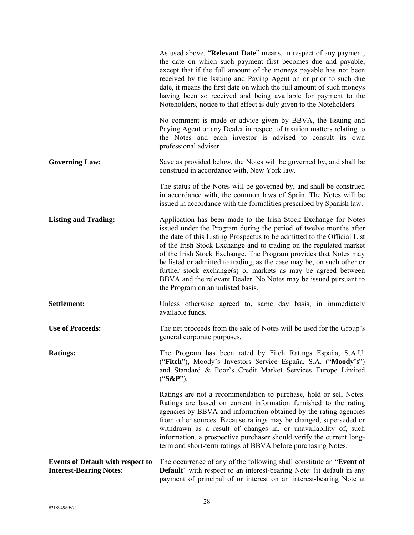|                                                                            | As used above, " <b>Relevant Date</b> " means, in respect of any payment,<br>the date on which such payment first becomes due and payable,<br>except that if the full amount of the moneys payable has not been<br>received by the Issuing and Paying Agent on or prior to such due<br>date, it means the first date on which the full amount of such moneys<br>having been so received and being available for payment to the<br>Noteholders, notice to that effect is duly given to the Noteholders.                                                                                                        |
|----------------------------------------------------------------------------|---------------------------------------------------------------------------------------------------------------------------------------------------------------------------------------------------------------------------------------------------------------------------------------------------------------------------------------------------------------------------------------------------------------------------------------------------------------------------------------------------------------------------------------------------------------------------------------------------------------|
|                                                                            | No comment is made or advice given by BBVA, the Issuing and<br>Paying Agent or any Dealer in respect of taxation matters relating to<br>the Notes and each investor is advised to consult its own<br>professional adviser.                                                                                                                                                                                                                                                                                                                                                                                    |
| <b>Governing Law:</b>                                                      | Save as provided below, the Notes will be governed by, and shall be<br>construed in accordance with, New York law.                                                                                                                                                                                                                                                                                                                                                                                                                                                                                            |
|                                                                            | The status of the Notes will be governed by, and shall be construed<br>in accordance with, the common laws of Spain. The Notes will be<br>issued in accordance with the formalities prescribed by Spanish law.                                                                                                                                                                                                                                                                                                                                                                                                |
| <b>Listing and Trading:</b>                                                | Application has been made to the Irish Stock Exchange for Notes<br>issued under the Program during the period of twelve months after<br>the date of this Listing Prospectus to be admitted to the Official List<br>of the Irish Stock Exchange and to trading on the regulated market<br>of the Irish Stock Exchange. The Program provides that Notes may<br>be listed or admitted to trading, as the case may be, on such other or<br>further stock exchange(s) or markets as may be agreed between<br>BBVA and the relevant Dealer. No Notes may be issued pursuant to<br>the Program on an unlisted basis. |
| Settlement:                                                                | Unless otherwise agreed to, same day basis, in immediately<br>available funds.                                                                                                                                                                                                                                                                                                                                                                                                                                                                                                                                |
| <b>Use of Proceeds:</b>                                                    | The net proceeds from the sale of Notes will be used for the Group's<br>general corporate purposes.                                                                                                                                                                                                                                                                                                                                                                                                                                                                                                           |
| <b>Ratings:</b>                                                            | The Program has been rated by Fitch Ratings España, S.A.U.<br>("Fitch"), Moody's Investors Service España, S.A. ("Moody's")<br>and Standard & Poor's Credit Market Services Europe Limited<br>$("S\&P").$                                                                                                                                                                                                                                                                                                                                                                                                     |
|                                                                            | Ratings are not a recommendation to purchase, hold or sell Notes.<br>Ratings are based on current information furnished to the rating<br>agencies by BBVA and information obtained by the rating agencies<br>from other sources. Because ratings may be changed, superseded or<br>withdrawn as a result of changes in, or unavailability of, such<br>information, a prospective purchaser should verify the current long-<br>term and short-term ratings of BBVA before purchasing Notes.                                                                                                                     |
| <b>Events of Default with respect to</b><br><b>Interest-Bearing Notes:</b> | The occurrence of any of the following shall constitute an "Event of<br><b>Default</b> " with respect to an interest-bearing Note: (i) default in any<br>payment of principal of or interest on an interest-bearing Note at                                                                                                                                                                                                                                                                                                                                                                                   |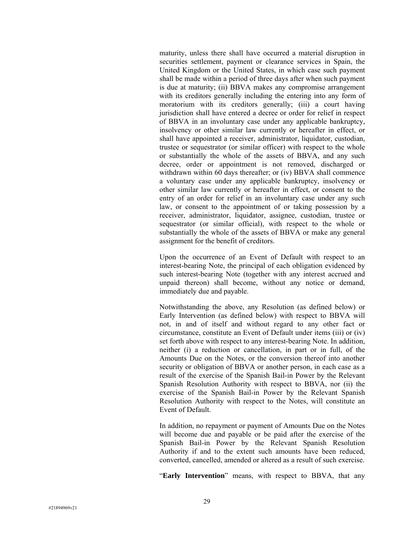maturity, unless there shall have occurred a material disruption in securities settlement, payment or clearance services in Spain, the United Kingdom or the United States, in which case such payment shall be made within a period of three days after when such payment is due at maturity; (ii) BBVA makes any compromise arrangement with its creditors generally including the entering into any form of moratorium with its creditors generally; (iii) a court having jurisdiction shall have entered a decree or order for relief in respect of BBVA in an involuntary case under any applicable bankruptcy, insolvency or other similar law currently or hereafter in effect, or shall have appointed a receiver, administrator, liquidator, custodian, trustee or sequestrator (or similar officer) with respect to the whole or substantially the whole of the assets of BBVA, and any such decree, order or appointment is not removed, discharged or withdrawn within 60 days thereafter; or (iv) BBVA shall commence a voluntary case under any applicable bankruptcy, insolvency or other similar law currently or hereafter in effect, or consent to the entry of an order for relief in an involuntary case under any such law, or consent to the appointment of or taking possession by a receiver, administrator, liquidator, assignee, custodian, trustee or sequestrator (or similar official), with respect to the whole or substantially the whole of the assets of BBVA or make any general assignment for the benefit of creditors.

Upon the occurrence of an Event of Default with respect to an interest-bearing Note, the principal of each obligation evidenced by such interest-bearing Note (together with any interest accrued and unpaid thereon) shall become, without any notice or demand, immediately due and payable.

Notwithstanding the above, any Resolution (as defined below) or Early Intervention (as defined below) with respect to BBVA will not, in and of itself and without regard to any other fact or circumstance, constitute an Event of Default under items (iii) or (iv) set forth above with respect to any interest-bearing Note. In addition, neither (i) a reduction or cancellation, in part or in full, of the Amounts Due on the Notes, or the conversion thereof into another security or obligation of BBVA or another person, in each case as a result of the exercise of the Spanish Bail-in Power by the Relevant Spanish Resolution Authority with respect to BBVA, nor (ii) the exercise of the Spanish Bail-in Power by the Relevant Spanish Resolution Authority with respect to the Notes, will constitute an Event of Default.

In addition, no repayment or payment of Amounts Due on the Notes will become due and payable or be paid after the exercise of the Spanish Bail-in Power by the Relevant Spanish Resolution Authority if and to the extent such amounts have been reduced, converted, cancelled, amended or altered as a result of such exercise.

"**Early Intervention**" means, with respect to BBVA, that any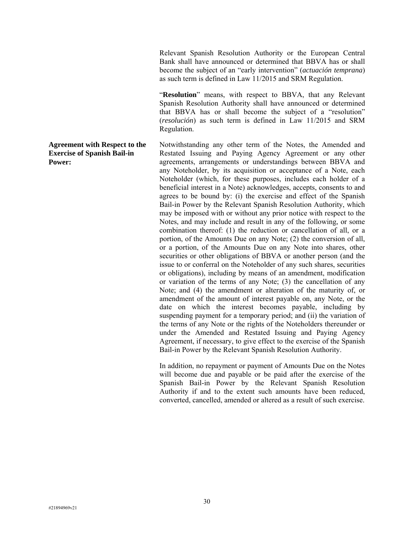Relevant Spanish Resolution Authority or the European Central Bank shall have announced or determined that BBVA has or shall become the subject of an "early intervention" (*actuación temprana*) as such term is defined in Law 11/2015 and SRM Regulation.

"**Resolution**" means, with respect to BBVA, that any Relevant Spanish Resolution Authority shall have announced or determined that BBVA has or shall become the subject of a "resolution" (*resolución*) as such term is defined in Law 11/2015 and SRM Regulation.

Notwithstanding any other term of the Notes, the Amended and Restated Issuing and Paying Agency Agreement or any other agreements, arrangements or understandings between BBVA and any Noteholder, by its acquisition or acceptance of a Note, each Noteholder (which, for these purposes, includes each holder of a beneficial interest in a Note) acknowledges, accepts, consents to and agrees to be bound by: (i) the exercise and effect of the Spanish Bail-in Power by the Relevant Spanish Resolution Authority, which may be imposed with or without any prior notice with respect to the Notes, and may include and result in any of the following, or some combination thereof: (1) the reduction or cancellation of all, or a portion, of the Amounts Due on any Note; (2) the conversion of all, or a portion, of the Amounts Due on any Note into shares, other securities or other obligations of BBVA or another person (and the issue to or conferral on the Noteholder of any such shares, securities or obligations), including by means of an amendment, modification or variation of the terms of any Note; (3) the cancellation of any Note; and (4) the amendment or alteration of the maturity of, or amendment of the amount of interest payable on, any Note, or the date on which the interest becomes payable, including by suspending payment for a temporary period; and (ii) the variation of the terms of any Note or the rights of the Noteholders thereunder or under the Amended and Restated Issuing and Paying Agency Agreement, if necessary, to give effect to the exercise of the Spanish Bail-in Power by the Relevant Spanish Resolution Authority.

In addition, no repayment or payment of Amounts Due on the Notes will become due and payable or be paid after the exercise of the Spanish Bail-in Power by the Relevant Spanish Resolution Authority if and to the extent such amounts have been reduced, converted, cancelled, amended or altered as a result of such exercise.

#### **Agreement with Respect to the Exercise of Spanish Bail-in Power:**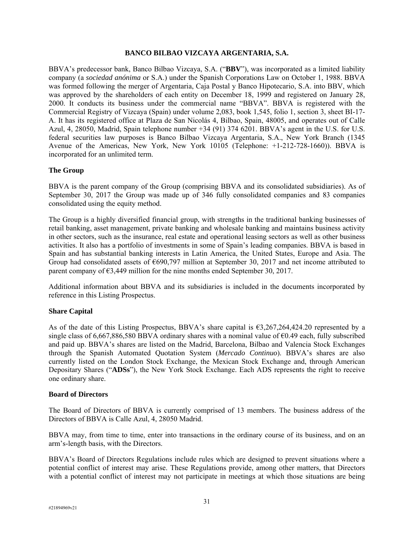#### **BANCO BILBAO VIZCAYA ARGENTARIA, S.A.**

BBVA's predecessor bank, Banco Bilbao Vizcaya, S.A. ("**BBV**"), was incorporated as a limited liability company (a *sociedad anónima* or S.A.) under the Spanish Corporations Law on October 1, 1988. BBVA was formed following the merger of Argentaria, Caja Postal y Banco Hipotecario, S.A. into BBV, which was approved by the shareholders of each entity on December 18, 1999 and registered on January 28, 2000. It conducts its business under the commercial name "BBVA". BBVA is registered with the Commercial Registry of Vizcaya (Spain) under volume 2,083, book 1,545, folio 1, section 3, sheet BI-17- A. It has its registered office at Plaza de San Nicolás 4, Bilbao, Spain, 48005, and operates out of Calle Azul, 4, 28050, Madrid, Spain telephone number +34 (91) 374 6201. BBVA's agent in the U.S. for U.S. federal securities law purposes is Banco Bilbao Vizcaya Argentaria, S.A., New York Branch (1345 Avenue of the Americas, New York, New York 10105 (Telephone: +1-212-728-1660)). BBVA is incorporated for an unlimited term.

## **The Group**

BBVA is the parent company of the Group (comprising BBVA and its consolidated subsidiaries). As of September 30, 2017 the Group was made up of 346 fully consolidated companies and 83 companies consolidated using the equity method.

The Group is a highly diversified financial group, with strengths in the traditional banking businesses of retail banking, asset management, private banking and wholesale banking and maintains business activity in other sectors, such as the insurance, real estate and operational leasing sectors as well as other business activities. It also has a portfolio of investments in some of Spain's leading companies. BBVA is based in Spain and has substantial banking interests in Latin America, the United States, Europe and Asia. The Group had consolidated assets of €690,797 million at September 30, 2017 and net income attributed to parent company of  $\epsilon$ 3,449 million for the nine months ended September 30, 2017.

Additional information about BBVA and its subsidiaries is included in the documents incorporated by reference in this Listing Prospectus.

## **Share Capital**

As of the date of this Listing Prospectus, BBVA's share capital is  $63,267,264,424.20$  represented by a single class of 6,667,886,580 BBVA ordinary shares with a nominal value of  $\epsilon$ 0.49 each, fully subscribed and paid up. BBVA's shares are listed on the Madrid, Barcelona, Bilbao and Valencia Stock Exchanges through the Spanish Automated Quotation System (*Mercado Continuo*). BBVA's shares are also currently listed on the London Stock Exchange, the Mexican Stock Exchange and, through American Depositary Shares ("**ADSs**"), the New York Stock Exchange. Each ADS represents the right to receive one ordinary share.

#### **Board of Directors**

The Board of Directors of BBVA is currently comprised of 13 members. The business address of the Directors of BBVA is Calle Azul, 4, 28050 Madrid.

BBVA may, from time to time, enter into transactions in the ordinary course of its business, and on an arm's-length basis, with the Directors.

BBVA's Board of Directors Regulations include rules which are designed to prevent situations where a potential conflict of interest may arise. These Regulations provide, among other matters, that Directors with a potential conflict of interest may not participate in meetings at which those situations are being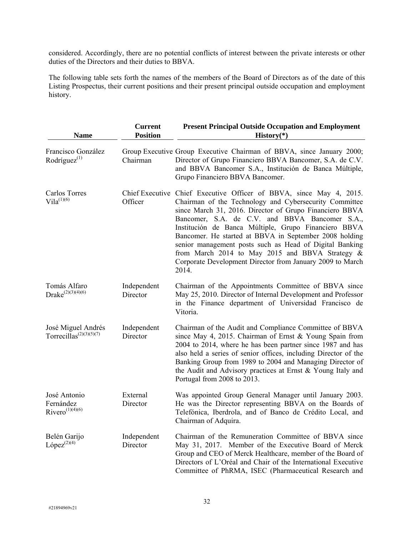considered. Accordingly, there are no potential conflicts of interest between the private interests or other duties of the Directors and their duties to BBVA.

The following table sets forth the names of the members of the Board of Directors as of the date of this Listing Prospectus, their current positions and their present principal outside occupation and employment history.

| <b>Name</b>                                                            | <b>Current</b><br><b>Position</b> | <b>Present Principal Outside Occupation and Employment</b><br>$History(*)$                                                                                                                                                                                                                                                                                                                                                                                                                                                                       |
|------------------------------------------------------------------------|-----------------------------------|--------------------------------------------------------------------------------------------------------------------------------------------------------------------------------------------------------------------------------------------------------------------------------------------------------------------------------------------------------------------------------------------------------------------------------------------------------------------------------------------------------------------------------------------------|
| Francisco González<br>Rodríguez $(1)$                                  | Chairman                          | Group Executive Group Executive Chairman of BBVA, since January 2000;<br>Director of Grupo Financiero BBVA Bancomer, S.A. de C.V.<br>and BBVA Bancomer S.A., Institución de Banca Múltiple,<br>Grupo Financiero BBVA Bancomer.                                                                                                                                                                                                                                                                                                                   |
| <b>Carlos Torres</b><br>$Vila^{(1)(6)}$                                | Officer                           | Chief Executive Chief Executive Officer of BBVA, since May 4, 2015.<br>Chairman of the Technology and Cybersecurity Committee<br>since March 31, 2016. Director of Grupo Financiero BBVA<br>Bancomer, S.A. de C.V. and BBVA Bancomer S.A.,<br>Institución de Banca Múltiple, Grupo Financiero BBVA<br>Bancomer. He started at BBVA in September 2008 holding<br>senior management posts such as Head of Digital Banking<br>from March 2014 to May 2015 and BBVA Strategy &<br>Corporate Development Director from January 2009 to March<br>2014. |
| Tomás Alfaro<br>Drake $^{(2)(3)(4)(6)}$                                | Independent<br>Director           | Chairman of the Appointments Committee of BBVA since<br>May 25, 2010. Director of Internal Development and Professor<br>in the Finance department of Universidad Francisco de<br>Vitoria.                                                                                                                                                                                                                                                                                                                                                        |
| José Miguel Andrés<br>Torrecillas <sup><math>(2)(3)(5)(7)</math></sup> | Independent<br>Director           | Chairman of the Audit and Compliance Committee of BBVA<br>since May 4, 2015. Chairman of Ernst & Young Spain from<br>2004 to 2014, where he has been partner since 1987 and has<br>also held a series of senior offices, including Director of the<br>Banking Group from 1989 to 2004 and Managing Director of<br>the Audit and Advisory practices at Ernst & Young Italy and<br>Portugal from 2008 to 2013.                                                                                                                                     |
| José Antonio<br>Fernández<br>$Rivero^{(1)(4)(6)}$                      | External<br>Director              | Was appointed Group General Manager until January 2003.<br>He was the Director representing BBVA on the Boards of<br>Telefónica, Iberdrola, and of Banco de Crédito Local, and<br>Chairman of Adquira.                                                                                                                                                                                                                                                                                                                                           |
| Belén Garijo<br>López <sup>(2)(4)</sup>                                | Independent<br>Director           | Chairman of the Remuneration Committee of BBVA since<br>May 31, 2017. Member of the Executive Board of Merck<br>Group and CEO of Merck Healthcare, member of the Board of<br>Directors of L'Oréal and Chair of the International Executive<br>Committee of PhRMA, ISEC (Pharmaceutical Research and                                                                                                                                                                                                                                              |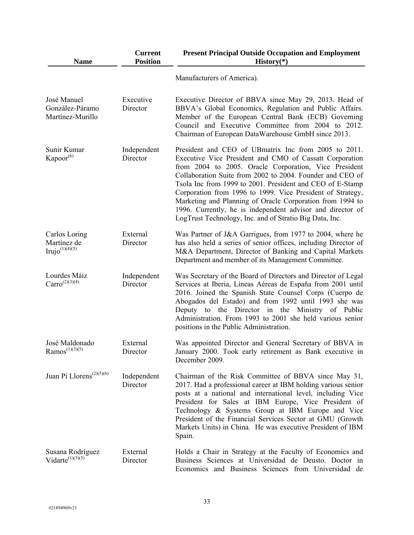| <b>Name</b>                                          | <b>Current</b><br><b>Position</b> | <b>Present Principal Outside Occupation and Employment</b><br>$History(*)$                                                                                                                                                                                                                                                                                                                                                                                                                                                                             |
|------------------------------------------------------|-----------------------------------|--------------------------------------------------------------------------------------------------------------------------------------------------------------------------------------------------------------------------------------------------------------------------------------------------------------------------------------------------------------------------------------------------------------------------------------------------------------------------------------------------------------------------------------------------------|
|                                                      |                                   | Manufacturers of America).                                                                                                                                                                                                                                                                                                                                                                                                                                                                                                                             |
| José Manuel<br>González-Páramo<br>Martínez-Murillo   | Executive<br>Director             | Executive Director of BBVA since May 29, 2013. Head of<br>BBVA's Global Economics, Regulation and Public Affairs.<br>Member of the European Central Bank (ECB) Governing<br>Council and Executive Committee from 2004 to 2012.<br>Chairman of European DataWarehouse GmbH since 2013.                                                                                                                                                                                                                                                                  |
| Sunir Kumar<br>Kapoor <sup>(6)</sup>                 | Independent<br>Director           | President and CEO of UBmatrix Inc from 2005 to 2011.<br>Executive Vice President and CMO of Cassatt Corporation<br>from 2004 to 2005. Oracle Corporation, Vice President<br>Collaboration Suite from 2002 to 2004. Founder and CEO of<br>Tsola Inc from 1999 to 2001. President and CEO of E-Stamp<br>Corporation from 1996 to 1999. Vice President of Strategy,<br>Marketing and Planning of Oracle Corporation from 1994 to<br>1996. Currently, he is independent advisor and director of<br>LogTrust Technology, Inc. and of Stratio Big Data, Inc. |
| Carlos Loring<br>Martínez de<br>Irujo $^{(1)(4)(5)}$ | External<br>Director              | Was Partner of J&A Garrigues, from 1977 to 2004, where he<br>has also held a series of senior offices, including Director of<br>M&A Department, Director of Banking and Capital Markets<br>Department and member of its Management Committee.                                                                                                                                                                                                                                                                                                          |
| Lourdes Máiz<br>$Carro^{(2)(3)(4)}$                  | Independent<br>Director           | Was Secretary of the Board of Directors and Director of Legal<br>Services at Iberia, Líneas Aéreas de España from 2001 until<br>2016. Joined the Spanish State Counsel Corps (Cuerpo de<br>Abogados del Estado) and from 1992 until 1993 she was<br>Deputy to the Director in the Ministry of Public<br>Administration. From 1993 to 2001 she held various senior<br>positions in the Public Administration.                                                                                                                                           |
| José Maldonado<br>$Ramos^{(1)(3)(5)}$                | External<br>Director              | Was appointed Director and General Secretary of BBVA in<br>January 2000. Took early retirement as Bank executive in<br>December 2009.                                                                                                                                                                                                                                                                                                                                                                                                                  |
| Juan Pi Llorens <sup>(2)(5)(6)</sup>                 | Independent<br>Director           | Chairman of the Risk Committee of BBVA since May 31,<br>2017. Had a professional career at IBM holding various senior<br>posts at a national and international level, including Vice<br>President for Sales at IBM Europe, Vice President of<br>Technology & Systems Group at IBM Europe and Vice<br>President of the Financial Services Sector at GMU (Growth<br>Markets Units) in China. He was executive President of IBM<br>Spain.                                                                                                                 |
| Susana Rodríguez<br>Vidarte $^{(1)(3)(5)}$           | External<br>Director              | Holds a Chair in Strategy at the Faculty of Economics and<br>Business Sciences at Universidad de Deusto. Doctor in<br>Economics and Business Sciences from Universidad de                                                                                                                                                                                                                                                                                                                                                                              |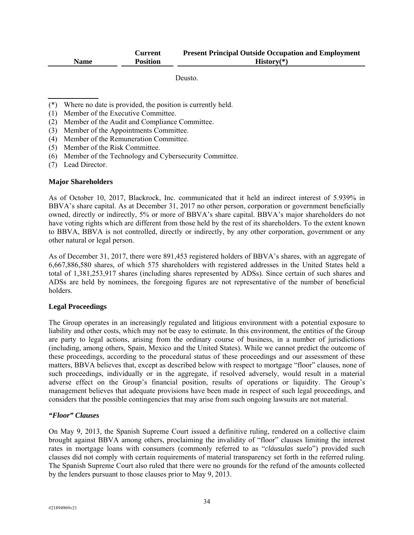|             | Current         | <b>Present Principal Outside Occupation and Employment</b> |
|-------------|-----------------|------------------------------------------------------------|
| <b>Name</b> | <b>Position</b> | $History(*)$                                               |

Deusto.

- (\*) Where no date is provided, the position is currently held.
- (1) Member of the Executive Committee.
- (2) Member of the Audit and Compliance Committee.
- (3) Member of the Appointments Committee.
- (4) Member of the Remuneration Committee.
- (5) Member of the Risk Committee.
- (6) Member of the Technology and Cybersecurity Committee.
- (7) Lead Director.

#### **Major Shareholders**

As of October 10, 2017, Blackrock, Inc. communicated that it held an indirect interest of 5.939% in BBVA's share capital. As at December 31, 2017 no other person, corporation or government beneficially owned, directly or indirectly, 5% or more of BBVA's share capital. BBVA's major shareholders do not have voting rights which are different from those held by the rest of its shareholders. To the extent known to BBVA, BBVA is not controlled, directly or indirectly, by any other corporation, government or any other natural or legal person.

As of December 31, 2017, there were 891,453 registered holders of BBVA's shares, with an aggregate of 6,667,886,580 shares, of which 575 shareholders with registered addresses in the United States held a total of 1,381,253,917 shares (including shares represented by ADSs). Since certain of such shares and ADSs are held by nominees, the foregoing figures are not representative of the number of beneficial holders.

#### **Legal Proceedings**

The Group operates in an increasingly regulated and litigious environment with a potential exposure to liability and other costs, which may not be easy to estimate. In this environment, the entities of the Group are party to legal actions, arising from the ordinary course of business, in a number of jurisdictions (including, among others, Spain, Mexico and the United States). While we cannot predict the outcome of these proceedings, according to the procedural status of these proceedings and our assessment of these matters, BBVA believes that, except as described below with respect to mortgage "floor" clauses, none of such proceedings, individually or in the aggregate, if resolved adversely, would result in a material adverse effect on the Group's financial position, results of operations or liquidity. The Group's management believes that adequate provisions have been made in respect of such legal proceedings, and considers that the possible contingencies that may arise from such ongoing lawsuits are not material.

#### *"Floor" Clauses*

On May 9, 2013, the Spanish Supreme Court issued a definitive ruling, rendered on a collective claim brought against BBVA among others, proclaiming the invalidity of "floor" clauses limiting the interest rates in mortgage loans with consumers (commonly referred to as "*cláusulas suelo*") provided such clauses did not comply with certain requirements of material transparency set forth in the referred ruling. The Spanish Supreme Court also ruled that there were no grounds for the refund of the amounts collected by the lenders pursuant to those clauses prior to May 9, 2013.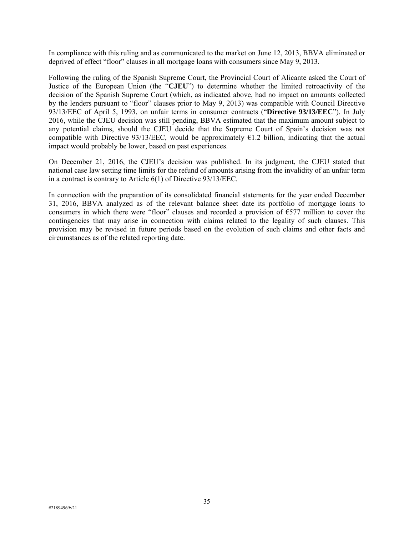In compliance with this ruling and as communicated to the market on June 12, 2013, BBVA eliminated or deprived of effect "floor" clauses in all mortgage loans with consumers since May 9, 2013.

Following the ruling of the Spanish Supreme Court, the Provincial Court of Alicante asked the Court of Justice of the European Union (the "**CJEU**") to determine whether the limited retroactivity of the decision of the Spanish Supreme Court (which, as indicated above, had no impact on amounts collected by the lenders pursuant to "floor" clauses prior to May 9, 2013) was compatible with Council Directive 93/13/EEC of April 5, 1993, on unfair terms in consumer contracts ("**Directive 93/13/EEC**"). In July 2016, while the CJEU decision was still pending, BBVA estimated that the maximum amount subject to any potential claims, should the CJEU decide that the Supreme Court of Spain's decision was not compatible with Directive 93/13/EEC, would be approximately  $\epsilon$ 1.2 billion, indicating that the actual impact would probably be lower, based on past experiences.

On December 21, 2016, the CJEU's decision was published. In its judgment, the CJEU stated that national case law setting time limits for the refund of amounts arising from the invalidity of an unfair term in a contract is contrary to Article 6(1) of Directive 93/13/EEC.

In connection with the preparation of its consolidated financial statements for the year ended December 31, 2016, BBVA analyzed as of the relevant balance sheet date its portfolio of mortgage loans to consumers in which there were "floor" clauses and recorded a provision of  $E$ 577 million to cover the contingencies that may arise in connection with claims related to the legality of such clauses. This provision may be revised in future periods based on the evolution of such claims and other facts and circumstances as of the related reporting date.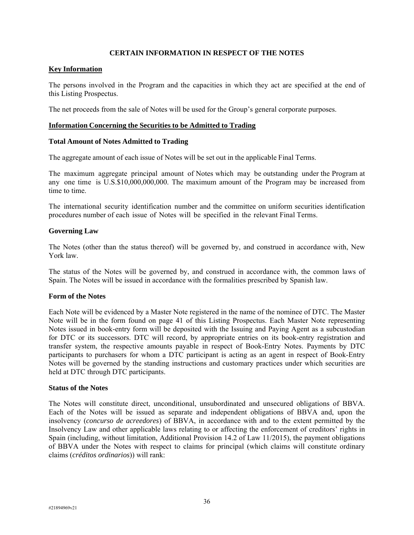## **CERTAIN INFORMATION IN RESPECT OF THE NOTES**

## **Key Information**

The persons involved in the Program and the capacities in which they act are specified at the end of this Listing Prospectus.

The net proceeds from the sale of Notes will be used for the Group's general corporate purposes.

#### **Information Concerning the Securities to be Admitted to Trading**

## **Total Amount of Notes Admitted to Trading**

The aggregate amount of each issue of Notes will be set out in the applicable Final Terms.

The maximum aggregate principal amount of Notes which may be outstanding under the Program at any one time is U.S.\$10,000,000,000. The maximum amount of the Program may be increased from time to time.

The international security identification number and the committee on uniform securities identification procedures number of each issue of Notes will be specified in the relevant Final Terms.

## **Governing Law**

The Notes (other than the status thereof) will be governed by, and construed in accordance with, New York law.

The status of the Notes will be governed by, and construed in accordance with, the common laws of Spain. The Notes will be issued in accordance with the formalities prescribed by Spanish law.

## **Form of the Notes**

Each Note will be evidenced by a Master Note registered in the name of the nominee of DTC. The Master Note will be in the form found on page 41 of this Listing Prospectus. Each Master Note representing Notes issued in book-entry form will be deposited with the Issuing and Paying Agent as a subcustodian for DTC or its successors. DTC will record, by appropriate entries on its book-entry registration and transfer system, the respective amounts payable in respect of Book-Entry Notes. Payments by DTC participants to purchasers for whom a DTC participant is acting as an agent in respect of Book-Entry Notes will be governed by the standing instructions and customary practices under which securities are held at DTC through DTC participants.

## **Status of the Notes**

The Notes will constitute direct, unconditional, unsubordinated and unsecured obligations of BBVA. Each of the Notes will be issued as separate and independent obligations of BBVA and, upon the insolvency (*concurso de acreedores*) of BBVA, in accordance with and to the extent permitted by the Insolvency Law and other applicable laws relating to or affecting the enforcement of creditors' rights in Spain (including, without limitation, Additional Provision 14.2 of Law 11/2015), the payment obligations of BBVA under the Notes with respect to claims for principal (which claims will constitute ordinary claims (*créditos ordinarios*)) will rank: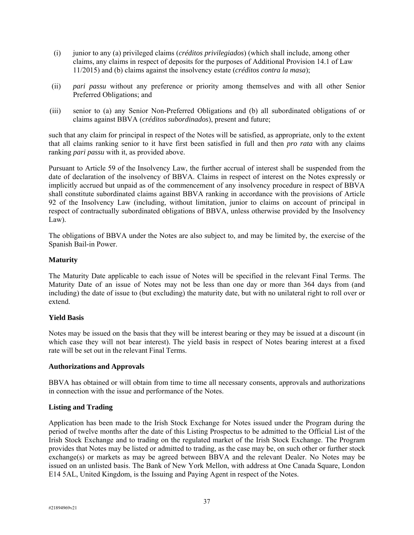- (i) junior to any (a) privileged claims (*créditos privilegiados*) (which shall include, among other claims, any claims in respect of deposits for the purposes of Additional Provision 14.1 of Law 11/2015) and (b) claims against the insolvency estate (*créditos contra la masa*);
- (ii) *pari passu* without any preference or priority among themselves and with all other Senior Preferred Obligations; and
- (iii) senior to (a) any Senior Non-Preferred Obligations and (b) all subordinated obligations of or claims against BBVA (*créditos subordinados*), present and future;

such that any claim for principal in respect of the Notes will be satisfied, as appropriate, only to the extent that all claims ranking senior to it have first been satisfied in full and then *pro rata* with any claims ranking *pari passu* with it, as provided above.

Pursuant to Article 59 of the Insolvency Law, the further accrual of interest shall be suspended from the date of declaration of the insolvency of BBVA. Claims in respect of interest on the Notes expressly or implicitly accrued but unpaid as of the commencement of any insolvency procedure in respect of BBVA shall constitute subordinated claims against BBVA ranking in accordance with the provisions of Article 92 of the Insolvency Law (including, without limitation, junior to claims on account of principal in respect of contractually subordinated obligations of BBVA, unless otherwise provided by the Insolvency Law).

The obligations of BBVA under the Notes are also subject to, and may be limited by, the exercise of the Spanish Bail-in Power.

# **Maturity**

The Maturity Date applicable to each issue of Notes will be specified in the relevant Final Terms. The Maturity Date of an issue of Notes may not be less than one day or more than 364 days from (and including) the date of issue to (but excluding) the maturity date, but with no unilateral right to roll over or extend.

## **Yield Basis**

Notes may be issued on the basis that they will be interest bearing or they may be issued at a discount (in which case they will not bear interest). The yield basis in respect of Notes bearing interest at a fixed rate will be set out in the relevant Final Terms.

## **Authorizations and Approvals**

BBVA has obtained or will obtain from time to time all necessary consents, approvals and authorizations in connection with the issue and performance of the Notes.

## **Listing and Trading**

Application has been made to the Irish Stock Exchange for Notes issued under the Program during the period of twelve months after the date of this Listing Prospectus to be admitted to the Official List of the Irish Stock Exchange and to trading on the regulated market of the Irish Stock Exchange. The Program provides that Notes may be listed or admitted to trading, as the case may be, on such other or further stock exchange(s) or markets as may be agreed between BBVA and the relevant Dealer. No Notes may be issued on an unlisted basis. The Bank of New York Mellon, with address at One Canada Square, London E14 5AL, United Kingdom, is the Issuing and Paying Agent in respect of the Notes.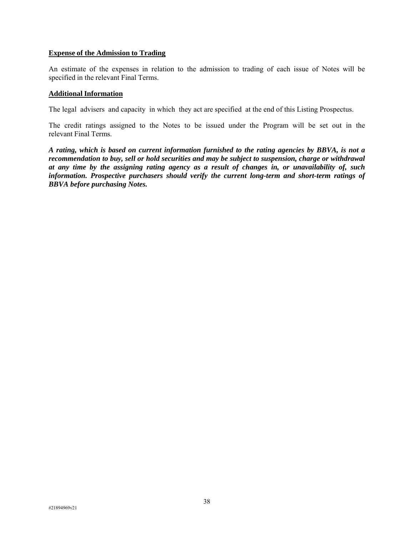#### **Expense of the Admission to Trading**

An estimate of the expenses in relation to the admission to trading of each issue of Notes will be specified in the relevant Final Terms.

#### **Additional Information**

The legal advisers and capacity in which they act are specified at the end of this Listing Prospectus.

The credit ratings assigned to the Notes to be issued under the Program will be set out in the relevant Final Terms.

*A rating, which is based on current information furnished to the rating agencies by BBVA, is not a recommendation to buy, sell or hold securities and may be subject to suspension, charge or withdrawal at any time by the assigning rating agency as a result of changes in, or unavailability of, such information. Prospective purchasers should verify the current long-term and short-term ratings of BBVA before purchasing Notes.*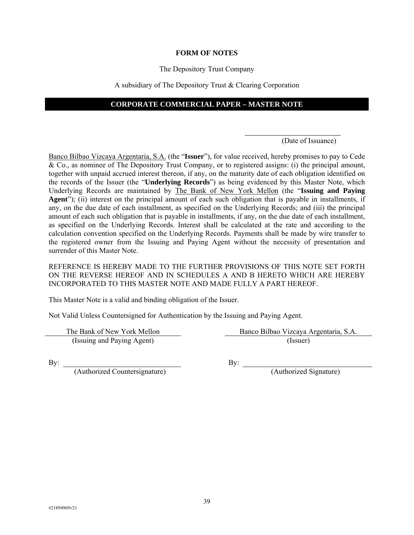#### **FORM OF NOTES**

#### The Depository Trust Company

#### A subsidiary of The Depository Trust & Clearing Corporation

# **CORPORATE COMMERCIAL PAPER – MASTER NOTE**

l

#### (Date of Issuance)

Banco Bilbao Vizcaya Argentaria, S.A. (the "**Issuer**"), for value received, hereby promises to pay to Cede & Co., as nominee of The Depository Trust Company, or to registered assigns: (i) the principal amount, together with unpaid accrued interest thereon, if any, on the maturity date of each obligation identified on the records of the Issuer (the "**Underlying Records**") as being evidenced by this Master Note, which Underlying Records are maintained by The Bank of New York Mellon (the "**Issuing and Paying Agent**"); (ii) interest on the principal amount of each such obligation that is payable in installments, if any, on the due date of each installment, as specified on the Underlying Records; and (iii) the principal amount of each such obligation that is payable in installments, if any, on the due date of each installment, as specified on the Underlying Records. Interest shall be calculated at the rate and according to the calculation convention specified on the Underlying Records. Payments shall be made by wire transfer to the registered owner from the Issuing and Paying Agent without the necessity of presentation and surrender of this Master Note.

REFERENCE IS HEREBY MADE TO THE FURTHER PROVISIONS OF THIS NOTE SET FORTH ON THE REVERSE HEREOF AND IN SCHEDULES A AND B HERETO WHICH ARE HEREBY INCORPORATED TO THIS MASTER NOTE AND MADE FULLY A PART HEREOF.

This Master Note is a valid and binding obligation of the Issuer.

Not Valid Unless Countersigned for Authentication by the Issuing and Paying Agent.

(Issuing and Paying Agent) (Issuer)

The Bank of New York Mellon Banco Bilbao Vizcaya Argentaria, S.A.

(Authorized Countersignature) (Authorized Signature)

By:  $By:$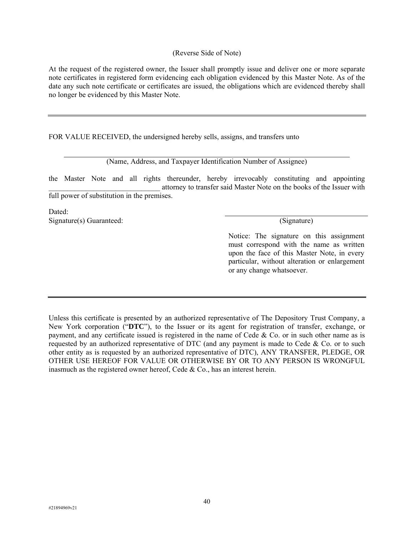## (Reverse Side of Note)

At the request of the registered owner, the Issuer shall promptly issue and deliver one or more separate note certificates in registered form evidencing each obligation evidenced by this Master Note. As of the date any such note certificate or certificates are issued, the obligations which are evidenced thereby shall no longer be evidenced by this Master Note.

FOR VALUE RECEIVED, the undersigned hereby sells, assigns, and transfers unto

(Name, Address, and Taxpayer Identification Number of Assignee)

the Master Note and all rights thereunder, hereby irrevocably constituting and appointing attorney to transfer said Master Note on the books of the Issuer with full power of substitution in the premises.

Dated: Signature(s) Guaranteed: (Signature) (Signature) (Signature) (Signature) (Signature) (Signature) (Signature) (Signature) (Signature) (Signature) (Signature) (Signature) (Signature) (Signature) (Signature) (Signature) (Sign

Notice: The signature on this assignment must correspond with the name as written upon the face of this Master Note, in every particular, without alteration or enlargement or any change whatsoever.

Unless this certificate is presented by an authorized representative of The Depository Trust Company, a New York corporation ("**DTC**"), to the Issuer or its agent for registration of transfer, exchange, or payment, and any certificate issued is registered in the name of Cede  $\&$  Co. or in such other name as is requested by an authorized representative of DTC (and any payment is made to Cede  $\&$  Co. or to such other entity as is requested by an authorized representative of DTC), ANY TRANSFER, PLEDGE, OR OTHER USE HEREOF FOR VALUE OR OTHERWISE BY OR TO ANY PERSON IS WRONGFUL inasmuch as the registered owner hereof, Cede & Co., has an interest herein.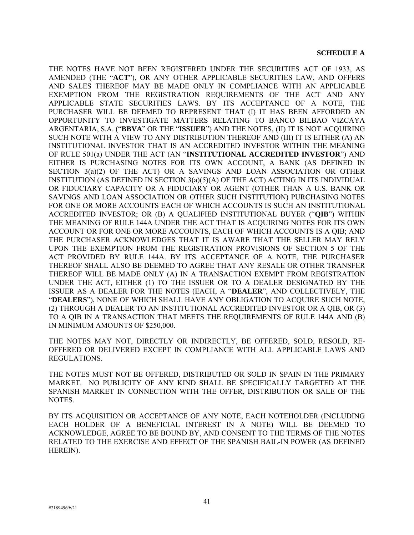THE NOTES HAVE NOT BEEN REGISTERED UNDER THE SECURITIES ACT OF 1933, AS AMENDED (THE "**ACT**"), OR ANY OTHER APPLICABLE SECURITIES LAW, AND OFFERS AND SALES THEREOF MAY BE MADE ONLY IN COMPLIANCE WITH AN APPLICABLE EXEMPTION FROM THE REGISTRATION REQUIREMENTS OF THE ACT AND ANY APPLICABLE STATE SECURITIES LAWS. BY ITS ACCEPTANCE OF A NOTE, THE PURCHASER WILL BE DEEMED TO REPRESENT THAT (I) IT HAS BEEN AFFORDED AN OPPORTUNITY TO INVESTIGATE MATTERS RELATING TO BANCO BILBAO VIZCAYA ARGENTARIA, S.A. ("**BBVA**" OR THE "**ISSUER**") AND THE NOTES, (II) IT IS NOT ACQUIRING SUCH NOTE WITH A VIEW TO ANY DISTRIBUTION THEREOF AND (III) IT IS EITHER (A) AN INSTITUTIONAL INVESTOR THAT IS AN ACCREDITED INVESTOR WITHIN THE MEANING OF RULE 501(a) UNDER THE ACT (AN "**INSTITUTIONAL ACCREDITED INVESTOR**") AND EITHER IS PURCHASING NOTES FOR ITS OWN ACCOUNT, A BANK (AS DEFINED IN SECTION 3(a)(2) OF THE ACT) OR A SAVINGS AND LOAN ASSOCIATION OR OTHER INSTITUTION (AS DEFINED IN SECTION 3(a)(5)(A) OF THE ACT) ACTING IN ITS INDIVIDUAL OR FIDUCIARY CAPACITY OR A FIDUCIARY OR AGENT (OTHER THAN A U.S. BANK OR SAVINGS AND LOAN ASSOCIATION OR OTHER SUCH INSTITUTION) PURCHASING NOTES FOR ONE OR MORE ACCOUNTS EACH OF WHICH ACCOUNTS IS SUCH AN INSTITUTIONAL ACCREDITED INVESTOR; OR (B) A QUALIFIED INSTITUTIONAL BUYER ("**QIB**") WITHIN THE MEANING OF RULE 144A UNDER THE ACT THAT IS ACQUIRING NOTES FOR ITS OWN ACCOUNT OR FOR ONE OR MORE ACCOUNTS, EACH OF WHICH ACCOUNTS IS A QIB; AND THE PURCHASER ACKNOWLEDGES THAT IT IS AWARE THAT THE SELLER MAY RELY UPON THE EXEMPTION FROM THE REGISTRATION PROVISIONS OF SECTION 5 OF THE ACT PROVIDED BY RULE 144A. BY ITS ACCEPTANCE OF A NOTE, THE PURCHASER THEREOF SHALL ALSO BE DEEMED TO AGREE THAT ANY RESALE OR OTHER TRANSFER THEREOF WILL BE MADE ONLY (A) IN A TRANSACTION EXEMPT FROM REGISTRATION UNDER THE ACT, EITHER (1) TO THE ISSUER OR TO A DEALER DESIGNATED BY THE ISSUER AS A DEALER FOR THE NOTES (EACH, A "**DEALER**", AND COLLECTIVELY, THE "**DEALERS**"), NONE OF WHICH SHALL HAVE ANY OBLIGATION TO ACQUIRE SUCH NOTE, (2) THROUGH A DEALER TO AN INSTITUTIONAL ACCREDITED INVESTOR OR A QIB, OR (3) TO A QIB IN A TRANSACTION THAT MEETS THE REQUIREMENTS OF RULE 144A AND (B) IN MINIMUM AMOUNTS OF \$250,000.

THE NOTES MAY NOT, DIRECTLY OR INDIRECTLY, BE OFFERED, SOLD, RESOLD, RE-OFFERED OR DELIVERED EXCEPT IN COMPLIANCE WITH ALL APPLICABLE LAWS AND REGULATIONS.

THE NOTES MUST NOT BE OFFERED, DISTRIBUTED OR SOLD IN SPAIN IN THE PRIMARY MARKET. NO PUBLICITY OF ANY KIND SHALL BE SPECIFICALLY TARGETED AT THE SPANISH MARKET IN CONNECTION WITH THE OFFER, DISTRIBUTION OR SALE OF THE NOTES.

BY ITS ACQUISITION OR ACCEPTANCE OF ANY NOTE, EACH NOTEHOLDER (INCLUDING EACH HOLDER OF A BENEFICIAL INTEREST IN A NOTE) WILL BE DEEMED TO ACKNOWLEDGE, AGREE TO BE BOUND BY, AND CONSENT TO THE TERMS OF THE NOTES RELATED TO THE EXERCISE AND EFFECT OF THE SPANISH BAIL-IN POWER (AS DEFINED HEREIN).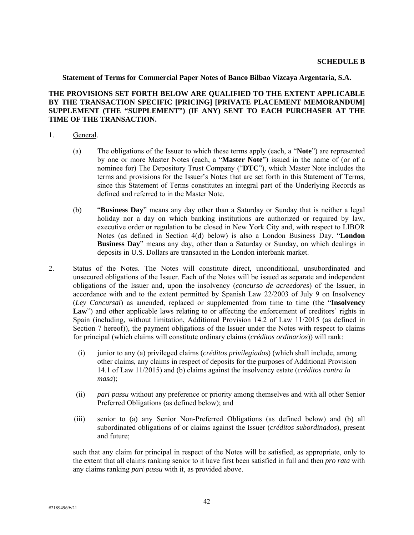**Statement of Terms for Commercial Paper Notes of Banco Bilbao Vizcaya Argentaria, S.A.** 

## **THE PROVISIONS SET FORTH BELOW ARE QUALIFIED TO THE EXTENT APPLICABLE BY THE TRANSACTION SPECIFIC [PRICING] [PRIVATE PLACEMENT MEMORANDUM] SUPPLEMENT (THE "SUPPLEMENT") (IF ANY) SENT TO EACH PURCHASER AT THE TIME OF THE TRANSACTION.**

- 1. General.
	- (a) The obligations of the Issuer to which these terms apply (each, a "**Note**") are represented by one or more Master Notes (each, a "**Master Note**") issued in the name of (or of a nominee for) The Depository Trust Company ("**DTC**"), which Master Note includes the terms and provisions for the Issuer's Notes that are set forth in this Statement of Terms, since this Statement of Terms constitutes an integral part of the Underlying Records as defined and referred to in the Master Note.
	- (b) "**Business Day**" means any day other than a Saturday or Sunday that is neither a legal holiday nor a day on which banking institutions are authorized or required by law, executive order or regulation to be closed in New York City and, with respect to LIBOR Notes (as defined in Section 4(d) below) is also a London Business Day. "**London Business Day**" means any day, other than a Saturday or Sunday, on which dealings in deposits in U.S. Dollars are transacted in the London interbank market.
- 2. Status of the Notes. The Notes will constitute direct, unconditional, unsubordinated and unsecured obligations of the Issuer. Each of the Notes will be issued as separate and independent obligations of the Issuer and, upon the insolvency (*concurso de acreedores*) of the Issuer, in accordance with and to the extent permitted by Spanish Law 22/2003 of July 9 on Insolvency (*Ley Concursal*) as amended, replaced or supplemented from time to time (the "**Insolvency**  Law") and other applicable laws relating to or affecting the enforcement of creditors' rights in Spain (including, without limitation, Additional Provision 14.2 of Law 11/2015 (as defined in Section 7 hereof)), the payment obligations of the Issuer under the Notes with respect to claims for principal (which claims will constitute ordinary claims (*créditos ordinarios*)) will rank:
	- (i) junior to any (a) privileged claims (*créditos privilegiados*) (which shall include, among other claims, any claims in respect of deposits for the purposes of Additional Provision 14.1 of Law 11/2015) and (b) claims against the insolvency estate (*créditos contra la masa*);
	- (ii) *pari passu* without any preference or priority among themselves and with all other Senior Preferred Obligations (as defined below); and
	- (iii) senior to (a) any Senior Non-Preferred Obligations (as defined below) and (b) all subordinated obligations of or claims against the Issuer (*créditos subordinados*), present and future;

such that any claim for principal in respect of the Notes will be satisfied, as appropriate, only to the extent that all claims ranking senior to it have first been satisfied in full and then *pro rata* with any claims ranking *pari passu* with it, as provided above.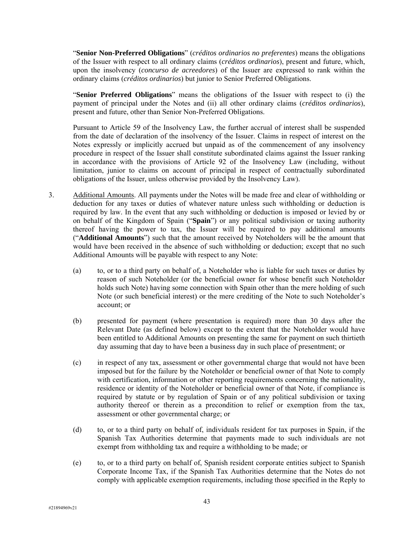"**Senior Non-Preferred Obligations**" (*créditos ordinarios no preferentes*) means the obligations of the Issuer with respect to all ordinary claims (*créditos ordinarios*), present and future, which, upon the insolvency (*concurso de acreedores*) of the Issuer are expressed to rank within the ordinary claims (*créditos ordinarios*) but junior to Senior Preferred Obligations.

"**Senior Preferred Obligations**" means the obligations of the Issuer with respect to (i) the payment of principal under the Notes and (ii) all other ordinary claims (*créditos ordinarios*), present and future, other than Senior Non-Preferred Obligations.

Pursuant to Article 59 of the Insolvency Law, the further accrual of interest shall be suspended from the date of declaration of the insolvency of the Issuer. Claims in respect of interest on the Notes expressly or implicitly accrued but unpaid as of the commencement of any insolvency procedure in respect of the Issuer shall constitute subordinated claims against the Issuer ranking in accordance with the provisions of Article 92 of the Insolvency Law (including, without limitation, junior to claims on account of principal in respect of contractually subordinated obligations of the Issuer, unless otherwise provided by the Insolvency Law).

- 3. Additional Amounts. All payments under the Notes will be made free and clear of withholding or deduction for any taxes or duties of whatever nature unless such withholding or deduction is required by law. In the event that any such withholding or deduction is imposed or levied by or on behalf of the Kingdom of Spain ("**Spain**") or any political subdivision or taxing authority thereof having the power to tax, the Issuer will be required to pay additional amounts ("**Additional Amounts**") such that the amount received by Noteholders will be the amount that would have been received in the absence of such withholding or deduction; except that no such Additional Amounts will be payable with respect to any Note:
	- (a) to, or to a third party on behalf of, a Noteholder who is liable for such taxes or duties by reason of such Noteholder (or the beneficial owner for whose benefit such Noteholder holds such Note) having some connection with Spain other than the mere holding of such Note (or such beneficial interest) or the mere crediting of the Note to such Noteholder's account; or
	- (b) presented for payment (where presentation is required) more than 30 days after the Relevant Date (as defined below) except to the extent that the Noteholder would have been entitled to Additional Amounts on presenting the same for payment on such thirtieth day assuming that day to have been a business day in such place of presentment; or
	- (c) in respect of any tax, assessment or other governmental charge that would not have been imposed but for the failure by the Noteholder or beneficial owner of that Note to comply with certification, information or other reporting requirements concerning the nationality, residence or identity of the Noteholder or beneficial owner of that Note, if compliance is required by statute or by regulation of Spain or of any political subdivision or taxing authority thereof or therein as a precondition to relief or exemption from the tax, assessment or other governmental charge; or
	- (d) to, or to a third party on behalf of, individuals resident for tax purposes in Spain, if the Spanish Tax Authorities determine that payments made to such individuals are not exempt from withholding tax and require a withholding to be made; or
	- (e) to, or to a third party on behalf of, Spanish resident corporate entities subject to Spanish Corporate Income Tax, if the Spanish Tax Authorities determine that the Notes do not comply with applicable exemption requirements, including those specified in the Reply to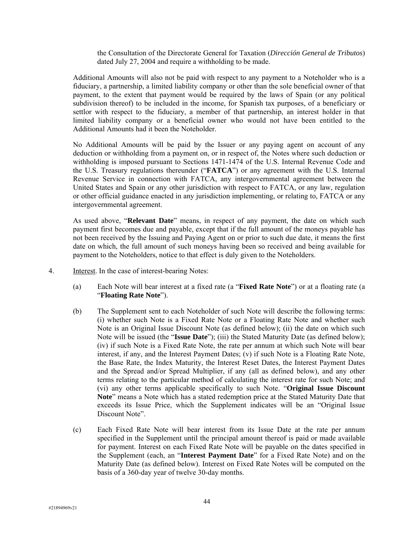the Consultation of the Directorate General for Taxation (*Dirección General de Tributos*) dated July 27, 2004 and require a withholding to be made.

Additional Amounts will also not be paid with respect to any payment to a Noteholder who is a fiduciary, a partnership, a limited liability company or other than the sole beneficial owner of that payment, to the extent that payment would be required by the laws of Spain (or any political subdivision thereof) to be included in the income, for Spanish tax purposes, of a beneficiary or settlor with respect to the fiduciary, a member of that partnership, an interest holder in that limited liability company or a beneficial owner who would not have been entitled to the Additional Amounts had it been the Noteholder.

No Additional Amounts will be paid by the Issuer or any paying agent on account of any deduction or withholding from a payment on, or in respect of, the Notes where such deduction or withholding is imposed pursuant to Sections 1471-1474 of the U.S. Internal Revenue Code and the U.S. Treasury regulations thereunder ("**FATCA**") or any agreement with the U.S. Internal Revenue Service in connection with FATCA, any intergovernmental agreement between the United States and Spain or any other jurisdiction with respect to FATCA, or any law, regulation or other official guidance enacted in any jurisdiction implementing, or relating to, FATCA or any intergovernmental agreement.

As used above, "**Relevant Date**" means, in respect of any payment, the date on which such payment first becomes due and payable, except that if the full amount of the moneys payable has not been received by the Issuing and Paying Agent on or prior to such due date, it means the first date on which, the full amount of such moneys having been so received and being available for payment to the Noteholders, notice to that effect is duly given to the Noteholders.

- 4. Interest. In the case of interest-bearing Notes:
	- (a) Each Note will bear interest at a fixed rate (a "**Fixed Rate Note**") or at a floating rate (a "**Floating Rate Note**").
	- (b) The Supplement sent to each Noteholder of such Note will describe the following terms: (i) whether such Note is a Fixed Rate Note or a Floating Rate Note and whether such Note is an Original Issue Discount Note (as defined below); (ii) the date on which such Note will be issued (the "**Issue Date**"); (iii) the Stated Maturity Date (as defined below); (iv) if such Note is a Fixed Rate Note, the rate per annum at which such Note will bear interest, if any, and the Interest Payment Dates; (v) if such Note is a Floating Rate Note, the Base Rate, the Index Maturity, the Interest Reset Dates, the Interest Payment Dates and the Spread and/or Spread Multiplier, if any (all as defined below), and any other terms relating to the particular method of calculating the interest rate for such Note; and (vi) any other terms applicable specifically to such Note. "**Original Issue Discount Note**" means a Note which has a stated redemption price at the Stated Maturity Date that exceeds its Issue Price, which the Supplement indicates will be an "Original Issue Discount Note".
	- (c) Each Fixed Rate Note will bear interest from its Issue Date at the rate per annum specified in the Supplement until the principal amount thereof is paid or made available for payment. Interest on each Fixed Rate Note will be payable on the dates specified in the Supplement (each, an "**Interest Payment Date**" for a Fixed Rate Note) and on the Maturity Date (as defined below). Interest on Fixed Rate Notes will be computed on the basis of a 360-day year of twelve 30-day months.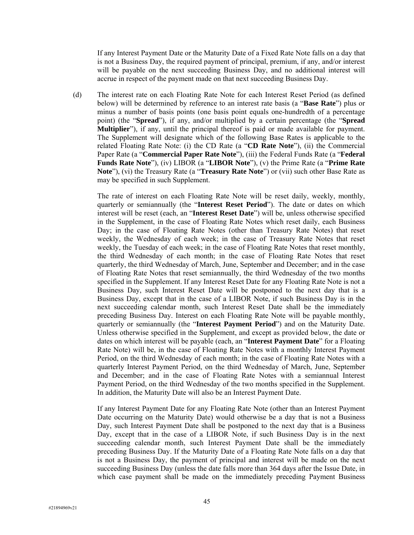If any Interest Payment Date or the Maturity Date of a Fixed Rate Note falls on a day that is not a Business Day, the required payment of principal, premium, if any, and/or interest will be payable on the next succeeding Business Day, and no additional interest will accrue in respect of the payment made on that next succeeding Business Day.

(d) The interest rate on each Floating Rate Note for each Interest Reset Period (as defined below) will be determined by reference to an interest rate basis (a "**Base Rate**") plus or minus a number of basis points (one basis point equals one-hundredth of a percentage point) (the "**Spread**"), if any, and/or multiplied by a certain percentage (the "**Spread Multiplier**"), if any, until the principal thereof is paid or made available for payment. The Supplement will designate which of the following Base Rates is applicable to the related Floating Rate Note: (i) the CD Rate (a "**CD Rate Note**"), (ii) the Commercial Paper Rate (a "**Commercial Paper Rate Note**"), (iii) the Federal Funds Rate (a "**Federal Funds Rate Note**"), (iv) LIBOR (a "**LIBOR Note**"), (v) the Prime Rate (a "**Prime Rate Note**"), (vi) the Treasury Rate (a "**Treasury Rate Note**") or (vii) such other Base Rate as may be specified in such Supplement.

The rate of interest on each Floating Rate Note will be reset daily, weekly, monthly, quarterly or semiannually (the "**Interest Reset Period**"). The date or dates on which interest will be reset (each, an "**Interest Reset Date**") will be, unless otherwise specified in the Supplement, in the case of Floating Rate Notes which reset daily, each Business Day; in the case of Floating Rate Notes (other than Treasury Rate Notes) that reset weekly, the Wednesday of each week; in the case of Treasury Rate Notes that reset weekly, the Tuesday of each week; in the case of Floating Rate Notes that reset monthly, the third Wednesday of each month; in the case of Floating Rate Notes that reset quarterly, the third Wednesday of March, June, September and December; and in the case of Floating Rate Notes that reset semiannually, the third Wednesday of the two months specified in the Supplement. If any Interest Reset Date for any Floating Rate Note is not a Business Day, such Interest Reset Date will be postponed to the next day that is a Business Day, except that in the case of a LIBOR Note, if such Business Day is in the next succeeding calendar month, such Interest Reset Date shall be the immediately preceding Business Day. Interest on each Floating Rate Note will be payable monthly, quarterly or semiannually (the "**Interest Payment Period**") and on the Maturity Date. Unless otherwise specified in the Supplement, and except as provided below, the date or dates on which interest will be payable (each, an "**Interest Payment Date**" for a Floating Rate Note) will be, in the case of Floating Rate Notes with a monthly Interest Payment Period, on the third Wednesday of each month; in the case of Floating Rate Notes with a quarterly Interest Payment Period, on the third Wednesday of March, June, September and December; and in the case of Floating Rate Notes with a semiannual Interest Payment Period, on the third Wednesday of the two months specified in the Supplement. In addition, the Maturity Date will also be an Interest Payment Date.

If any Interest Payment Date for any Floating Rate Note (other than an Interest Payment Date occurring on the Maturity Date) would otherwise be a day that is not a Business Day, such Interest Payment Date shall be postponed to the next day that is a Business Day, except that in the case of a LIBOR Note, if such Business Day is in the next succeeding calendar month, such Interest Payment Date shall be the immediately preceding Business Day. If the Maturity Date of a Floating Rate Note falls on a day that is not a Business Day, the payment of principal and interest will be made on the next succeeding Business Day (unless the date falls more than 364 days after the Issue Date, in which case payment shall be made on the immediately preceding Payment Business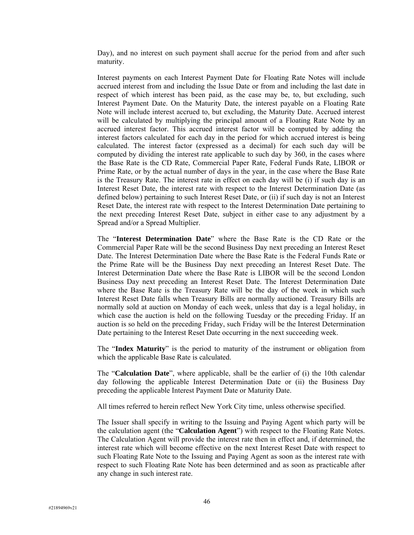Day), and no interest on such payment shall accrue for the period from and after such maturity.

Interest payments on each Interest Payment Date for Floating Rate Notes will include accrued interest from and including the Issue Date or from and including the last date in respect of which interest has been paid, as the case may be, to, but excluding, such Interest Payment Date. On the Maturity Date, the interest payable on a Floating Rate Note will include interest accrued to, but excluding, the Maturity Date. Accrued interest will be calculated by multiplying the principal amount of a Floating Rate Note by an accrued interest factor. This accrued interest factor will be computed by adding the interest factors calculated for each day in the period for which accrued interest is being calculated. The interest factor (expressed as a decimal) for each such day will be computed by dividing the interest rate applicable to such day by 360, in the cases where the Base Rate is the CD Rate, Commercial Paper Rate, Federal Funds Rate, LIBOR or Prime Rate, or by the actual number of days in the year, in the case where the Base Rate is the Treasury Rate. The interest rate in effect on each day will be (i) if such day is an Interest Reset Date, the interest rate with respect to the Interest Determination Date (as defined below) pertaining to such Interest Reset Date, or (ii) if such day is not an Interest Reset Date, the interest rate with respect to the Interest Determination Date pertaining to the next preceding Interest Reset Date, subject in either case to any adjustment by a Spread and/or a Spread Multiplier.

The "**Interest Determination Date**" where the Base Rate is the CD Rate or the Commercial Paper Rate will be the second Business Day next preceding an Interest Reset Date. The Interest Determination Date where the Base Rate is the Federal Funds Rate or the Prime Rate will be the Business Day next preceding an Interest Reset Date. The Interest Determination Date where the Base Rate is LIBOR will be the second London Business Day next preceding an Interest Reset Date. The Interest Determination Date where the Base Rate is the Treasury Rate will be the day of the week in which such Interest Reset Date falls when Treasury Bills are normally auctioned. Treasury Bills are normally sold at auction on Monday of each week, unless that day is a legal holiday, in which case the auction is held on the following Tuesday or the preceding Friday. If an auction is so held on the preceding Friday, such Friday will be the Interest Determination Date pertaining to the Interest Reset Date occurring in the next succeeding week.

The "**Index Maturity**" is the period to maturity of the instrument or obligation from which the applicable Base Rate is calculated.

The "**Calculation Date**", where applicable, shall be the earlier of (i) the 10th calendar day following the applicable Interest Determination Date or (ii) the Business Day preceding the applicable Interest Payment Date or Maturity Date.

All times referred to herein reflect New York City time, unless otherwise specified.

The Issuer shall specify in writing to the Issuing and Paying Agent which party will be the calculation agent (the "**Calculation Agent**") with respect to the Floating Rate Notes. The Calculation Agent will provide the interest rate then in effect and, if determined, the interest rate which will become effective on the next Interest Reset Date with respect to such Floating Rate Note to the Issuing and Paying Agent as soon as the interest rate with respect to such Floating Rate Note has been determined and as soon as practicable after any change in such interest rate.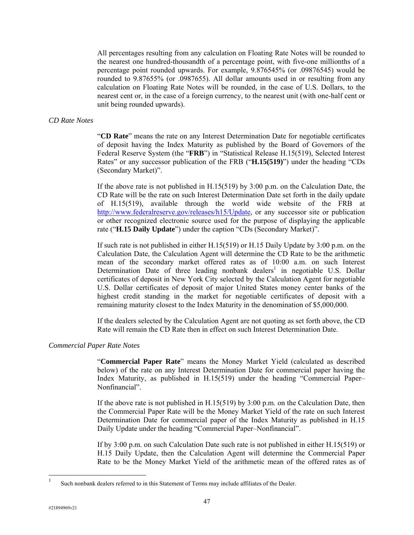All percentages resulting from any calculation on Floating Rate Notes will be rounded to the nearest one hundred-thousandth of a percentage point, with five-one millionths of a percentage point rounded upwards. For example, 9.876545% (or .09876545) would be rounded to 9.87655% (or .0987655). All dollar amounts used in or resulting from any calculation on Floating Rate Notes will be rounded, in the case of U.S. Dollars, to the nearest cent or, in the case of a foreign currency, to the nearest unit (with one-half cent or unit being rounded upwards).

#### *CD Rate Notes*

"**CD Rate**" means the rate on any Interest Determination Date for negotiable certificates of deposit having the Index Maturity as published by the Board of Governors of the Federal Reserve System (the "**FRB**") in "Statistical Release H.15(519), Selected Interest Rates" or any successor publication of the FRB ("**H.15(519)**") under the heading "CDs (Secondary Market)".

If the above rate is not published in  $H.15(519)$  by 3:00 p.m. on the Calculation Date, the CD Rate will be the rate on such Interest Determination Date set forth in the daily update of H.15(519), available through the world wide website of the FRB at http://www.federalreserve.gov/releases/h15/Update, or any successor site or publication or other recognized electronic source used for the purpose of displaying the applicable rate ("**H.15 Daily Update**") under the caption "CDs (Secondary Market)".

If such rate is not published in either H.15(519) or H.15 Daily Update by 3:00 p.m. on the Calculation Date, the Calculation Agent will determine the CD Rate to be the arithmetic mean of the secondary market offered rates as of 10:00 a.m. on such Interest Determination Date of three leading nonbank dealers<sup>1</sup> in negotiable U.S. Dollar certificates of deposit in New York City selected by the Calculation Agent for negotiable U.S. Dollar certificates of deposit of major United States money center banks of the highest credit standing in the market for negotiable certificates of deposit with a remaining maturity closest to the Index Maturity in the denomination of \$5,000,000.

If the dealers selected by the Calculation Agent are not quoting as set forth above, the CD Rate will remain the CD Rate then in effect on such Interest Determination Date.

#### *Commercial Paper Rate Notes*

"**Commercial Paper Rate**" means the Money Market Yield (calculated as described below) of the rate on any Interest Determination Date for commercial paper having the Index Maturity, as published in H.15(519) under the heading "Commercial Paper– Nonfinancial".

If the above rate is not published in  $H.15(519)$  by  $3:00$  p.m. on the Calculation Date, then the Commercial Paper Rate will be the Money Market Yield of the rate on such Interest Determination Date for commercial paper of the Index Maturity as published in H.15 Daily Update under the heading "Commercial Paper–Nonfinancial".

If by 3:00 p.m. on such Calculation Date such rate is not published in either H.15(519) or H.15 Daily Update, then the Calculation Agent will determine the Commercial Paper Rate to be the Money Market Yield of the arithmetic mean of the offered rates as of

l

<sup>&</sup>lt;sup>1</sup> Such nonbank dealers referred to in this Statement of Terms may include affiliates of the Dealer.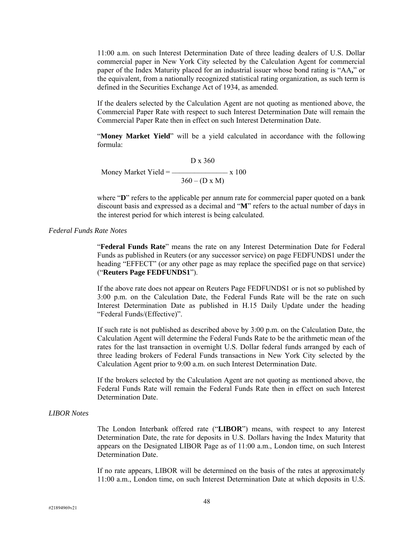11:00 a.m. on such Interest Determination Date of three leading dealers of U.S. Dollar commercial paper in New York City selected by the Calculation Agent for commercial paper of the Index Maturity placed for an industrial issuer whose bond rating is "AA**,**" or the equivalent, from a nationally recognized statistical rating organization, as such term is defined in the Securities Exchange Act of 1934, as amended.

If the dealers selected by the Calculation Agent are not quoting as mentioned above, the Commercial Paper Rate with respect to such Interest Determination Date will remain the Commercial Paper Rate then in effect on such Interest Determination Date.

"**Money Market Yield**" will be a yield calculated in accordance with the following formula:

 D x 360 Money Market Yield =  $\frac{100}{x}$  x 100  $360 - (D \times M)$ 

where "**D**" refers to the applicable per annum rate for commercial paper quoted on a bank discount basis and expressed as a decimal and "**M**" refers to the actual number of days in the interest period for which interest is being calculated.

#### *Federal Funds Rate Notes*

"**Federal Funds Rate**" means the rate on any Interest Determination Date for Federal Funds as published in Reuters (or any successor service) on page FEDFUNDS1 under the heading "EFFECT" (or any other page as may replace the specified page on that service) ("**Reuters Page FEDFUNDS1**").

If the above rate does not appear on Reuters Page FEDFUNDS1 or is not so published by 3:00 p.m. on the Calculation Date, the Federal Funds Rate will be the rate on such Interest Determination Date as published in H.15 Daily Update under the heading "Federal Funds/(Effective)".

If such rate is not published as described above by 3:00 p.m. on the Calculation Date, the Calculation Agent will determine the Federal Funds Rate to be the arithmetic mean of the rates for the last transaction in overnight U.S. Dollar federal funds arranged by each of three leading brokers of Federal Funds transactions in New York City selected by the Calculation Agent prior to 9:00 a.m. on such Interest Determination Date.

If the brokers selected by the Calculation Agent are not quoting as mentioned above, the Federal Funds Rate will remain the Federal Funds Rate then in effect on such Interest Determination Date.

## *LIBOR Notes*

The London Interbank offered rate ("**LIBOR**") means, with respect to any Interest Determination Date, the rate for deposits in U.S. Dollars having the Index Maturity that appears on the Designated LIBOR Page as of 11:00 a.m., London time, on such Interest Determination Date.

If no rate appears, LIBOR will be determined on the basis of the rates at approximately 11:00 a.m., London time, on such Interest Determination Date at which deposits in U.S.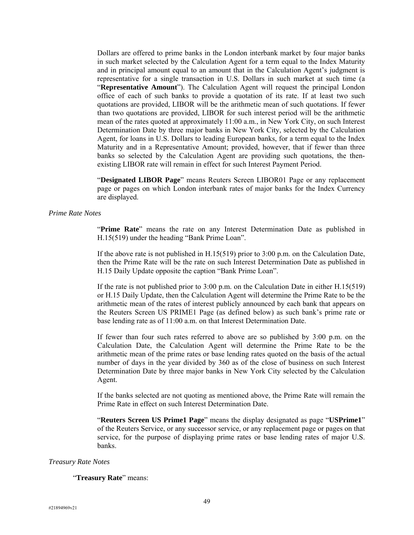Dollars are offered to prime banks in the London interbank market by four major banks in such market selected by the Calculation Agent for a term equal to the Index Maturity and in principal amount equal to an amount that in the Calculation Agent's judgment is representative for a single transaction in U.S. Dollars in such market at such time (a "**Representative Amount**"). The Calculation Agent will request the principal London office of each of such banks to provide a quotation of its rate. If at least two such quotations are provided, LIBOR will be the arithmetic mean of such quotations. If fewer than two quotations are provided, LIBOR for such interest period will be the arithmetic mean of the rates quoted at approximately 11:00 a.m., in New York City, on such Interest Determination Date by three major banks in New York City, selected by the Calculation Agent, for loans in U.S. Dollars to leading European banks, for a term equal to the Index Maturity and in a Representative Amount; provided, however, that if fewer than three banks so selected by the Calculation Agent are providing such quotations, the thenexisting LIBOR rate will remain in effect for such Interest Payment Period.

"**Designated LIBOR Page**" means Reuters Screen LIBOR01 Page or any replacement page or pages on which London interbank rates of major banks for the Index Currency are displayed.

#### *Prime Rate Notes*

"**Prime Rate**" means the rate on any Interest Determination Date as published in H.15(519) under the heading "Bank Prime Loan".

If the above rate is not published in H.15(519) prior to 3:00 p.m. on the Calculation Date, then the Prime Rate will be the rate on such Interest Determination Date as published in H.15 Daily Update opposite the caption "Bank Prime Loan".

If the rate is not published prior to 3:00 p.m. on the Calculation Date in either H.15(519) or H.15 Daily Update, then the Calculation Agent will determine the Prime Rate to be the arithmetic mean of the rates of interest publicly announced by each bank that appears on the Reuters Screen US PRIME1 Page (as defined below) as such bank's prime rate or base lending rate as of 11:00 a.m. on that Interest Determination Date.

If fewer than four such rates referred to above are so published by 3:00 p.m. on the Calculation Date, the Calculation Agent will determine the Prime Rate to be the arithmetic mean of the prime rates or base lending rates quoted on the basis of the actual number of days in the year divided by 360 as of the close of business on such Interest Determination Date by three major banks in New York City selected by the Calculation Agent.

If the banks selected are not quoting as mentioned above, the Prime Rate will remain the Prime Rate in effect on such Interest Determination Date.

"**Reuters Screen US Prime1 Page**" means the display designated as page "**USPrime1**" of the Reuters Service, or any successor service, or any replacement page or pages on that service, for the purpose of displaying prime rates or base lending rates of major U.S. banks.

#### *Treasury Rate Notes*

#### "**Treasury Rate**" means: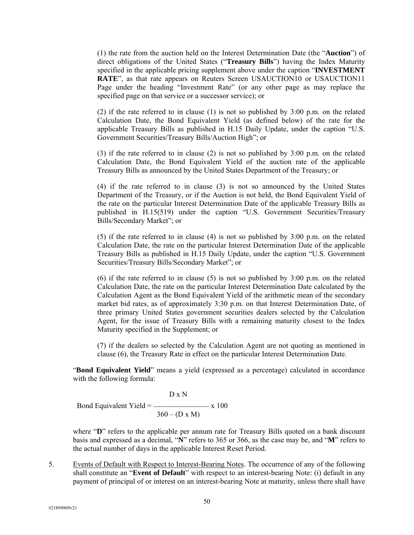(1) the rate from the auction held on the Interest Determination Date (the "**Auction**") of direct obligations of the United States ("**Treasury Bills**") having the Index Maturity specified in the applicable pricing supplement above under the caption "**INVESTMENT RATE**", as that rate appears on Reuters Screen USAUCTION10 or USAUCTION11 Page under the heading "Investment Rate" (or any other page as may replace the specified page on that service or a successor service); or

(2) if the rate referred to in clause (1) is not so published by 3:00 p.m. on the related Calculation Date, the Bond Equivalent Yield (as defined below) of the rate for the applicable Treasury Bills as published in H.15 Daily Update, under the caption "U.S. Government Securities/Treasury Bills/Auction High"; or

(3) if the rate referred to in clause (2) is not so published by 3:00 p.m. on the related Calculation Date, the Bond Equivalent Yield of the auction rate of the applicable Treasury Bills as announced by the United States Department of the Treasury; or

(4) if the rate referred to in clause (3) is not so announced by the United States Department of the Treasury, or if the Auction is not held, the Bond Equivalent Yield of the rate on the particular Interest Determination Date of the applicable Treasury Bills as published in H.15(519) under the caption "U.S. Government Securities/Treasury Bills/Secondary Market"; or

(5) if the rate referred to in clause (4) is not so published by 3:00 p.m. on the related Calculation Date, the rate on the particular Interest Determination Date of the applicable Treasury Bills as published in H.15 Daily Update, under the caption "U.S. Government Securities/Treasury Bills/Secondary Market"; or

(6) if the rate referred to in clause (5) is not so published by  $3:00$  p.m. on the related Calculation Date, the rate on the particular Interest Determination Date calculated by the Calculation Agent as the Bond Equivalent Yield of the arithmetic mean of the secondary market bid rates, as of approximately 3:30 p.m. on that Interest Determination Date, of three primary United States government securities dealers selected by the Calculation Agent, for the issue of Treasury Bills with a remaining maturity closest to the Index Maturity specified in the Supplement; or

(7) if the dealers so selected by the Calculation Agent are not quoting as mentioned in clause (6), the Treasury Rate in effect on the particular Interest Determination Date.

"**Bond Equivalent Yield**" means a yield (expressed as a percentage) calculated in accordance with the following formula:

 $D \times N$ 

Bond Equivalent Yield  $=$  \_\_\_\_\_\_\_\_\_\_\_\_\_\_\_\_\_\_\_\_\_ x 100  $360 - (D \times M)$ 

where "D" refers to the applicable per annum rate for Treasury Bills quoted on a bank discount basis and expressed as a decimal, "**N**" refers to 365 or 366, as the case may be, and "**M**" refers to the actual number of days in the applicable Interest Reset Period.

5. Events of Default with Respect to Interest-Bearing Notes. The occurrence of any of the following shall constitute an "**Event of Default**" with respect to an interest-bearing Note: (i) default in any payment of principal of or interest on an interest-bearing Note at maturity, unless there shall have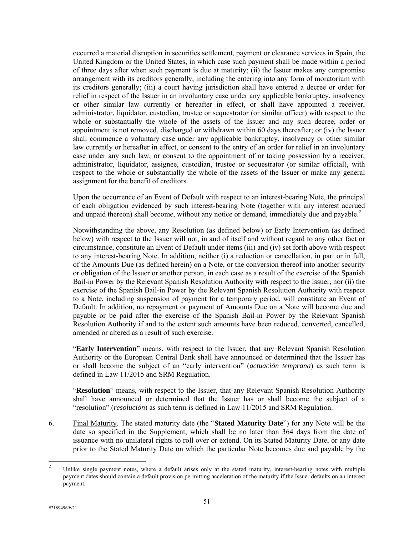occurred a material disruption in securities settlement, payment or clearance services in Spain, the United Kingdom or the United States, in which case such payment shall be made within a period of three days after when such payment is due at maturity; (ii) the Issuer makes any compromise arrangement with its creditors generally, including the entering into any form of moratorium with its creditors generally; (iii) a court having jurisdiction shall have entered a decree or order for relief in respect of the Issuer in an involuntary case under any applicable bankruptcy, insolvency or other similar law currently or hereafter in effect, or shall have appointed a receiver, administrator, liquidator, custodian, trustee or sequestrator (or similar officer) with respect to the whole or substantially the whole of the assets of the Issuer and any such decree, order or appointment is not removed, discharged or withdrawn within 60 days thereafter; or (iv) the Issuer shall commence a voluntary case under any applicable bankruptcy, insolvency or other similar law currently or hereafter in effect, or consent to the entry of an order for relief in an involuntary case under any such law, or consent to the appointment of or taking possession by a receiver, administrator, liquidator, assignee, custodian, trustee or sequestrator (or similar official), with respect to the whole or substantially the whole of the assets of the Issuer or make any general assignment for the benefit of creditors.

Upon the occurrence of an Event of Default with respect to an interest-bearing Note, the principal of each obligation evidenced by such interest-bearing Note (together with any interest accrued and unpaid thereon) shall become, without any notice or demand, immediately due and payable.<sup>2</sup>

Notwithstanding the above, any Resolution (as defined below) or Early Intervention (as defined below) with respect to the Issuer will not, in and of itself and without regard to any other fact or circumstance, constitute an Event of Default under items (iii) and (iv) set forth above with respect to any interest-bearing Note. In addition, neither (i) a reduction or cancellation, in part or in full, of the Amounts Due (as defined herein) on a Note, or the conversion thereof into another security or obligation of the Issuer or another person, in each case as a result of the exercise of the Spanish Bail-in Power by the Relevant Spanish Resolution Authority with respect to the Issuer, nor (ii) the exercise of the Spanish Bail-in Power by the Relevant Spanish Resolution Authority with respect to a Note, including suspension of payment for a temporary period, will constitute an Event of Default. In addition, no repayment or payment of Amounts Due on a Note will become due and payable or be paid after the exercise of the Spanish Bail-in Power by the Relevant Spanish Resolution Authority if and to the extent such amounts have been reduced, converted, cancelled, amended or altered as a result of such exercise.

"**Early Intervention**" means, with respect to the Issuer, that any Relevant Spanish Resolution Authority or the European Central Bank shall have announced or determined that the Issuer has or shall become the subject of an "early intervention" (*actuación temprana*) as such term is defined in Law 11/2015 and SRM Regulation.

"**Resolution**" means, with respect to the Issuer, that any Relevant Spanish Resolution Authority shall have announced or determined that the Issuer has or shall become the subject of a "resolution" (*resolución*) as such term is defined in Law 11/2015 and SRM Regulation.

6. Final Maturity. The stated maturity date (the "**Stated Maturity Date**") for any Note will be the date so specified in the Supplement, which shall be no later than 364 days from the date of issuance with no unilateral rights to roll over or extend. On its Stated Maturity Date, or any date prior to the Stated Maturity Date on which the particular Note becomes due and payable by the

 $\overline{2}$ <sup>2</sup> Unlike single payment notes, where a default arises only at the stated maturity, interest-bearing notes with multiple payment dates should contain a default provision permitting acceleration of the maturity if the Issuer defaults on an interest payment.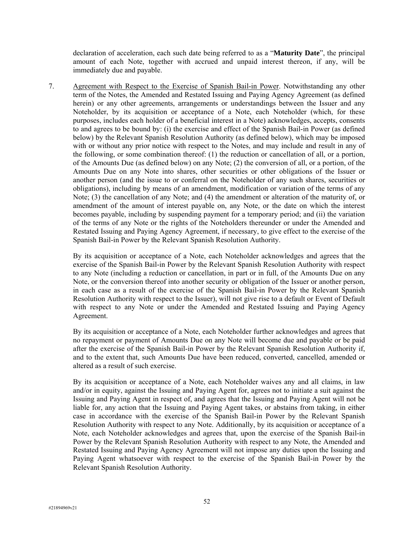declaration of acceleration, each such date being referred to as a "**Maturity Date**", the principal amount of each Note, together with accrued and unpaid interest thereon, if any, will be immediately due and payable.

7. Agreement with Respect to the Exercise of Spanish Bail-in Power. Notwithstanding any other term of the Notes, the Amended and Restated Issuing and Paying Agency Agreement (as defined herein) or any other agreements, arrangements or understandings between the Issuer and any Noteholder, by its acquisition or acceptance of a Note, each Noteholder (which, for these purposes, includes each holder of a beneficial interest in a Note) acknowledges, accepts, consents to and agrees to be bound by: (i) the exercise and effect of the Spanish Bail-in Power (as defined below) by the Relevant Spanish Resolution Authority (as defined below), which may be imposed with or without any prior notice with respect to the Notes, and may include and result in any of the following, or some combination thereof: (1) the reduction or cancellation of all, or a portion, of the Amounts Due (as defined below) on any Note; (2) the conversion of all, or a portion, of the Amounts Due on any Note into shares, other securities or other obligations of the Issuer or another person (and the issue to or conferral on the Noteholder of any such shares, securities or obligations), including by means of an amendment, modification or variation of the terms of any Note; (3) the cancellation of any Note; and (4) the amendment or alteration of the maturity of, or amendment of the amount of interest payable on, any Note, or the date on which the interest becomes payable, including by suspending payment for a temporary period; and (ii) the variation of the terms of any Note or the rights of the Noteholders thereunder or under the Amended and Restated Issuing and Paying Agency Agreement, if necessary, to give effect to the exercise of the Spanish Bail-in Power by the Relevant Spanish Resolution Authority.

By its acquisition or acceptance of a Note, each Noteholder acknowledges and agrees that the exercise of the Spanish Bail-in Power by the Relevant Spanish Resolution Authority with respect to any Note (including a reduction or cancellation, in part or in full, of the Amounts Due on any Note, or the conversion thereof into another security or obligation of the Issuer or another person, in each case as a result of the exercise of the Spanish Bail-in Power by the Relevant Spanish Resolution Authority with respect to the Issuer), will not give rise to a default or Event of Default with respect to any Note or under the Amended and Restated Issuing and Paying Agency Agreement.

By its acquisition or acceptance of a Note, each Noteholder further acknowledges and agrees that no repayment or payment of Amounts Due on any Note will become due and payable or be paid after the exercise of the Spanish Bail-in Power by the Relevant Spanish Resolution Authority if, and to the extent that, such Amounts Due have been reduced, converted, cancelled, amended or altered as a result of such exercise.

By its acquisition or acceptance of a Note, each Noteholder waives any and all claims, in law and/or in equity, against the Issuing and Paying Agent for, agrees not to initiate a suit against the Issuing and Paying Agent in respect of, and agrees that the Issuing and Paying Agent will not be liable for, any action that the Issuing and Paying Agent takes, or abstains from taking, in either case in accordance with the exercise of the Spanish Bail-in Power by the Relevant Spanish Resolution Authority with respect to any Note. Additionally, by its acquisition or acceptance of a Note, each Noteholder acknowledges and agrees that, upon the exercise of the Spanish Bail-in Power by the Relevant Spanish Resolution Authority with respect to any Note, the Amended and Restated Issuing and Paying Agency Agreement will not impose any duties upon the Issuing and Paying Agent whatsoever with respect to the exercise of the Spanish Bail-in Power by the Relevant Spanish Resolution Authority.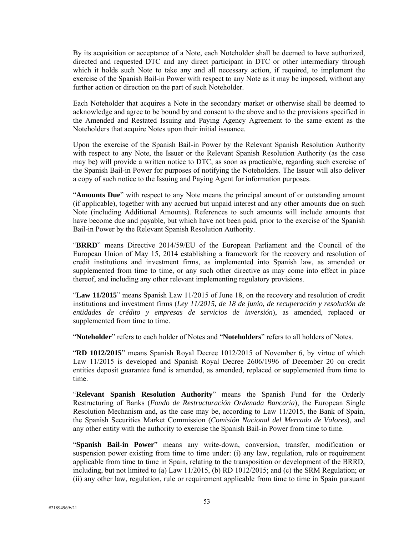By its acquisition or acceptance of a Note, each Noteholder shall be deemed to have authorized, directed and requested DTC and any direct participant in DTC or other intermediary through which it holds such Note to take any and all necessary action, if required, to implement the exercise of the Spanish Bail-in Power with respect to any Note as it may be imposed, without any further action or direction on the part of such Noteholder.

Each Noteholder that acquires a Note in the secondary market or otherwise shall be deemed to acknowledge and agree to be bound by and consent to the above and to the provisions specified in the Amended and Restated Issuing and Paying Agency Agreement to the same extent as the Noteholders that acquire Notes upon their initial issuance.

Upon the exercise of the Spanish Bail-in Power by the Relevant Spanish Resolution Authority with respect to any Note, the Issuer or the Relevant Spanish Resolution Authority (as the case may be) will provide a written notice to DTC, as soon as practicable, regarding such exercise of the Spanish Bail-in Power for purposes of notifying the Noteholders. The Issuer will also deliver a copy of such notice to the Issuing and Paying Agent for information purposes.

"**Amounts Due**" with respect to any Note means the principal amount of or outstanding amount (if applicable), together with any accrued but unpaid interest and any other amounts due on such Note (including Additional Amounts). References to such amounts will include amounts that have become due and payable, but which have not been paid, prior to the exercise of the Spanish Bail-in Power by the Relevant Spanish Resolution Authority.

"**BRRD**" means Directive 2014/59/EU of the European Parliament and the Council of the European Union of May 15, 2014 establishing a framework for the recovery and resolution of credit institutions and investment firms, as implemented into Spanish law, as amended or supplemented from time to time, or any such other directive as may come into effect in place thereof, and including any other relevant implementing regulatory provisions.

"**Law 11/2015**" means Spanish Law 11/2015 of June 18, on the recovery and resolution of credit institutions and investment firms (*Ley 11/2015, de 18 de junio, de recuperación y resolución de entidades de crédito y empresas de servicios de inversión*), as amended, replaced or supplemented from time to time.

"**Noteholder**" refers to each holder of Notes and "**Noteholders**" refers to all holders of Notes.

"**RD 1012/2015**" means Spanish Royal Decree 1012/2015 of November 6, by virtue of which Law 11/2015 is developed and Spanish Royal Decree 2606/1996 of December 20 on credit entities deposit guarantee fund is amended, as amended, replaced or supplemented from time to time.

"**Relevant Spanish Resolution Authority**" means the Spanish Fund for the Orderly Restructuring of Banks (*Fondo de Restructuración Ordenada Bancaria*), the European Single Resolution Mechanism and, as the case may be, according to Law 11/2015, the Bank of Spain, the Spanish Securities Market Commission (*Comisión Nacional del Mercado de Valores*), and any other entity with the authority to exercise the Spanish Bail-in Power from time to time.

"**Spanish Bail-in Power**" means any write-down, conversion, transfer, modification or suspension power existing from time to time under: (i) any law, regulation, rule or requirement applicable from time to time in Spain, relating to the transposition or development of the BRRD, including, but not limited to (a) Law 11/2015, (b) RD 1012/2015; and (c) the SRM Regulation; or (ii) any other law, regulation, rule or requirement applicable from time to time in Spain pursuant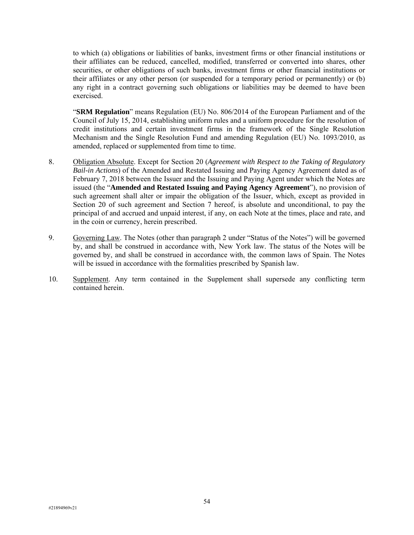to which (a) obligations or liabilities of banks, investment firms or other financial institutions or their affiliates can be reduced, cancelled, modified, transferred or converted into shares, other securities, or other obligations of such banks, investment firms or other financial institutions or their affiliates or any other person (or suspended for a temporary period or permanently) or (b) any right in a contract governing such obligations or liabilities may be deemed to have been exercised.

"**SRM Regulation**" means Regulation (EU) No. 806/2014 of the European Parliament and of the Council of July 15, 2014, establishing uniform rules and a uniform procedure for the resolution of credit institutions and certain investment firms in the framework of the Single Resolution Mechanism and the Single Resolution Fund and amending Regulation (EU) No. 1093/2010, as amended, replaced or supplemented from time to time.

- 8. Obligation Absolute. Except for Section 20 (*Agreement with Respect to the Taking of Regulatory Bail-in Actions*) of the Amended and Restated Issuing and Paying Agency Agreement dated as of February 7, 2018 between the Issuer and the Issuing and Paying Agent under which the Notes are issued (the "**Amended and Restated Issuing and Paying Agency Agreement**"), no provision of such agreement shall alter or impair the obligation of the Issuer, which, except as provided in Section 20 of such agreement and Section 7 hereof, is absolute and unconditional, to pay the principal of and accrued and unpaid interest, if any, on each Note at the times, place and rate, and in the coin or currency, herein prescribed.
- 9. Governing Law. The Notes (other than paragraph 2 under "Status of the Notes") will be governed by, and shall be construed in accordance with, New York law. The status of the Notes will be governed by, and shall be construed in accordance with, the common laws of Spain. The Notes will be issued in accordance with the formalities prescribed by Spanish law.
- 10. Supplement. Any term contained in the Supplement shall supersede any conflicting term contained herein.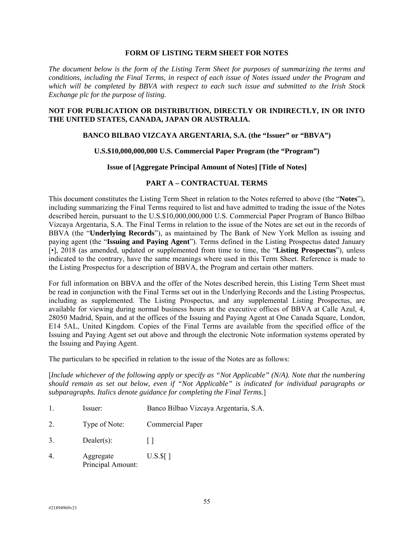## **FORM OF LISTING TERM SHEET FOR NOTES**

*The document below is the form of the Listing Term Sheet for purposes of summarizing the terms and conditions, including the Final Terms, in respect of each issue of Notes issued under the Program and which will be completed by BBVA with respect to each such issue and submitted to the Irish Stock Exchange plc for the purpose of listing.* 

#### **NOT FOR PUBLICATION OR DISTRIBUTION, DIRECTLY OR INDIRECTLY, IN OR INTO THE UNITED STATES, CANADA, JAPAN OR AUSTRALIA.**

#### **BANCO BILBAO VIZCAYA ARGENTARIA, S.A. (the "Issuer" or "BBVA")**

#### **U.S.\$10,000,000,000 U.S. Commercial Paper Program (the "Program")**

#### **Issue of [Aggregate Principal Amount of Notes] [Title of Notes]**

## **PART A – CONTRACTUAL TERMS**

This document constitutes the Listing Term Sheet in relation to the Notes referred to above (the "**Notes**"), including summarizing the Final Terms required to list and have admitted to trading the issue of the Notes described herein, pursuant to the U.S.\$10,000,000,000 U.S. Commercial Paper Program of Banco Bilbao Vizcaya Argentaria, S.A. The Final Terms in relation to the issue of the Notes are set out in the records of BBVA (the "**Underlying Records**"), as maintained by The Bank of New York Mellon as issuing and paying agent (the "**Issuing and Paying Agent**"). Terms defined in the Listing Prospectus dated January [•], 2018 (as amended, updated or supplemented from time to time, the "**Listing Prospectus**"), unless indicated to the contrary, have the same meanings where used in this Term Sheet. Reference is made to the Listing Prospectus for a description of BBVA, the Program and certain other matters.

For full information on BBVA and the offer of the Notes described herein, this Listing Term Sheet must be read in conjunction with the Final Terms set out in the Underlying Records and the Listing Prospectus, including as supplemented. The Listing Prospectus, and any supplemental Listing Prospectus, are available for viewing during normal business hours at the executive offices of BBVA at Calle Azul, 4, 28050 Madrid, Spain, and at the offices of the Issuing and Paying Agent at One Canada Square, London, E14 5AL, United Kingdom. Copies of the Final Terms are available from the specified office of the Issuing and Paying Agent set out above and through the electronic Note information systems operated by the Issuing and Paying Agent.

The particulars to be specified in relation to the issue of the Notes are as follows:

[*Include whichever of the following apply or specify as "Not Applicable" (N/A). Note that the numbering should remain as set out below, even if "Not Applicable" is indicated for individual paragraphs or subparagraphs. Italics denote guidance for completing the Final Terms.*]

- 1. Issuer: Banco Bilbao Vizcaya Argentaria, S.A.
- 2. Type of Note: Commercial Paper
- 3. Dealer(s):  $\lceil \cdot \rceil$
- 4. Aggregate Principal Amount: U.S.\$[ ]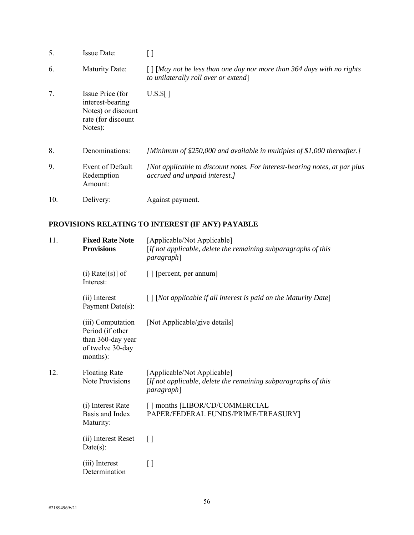| 5.  | <b>Issue Date:</b>                                                                          |                                                                                                                                   |
|-----|---------------------------------------------------------------------------------------------|-----------------------------------------------------------------------------------------------------------------------------------|
| 6.  | <b>Maturity Date:</b>                                                                       | $\lceil \cdot \rceil$ [May not be less than one day nor more than 364 days with no rights<br>to unilaterally roll over or extend] |
| 7.  | Issue Price (for<br>interest-bearing<br>Notes) or discount<br>rate (for discount<br>Notes): | $U.S.\$ []                                                                                                                        |
| 8.  | Denominations:                                                                              | [Minimum of \$250,000 and available in multiples of \$1,000 thereafter.]                                                          |
| 9.  | Event of Default<br>Redemption<br>Amount:                                                   | [Not applicable to discount notes. For interest-bearing notes, at par plus<br>accrued and unpaid interest.]                       |
| 10. | Delivery:                                                                                   | Against payment.                                                                                                                  |

# **PROVISIONS RELATING TO INTEREST (IF ANY) PAYABLE**

| 11. | <b>Fixed Rate Note</b><br><b>Provisions</b>                                                | [Applicable/Not Applicable]<br>[If not applicable, delete the remaining subparagraphs of this<br><i>paragraph</i> ] |
|-----|--------------------------------------------------------------------------------------------|---------------------------------------------------------------------------------------------------------------------|
|     | (i) Rate $[(s)]$ of<br>Interest:                                                           | [ ] [percent, per annum]                                                                                            |
|     | (ii) Interest<br>Payment Date(s):                                                          | $\lceil \cdot \rceil$ [Not applicable if all interest is paid on the Maturity Date]                                 |
|     | (iii) Computation<br>Period (if other<br>than 360-day year<br>of twelve 30-day<br>months): | [Not Applicable/give details]                                                                                       |
| 12. | <b>Floating Rate</b><br><b>Note Provisions</b>                                             | [Applicable/Not Applicable]<br>[If not applicable, delete the remaining subparagraphs of this<br><i>paragraph</i>   |
|     | (i) Interest Rate<br>Basis and Index<br>Maturity:                                          | [] months [LIBOR/CD/COMMERCIAL<br>PAPER/FEDERAL FUNDS/PRIME/TREASURY]                                               |
|     | (ii) Interest Reset<br>$Date(s)$ :                                                         | $\lceil$ $\rceil$                                                                                                   |
|     | (iii) Interest<br>Determination                                                            | $\lceil$ $\rceil$                                                                                                   |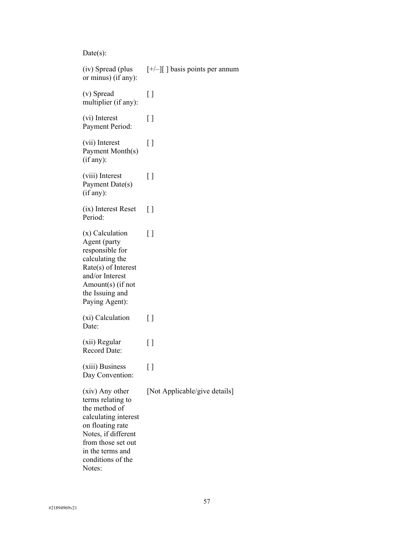$Date(s)$ :

(iv) Spread (plus or minus) (if any): [+/–][ ] basis points per annum (v) Spread multiplier (if any): [ ] (vi) Interest Payment Period:  $\lbrack$ (vii) Interest Payment Month(s) (if any):  $\lceil$ (viii) Interest Payment Date(s) (if any): [ ] (ix) Interest Reset Period:  $\lbrack$ (x) Calculation Agent (party responsible for calculating the Rate(s) of Interest and/or Interest Amount(s) (if not the Issuing and Paying Agent):  $\lceil$ (xi) Calculation Date: [ ] (xii) Regular Record Date: [ ] (xiii) Business Day Convention:  $\lceil$ (xiv) Any other terms relating to the method of calculating interest on floating rate Notes, if different from those set out in the terms and conditions of the Notes: [Not Applicable/give details]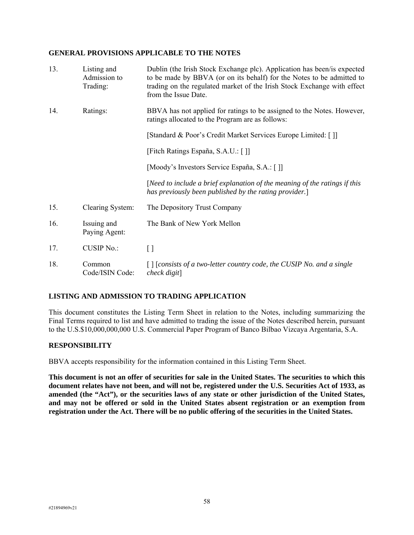#### **GENERAL PROVISIONS APPLICABLE TO THE NOTES**

| 13. | Listing and<br>Admission to<br>Trading: | Dublin (the Irish Stock Exchange plc). Application has been/is expected<br>to be made by BBVA (or on its behalf) for the Notes to be admitted to<br>trading on the regulated market of the Irish Stock Exchange with effect<br>from the Issue Date. |
|-----|-----------------------------------------|-----------------------------------------------------------------------------------------------------------------------------------------------------------------------------------------------------------------------------------------------------|
| 14. | Ratings:                                | BBVA has not applied for ratings to be assigned to the Notes. However,<br>ratings allocated to the Program are as follows:                                                                                                                          |
|     |                                         | [Standard & Poor's Credit Market Services Europe Limited: []]                                                                                                                                                                                       |
|     |                                         | [Fitch Ratings España, S.A.U.: []]                                                                                                                                                                                                                  |
|     |                                         | [Moody's Investors Service España, S.A.: []]                                                                                                                                                                                                        |
|     |                                         | [Need to include a brief explanation of the meaning of the ratings if this<br>has previously been published by the rating provider.]                                                                                                                |
| 15. | Clearing System:                        | The Depository Trust Company                                                                                                                                                                                                                        |
| 16. | Issuing and<br>Paying Agent:            | The Bank of New York Mellon                                                                                                                                                                                                                         |
| 17. | <b>CUSIP No.:</b>                       | $[ \ ]$                                                                                                                                                                                                                                             |
| 18. | Common<br>Code/ISIN Code:               | [ ] [consists of a two-letter country code, the CUSIP No. and a single<br>$check$ digit]                                                                                                                                                            |

## **LISTING AND ADMISSION TO TRADING APPLICATION**

This document constitutes the Listing Term Sheet in relation to the Notes, including summarizing the Final Terms required to list and have admitted to trading the issue of the Notes described herein, pursuant to the U.S.\$10,000,000,000 U.S. Commercial Paper Program of Banco Bilbao Vizcaya Argentaria, S.A.

# **RESPONSIBILITY**

BBVA accepts responsibility for the information contained in this Listing Term Sheet.

**This document is not an offer of securities for sale in the United States. The securities to which this document relates have not been, and will not be, registered under the U.S. Securities Act of 1933, as amended (the "Act"), or the securities laws of any state or other jurisdiction of the United States, and may not be offered or sold in the United States absent registration or an exemption from registration under the Act. There will be no public offering of the securities in the United States.**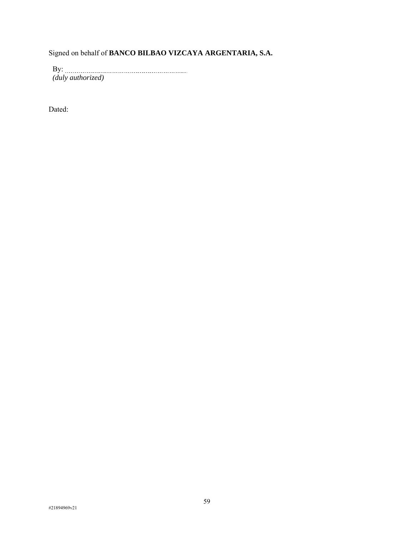Signed on behalf of **BANCO BILBAO VIZCAYA ARGENTARIA, S.A.** 

By: *(duly authorized)*

Dated: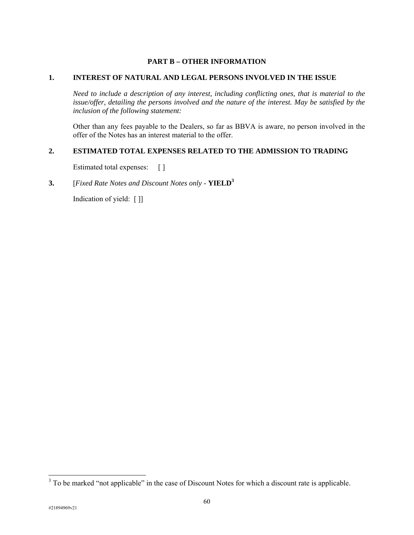# **PART B – OTHER INFORMATION**

#### **1. INTEREST OF NATURAL AND LEGAL PERSONS INVOLVED IN THE ISSUE**

*Need to include a description of any interest, including conflicting ones, that is material to the issue/offer, detailing the persons involved and the nature of the interest. May be satisfied by the inclusion of the following statement:* 

Other than any fees payable to the Dealers, so far as BBVA is aware, no person involved in the offer of the Notes has an interest material to the offer.

#### **2. ESTIMATED TOTAL EXPENSES RELATED TO THE ADMISSION TO TRADING**

Estimated total expenses: []

## **3.** [*Fixed Rate Notes and Discount Notes only* - **YIELD3**

Indication of yield: [ ]]

-

<sup>&</sup>lt;sup>3</sup> To be marked "not applicable" in the case of Discount Notes for which a discount rate is applicable.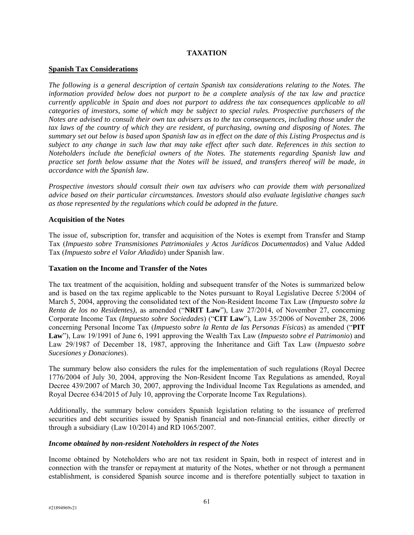## **TAXATION**

#### **Spanish Tax Considerations**

*The following is a general description of certain Spanish tax considerations relating to the Notes. The information provided below does not purport to be a complete analysis of the tax law and practice currently applicable in Spain and does not purport to address the tax consequences applicable to all categories of investors, some of which may be subject to special rules. Prospective purchasers of the Notes are advised to consult their own tax advisers as to the tax consequences, including those under the tax laws of the country of which they are resident, of purchasing, owning and disposing of Notes. The summary set out below is based upon Spanish law as in effect on the date of this Listing Prospectus and is subject to any change in such law that may take effect after such date. References in this section to Noteholders include the beneficial owners of the Notes. The statements regarding Spanish law and practice set forth below assume that the Notes will be issued, and transfers thereof will be made, in accordance with the Spanish law.* 

*Prospective investors should consult their own tax advisers who can provide them with personalized advice based on their particular circumstances. Investors should also evaluate legislative changes such as those represented by the regulations which could be adopted in the future.* 

#### **Acquisition of the Notes**

The issue of, subscription for, transfer and acquisition of the Notes is exempt from Transfer and Stamp Tax (*Impuesto sobre Transmisiones Patrimoniales y Actos Jurídicos Documentados*) and Value Added Tax (*Impuesto sobre el Valor Añadido*) under Spanish law.

## **Taxation on the Income and Transfer of the Notes**

The tax treatment of the acquisition, holding and subsequent transfer of the Notes is summarized below and is based on the tax regime applicable to the Notes pursuant to Royal Legislative Decree 5/2004 of March 5, 2004, approving the consolidated text of the Non-Resident Income Tax Law (*Impuesto sobre la Renta de los no Residentes)*, as amended ("**NRIT Law**"), Law 27/2014, of November 27, concerning Corporate Income Tax (*Impuesto sobre Sociedades*) ("**CIT Law**"), Law 35/2006 of November 28, 2006 concerning Personal Income Tax (*Impuesto sobre la Renta de las Personas Físicas*) as amended ("**PIT Law**"), Law 19/1991 of June 6, 1991 approving the Wealth Tax Law (*Impuesto sobre el Patrimonio*) and Law 29/1987 of December 18, 1987, approving the Inheritance and Gift Tax Law (*Impuesto sobre Sucesiones y Donaciones*).

The summary below also considers the rules for the implementation of such regulations (Royal Decree 1776/2004 of July 30, 2004, approving the Non-Resident Income Tax Regulations as amended, Royal Decree 439/2007 of March 30, 2007, approving the Individual Income Tax Regulations as amended, and Royal Decree 634/2015 of July 10, approving the Corporate Income Tax Regulations).

Additionally, the summary below considers Spanish legislation relating to the issuance of preferred securities and debt securities issued by Spanish financial and non-financial entities, either directly or through a subsidiary (Law 10/2014) and RD 1065/2007.

## *Income obtained by non-resident Noteholders in respect of the Notes*

Income obtained by Noteholders who are not tax resident in Spain, both in respect of interest and in connection with the transfer or repayment at maturity of the Notes, whether or not through a permanent establishment, is considered Spanish source income and is therefore potentially subject to taxation in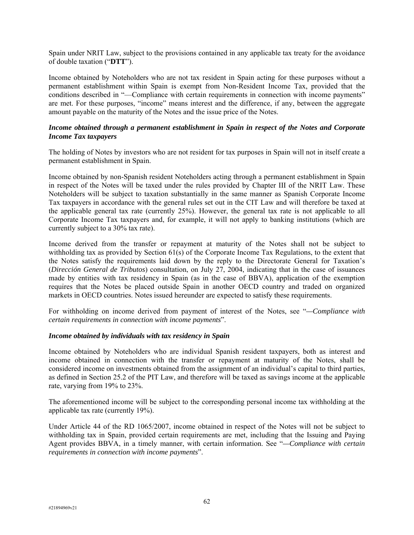Spain under NRIT Law, subject to the provisions contained in any applicable tax treaty for the avoidance of double taxation ("**DTT**").

Income obtained by Noteholders who are not tax resident in Spain acting for these purposes without a permanent establishment within Spain is exempt from Non-Resident Income Tax, provided that the conditions described in "—Compliance with certain requirements in connection with income payments" are met. For these purposes, "income" means interest and the difference, if any, between the aggregate amount payable on the maturity of the Notes and the issue price of the Notes.

#### *Income obtained through a permanent establishment in Spain in respect of the Notes and Corporate Income Tax taxpayers*

The holding of Notes by investors who are not resident for tax purposes in Spain will not in itself create a permanent establishment in Spain.

Income obtained by non-Spanish resident Noteholders acting through a permanent establishment in Spain in respect of the Notes will be taxed under the rules provided by Chapter III of the NRIT Law. These Noteholders will be subject to taxation substantially in the same manner as Spanish Corporate Income Tax taxpayers in accordance with the general rules set out in the CIT Law and will therefore be taxed at the applicable general tax rate (currently 25%). However, the general tax rate is not applicable to all Corporate Income Tax taxpayers and, for example, it will not apply to banking institutions (which are currently subject to a 30% tax rate).

Income derived from the transfer or repayment at maturity of the Notes shall not be subject to withholding tax as provided by Section 61(s) of the Corporate Income Tax Regulations, to the extent that the Notes satisfy the requirements laid down by the reply to the Directorate General for Taxation's (*Dirección General de Tributos*) consultation, on July 27, 2004, indicating that in the case of issuances made by entities with tax residency in Spain (as in the case of BBVA), application of the exemption requires that the Notes be placed outside Spain in another OECD country and traded on organized markets in OECD countries. Notes issued hereunder are expected to satisfy these requirements.

For withholding on income derived from payment of interest of the Notes, see "*—Compliance with certain requirements in connection with income payments*".

## *Income obtained by individuals with tax residency in Spain*

Income obtained by Noteholders who are individual Spanish resident taxpayers, both as interest and income obtained in connection with the transfer or repayment at maturity of the Notes, shall be considered income on investments obtained from the assignment of an individual's capital to third parties, as defined in Section 25.2 of the PIT Law, and therefore will be taxed as savings income at the applicable rate, varying from 19% to 23%.

The aforementioned income will be subject to the corresponding personal income tax withholding at the applicable tax rate (currently 19%).

Under Article 44 of the RD 1065/2007, income obtained in respect of the Notes will not be subject to withholding tax in Spain, provided certain requirements are met, including that the Issuing and Paying Agent provides BBVA, in a timely manner, with certain information. See "*—Compliance with certain requirements in connection with income payments*".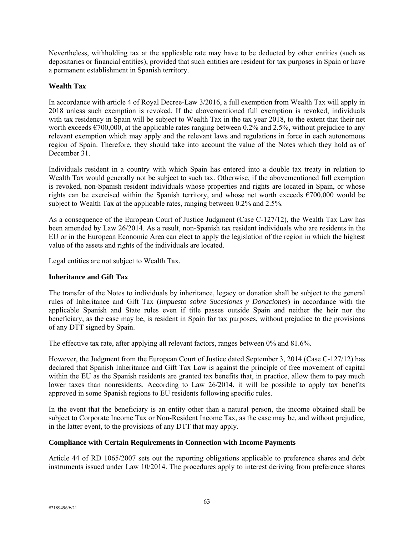Nevertheless, withholding tax at the applicable rate may have to be deducted by other entities (such as depositaries or financial entities), provided that such entities are resident for tax purposes in Spain or have a permanent establishment in Spanish territory.

# **Wealth Tax**

In accordance with article 4 of Royal Decree-Law 3/2016, a full exemption from Wealth Tax will apply in 2018 unless such exemption is revoked. If the abovementioned full exemption is revoked, individuals with tax residency in Spain will be subject to Wealth Tax in the tax year 2018, to the extent that their net worth exceeds  $\epsilon$ 700,000, at the applicable rates ranging between 0.2% and 2.5%, without prejudice to any relevant exemption which may apply and the relevant laws and regulations in force in each autonomous region of Spain. Therefore, they should take into account the value of the Notes which they hold as of December 31.

Individuals resident in a country with which Spain has entered into a double tax treaty in relation to Wealth Tax would generally not be subject to such tax. Otherwise, if the abovementioned full exemption is revoked, non-Spanish resident individuals whose properties and rights are located in Spain, or whose rights can be exercised within the Spanish territory, and whose net worth exceeds  $\epsilon$ 700,000 would be subject to Wealth Tax at the applicable rates, ranging between 0.2% and 2.5%.

As a consequence of the European Court of Justice Judgment (Case C-127/12), the Wealth Tax Law has been amended by Law 26/2014. As a result, non-Spanish tax resident individuals who are residents in the EU or in the European Economic Area can elect to apply the legislation of the region in which the highest value of the assets and rights of the individuals are located.

Legal entities are not subject to Wealth Tax.

# **Inheritance and Gift Tax**

The transfer of the Notes to individuals by inheritance, legacy or donation shall be subject to the general rules of Inheritance and Gift Tax (*Impuesto sobre Sucesiones y Donaciones*) in accordance with the applicable Spanish and State rules even if title passes outside Spain and neither the heir nor the beneficiary, as the case may be, is resident in Spain for tax purposes, without prejudice to the provisions of any DTT signed by Spain.

The effective tax rate, after applying all relevant factors, ranges between 0% and 81.6%.

However, the Judgment from the European Court of Justice dated September 3, 2014 (Case C-127/12) has declared that Spanish Inheritance and Gift Tax Law is against the principle of free movement of capital within the EU as the Spanish residents are granted tax benefits that, in practice, allow them to pay much lower taxes than nonresidents. According to Law 26/2014, it will be possible to apply tax benefits approved in some Spanish regions to EU residents following specific rules.

In the event that the beneficiary is an entity other than a natural person, the income obtained shall be subject to Corporate Income Tax or Non-Resident Income Tax, as the case may be, and without prejudice, in the latter event, to the provisions of any DTT that may apply.

# **Compliance with Certain Requirements in Connection with Income Payments**

Article 44 of RD 1065/2007 sets out the reporting obligations applicable to preference shares and debt instruments issued under Law 10/2014. The procedures apply to interest deriving from preference shares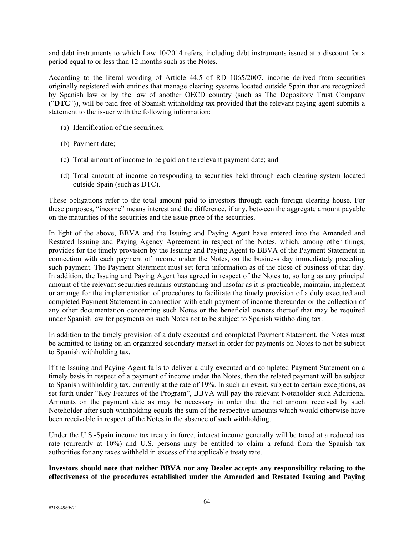and debt instruments to which Law 10/2014 refers, including debt instruments issued at a discount for a period equal to or less than 12 months such as the Notes.

According to the literal wording of Article 44.5 of RD 1065/2007, income derived from securities originally registered with entities that manage clearing systems located outside Spain that are recognized by Spanish law or by the law of another OECD country (such as The Depository Trust Company ("**DTC**")), will be paid free of Spanish withholding tax provided that the relevant paying agent submits a statement to the issuer with the following information:

- (a) Identification of the securities;
- (b) Payment date;
- (c) Total amount of income to be paid on the relevant payment date; and
- (d) Total amount of income corresponding to securities held through each clearing system located outside Spain (such as DTC).

These obligations refer to the total amount paid to investors through each foreign clearing house. For these purposes, "income" means interest and the difference, if any, between the aggregate amount payable on the maturities of the securities and the issue price of the securities.

In light of the above, BBVA and the Issuing and Paying Agent have entered into the Amended and Restated Issuing and Paying Agency Agreement in respect of the Notes, which, among other things, provides for the timely provision by the Issuing and Paying Agent to BBVA of the Payment Statement in connection with each payment of income under the Notes, on the business day immediately preceding such payment. The Payment Statement must set forth information as of the close of business of that day. In addition, the Issuing and Paying Agent has agreed in respect of the Notes to, so long as any principal amount of the relevant securities remains outstanding and insofar as it is practicable, maintain, implement or arrange for the implementation of procedures to facilitate the timely provision of a duly executed and completed Payment Statement in connection with each payment of income thereunder or the collection of any other documentation concerning such Notes or the beneficial owners thereof that may be required under Spanish law for payments on such Notes not to be subject to Spanish withholding tax.

In addition to the timely provision of a duly executed and completed Payment Statement, the Notes must be admitted to listing on an organized secondary market in order for payments on Notes to not be subject to Spanish withholding tax.

If the Issuing and Paying Agent fails to deliver a duly executed and completed Payment Statement on a timely basis in respect of a payment of income under the Notes, then the related payment will be subject to Spanish withholding tax, currently at the rate of 19%. In such an event, subject to certain exceptions, as set forth under "Key Features of the Program", BBVA will pay the relevant Noteholder such Additional Amounts on the payment date as may be necessary in order that the net amount received by such Noteholder after such withholding equals the sum of the respective amounts which would otherwise have been receivable in respect of the Notes in the absence of such withholding.

Under the U.S.-Spain income tax treaty in force, interest income generally will be taxed at a reduced tax rate (currently at 10%) and U.S. persons may be entitled to claim a refund from the Spanish tax authorities for any taxes withheld in excess of the applicable treaty rate.

**Investors should note that neither BBVA nor any Dealer accepts any responsibility relating to the effectiveness of the procedures established under the Amended and Restated Issuing and Paying**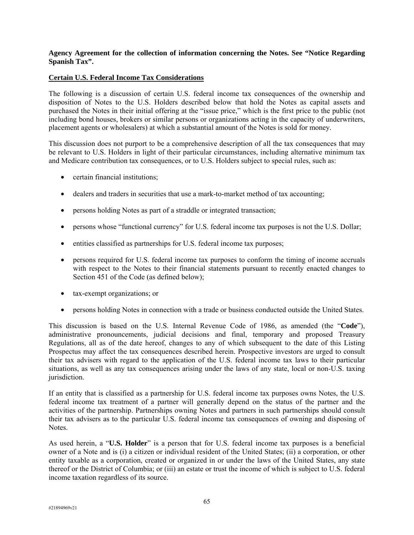## **Agency Agreement for the collection of information concerning the Notes. See "Notice Regarding Spanish Tax".**

## **Certain U.S. Federal Income Tax Considerations**

The following is a discussion of certain U.S. federal income tax consequences of the ownership and disposition of Notes to the U.S. Holders described below that hold the Notes as capital assets and purchased the Notes in their initial offering at the "issue price," which is the first price to the public (not including bond houses, brokers or similar persons or organizations acting in the capacity of underwriters, placement agents or wholesalers) at which a substantial amount of the Notes is sold for money.

This discussion does not purport to be a comprehensive description of all the tax consequences that may be relevant to U.S. Holders in light of their particular circumstances, including alternative minimum tax and Medicare contribution tax consequences, or to U.S. Holders subject to special rules, such as:

- certain financial institutions;
- dealers and traders in securities that use a mark-to-market method of tax accounting;
- persons holding Notes as part of a straddle or integrated transaction;
- persons whose "functional currency" for U.S. federal income tax purposes is not the U.S. Dollar;
- entities classified as partnerships for U.S. federal income tax purposes;
- persons required for U.S. federal income tax purposes to conform the timing of income accruals with respect to the Notes to their financial statements pursuant to recently enacted changes to Section 451 of the Code (as defined below);
- tax-exempt organizations; or
- persons holding Notes in connection with a trade or business conducted outside the United States.

This discussion is based on the U.S. Internal Revenue Code of 1986, as amended (the "**Code**"), administrative pronouncements, judicial decisions and final, temporary and proposed Treasury Regulations, all as of the date hereof, changes to any of which subsequent to the date of this Listing Prospectus may affect the tax consequences described herein. Prospective investors are urged to consult their tax advisers with regard to the application of the U.S. federal income tax laws to their particular situations, as well as any tax consequences arising under the laws of any state, local or non-U.S. taxing jurisdiction.

If an entity that is classified as a partnership for U.S. federal income tax purposes owns Notes, the U.S. federal income tax treatment of a partner will generally depend on the status of the partner and the activities of the partnership. Partnerships owning Notes and partners in such partnerships should consult their tax advisers as to the particular U.S. federal income tax consequences of owning and disposing of Notes.

As used herein, a "**U.S. Holder**" is a person that for U.S. federal income tax purposes is a beneficial owner of a Note and is (i) a citizen or individual resident of the United States; (ii) a corporation, or other entity taxable as a corporation, created or organized in or under the laws of the United States, any state thereof or the District of Columbia; or (iii) an estate or trust the income of which is subject to U.S. federal income taxation regardless of its source.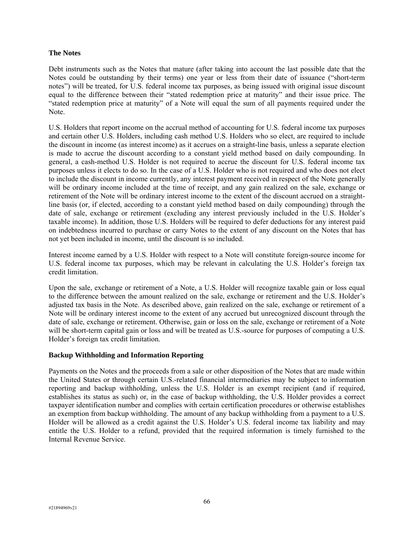#### **The Notes**

Debt instruments such as the Notes that mature (after taking into account the last possible date that the Notes could be outstanding by their terms) one year or less from their date of issuance ("short-term notes") will be treated, for U.S. federal income tax purposes, as being issued with original issue discount equal to the difference between their "stated redemption price at maturity" and their issue price. The "stated redemption price at maturity" of a Note will equal the sum of all payments required under the Note.

U.S. Holders that report income on the accrual method of accounting for U.S. federal income tax purposes and certain other U.S. Holders, including cash method U.S. Holders who so elect, are required to include the discount in income (as interest income) as it accrues on a straight-line basis, unless a separate election is made to accrue the discount according to a constant yield method based on daily compounding. In general, a cash-method U.S. Holder is not required to accrue the discount for U.S. federal income tax purposes unless it elects to do so. In the case of a U.S. Holder who is not required and who does not elect to include the discount in income currently, any interest payment received in respect of the Note generally will be ordinary income included at the time of receipt, and any gain realized on the sale, exchange or retirement of the Note will be ordinary interest income to the extent of the discount accrued on a straightline basis (or, if elected, according to a constant yield method based on daily compounding) through the date of sale, exchange or retirement (excluding any interest previously included in the U.S. Holder's taxable income). In addition, those U.S. Holders will be required to defer deductions for any interest paid on indebtedness incurred to purchase or carry Notes to the extent of any discount on the Notes that has not yet been included in income, until the discount is so included.

Interest income earned by a U.S. Holder with respect to a Note will constitute foreign-source income for U.S. federal income tax purposes, which may be relevant in calculating the U.S. Holder's foreign tax credit limitation.

Upon the sale, exchange or retirement of a Note, a U.S. Holder will recognize taxable gain or loss equal to the difference between the amount realized on the sale, exchange or retirement and the U.S. Holder's adjusted tax basis in the Note. As described above, gain realized on the sale, exchange or retirement of a Note will be ordinary interest income to the extent of any accrued but unrecognized discount through the date of sale, exchange or retirement. Otherwise, gain or loss on the sale, exchange or retirement of a Note will be short-term capital gain or loss and will be treated as U.S.-source for purposes of computing a U.S. Holder's foreign tax credit limitation.

## **Backup Withholding and Information Reporting**

Payments on the Notes and the proceeds from a sale or other disposition of the Notes that are made within the United States or through certain U.S.-related financial intermediaries may be subject to information reporting and backup withholding, unless the U.S. Holder is an exempt recipient (and if required, establishes its status as such) or, in the case of backup withholding, the U.S. Holder provides a correct taxpayer identification number and complies with certain certification procedures or otherwise establishes an exemption from backup withholding. The amount of any backup withholding from a payment to a U.S. Holder will be allowed as a credit against the U.S. Holder's U.S. federal income tax liability and may entitle the U.S. Holder to a refund, provided that the required information is timely furnished to the Internal Revenue Service.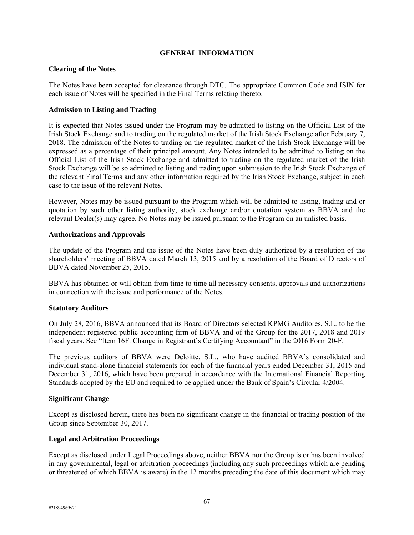#### **GENERAL INFORMATION**

#### **Clearing of the Notes**

The Notes have been accepted for clearance through DTC. The appropriate Common Code and ISIN for each issue of Notes will be specified in the Final Terms relating thereto.

#### **Admission to Listing and Trading**

It is expected that Notes issued under the Program may be admitted to listing on the Official List of the Irish Stock Exchange and to trading on the regulated market of the Irish Stock Exchange after February 7, 2018. The admission of the Notes to trading on the regulated market of the Irish Stock Exchange will be expressed as a percentage of their principal amount. Any Notes intended to be admitted to listing on the Official List of the Irish Stock Exchange and admitted to trading on the regulated market of the Irish Stock Exchange will be so admitted to listing and trading upon submission to the Irish Stock Exchange of the relevant Final Terms and any other information required by the Irish Stock Exchange, subject in each case to the issue of the relevant Notes.

However, Notes may be issued pursuant to the Program which will be admitted to listing, trading and or quotation by such other listing authority, stock exchange and/or quotation system as BBVA and the relevant Dealer(s) may agree. No Notes may be issued pursuant to the Program on an unlisted basis.

#### **Authorizations and Approvals**

The update of the Program and the issue of the Notes have been duly authorized by a resolution of the shareholders' meeting of BBVA dated March 13, 2015 and by a resolution of the Board of Directors of BBVA dated November 25, 2015.

BBVA has obtained or will obtain from time to time all necessary consents, approvals and authorizations in connection with the issue and performance of the Notes.

## **Statutory Auditors**

On July 28, 2016, BBVA announced that its Board of Directors selected KPMG Auditores, S.L. to be the independent registered public accounting firm of BBVA and of the Group for the 2017, 2018 and 2019 fiscal years. See "Item 16F. Change in Registrant's Certifying Accountant" in the 2016 Form 20-F.

The previous auditors of BBVA were Deloitte, S.L., who have audited BBVA's consolidated and individual stand-alone financial statements for each of the financial years ended December 31, 2015 and December 31, 2016, which have been prepared in accordance with the International Financial Reporting Standards adopted by the EU and required to be applied under the Bank of Spain's Circular 4/2004.

#### **Significant Change**

Except as disclosed herein, there has been no significant change in the financial or trading position of the Group since September 30, 2017.

#### **Legal and Arbitration Proceedings**

Except as disclosed under Legal Proceedings above, neither BBVA nor the Group is or has been involved in any governmental, legal or arbitration proceedings (including any such proceedings which are pending or threatened of which BBVA is aware) in the 12 months preceding the date of this document which may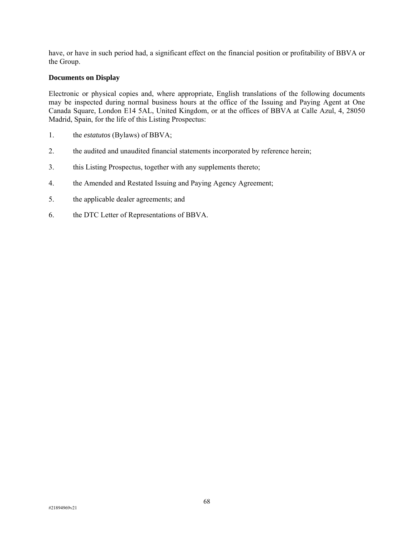have, or have in such period had, a significant effect on the financial position or profitability of BBVA or the Group.

#### **Documents on Display**

Electronic or physical copies and, where appropriate, English translations of the following documents may be inspected during normal business hours at the office of the Issuing and Paying Agent at One Canada Square, London E14 5AL, United Kingdom, or at the offices of BBVA at Calle Azul, 4, 28050 Madrid, Spain, for the life of this Listing Prospectus:

- 1. the *estatutos* (Bylaws) of BBVA;
- 2. the audited and unaudited financial statements incorporated by reference herein;
- 3. this Listing Prospectus, together with any supplements thereto;
- 4. the Amended and Restated Issuing and Paying Agency Agreement;
- 5. the applicable dealer agreements; and
- 6. the DTC Letter of Representations of BBVA.